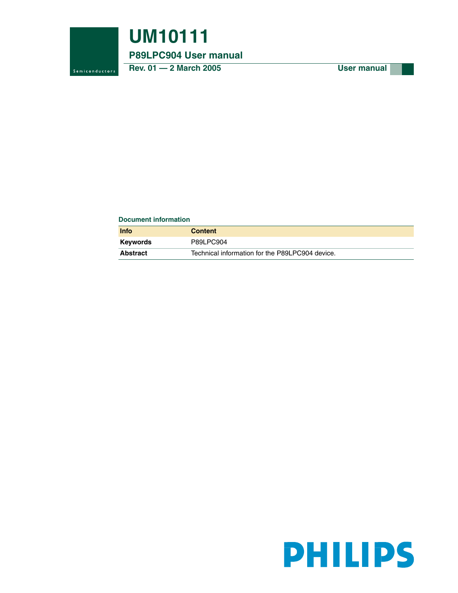

## **UM10111**

#### **P89LPC904 User manual**

Rev. 01 - 2 March 2005 User manual

#### **Document information**

| Info            | <b>Content</b>                                  |
|-----------------|-------------------------------------------------|
| <b>Keywords</b> | P89LPC904                                       |
| <b>Abstract</b> | Technical information for the P89LPC904 device. |

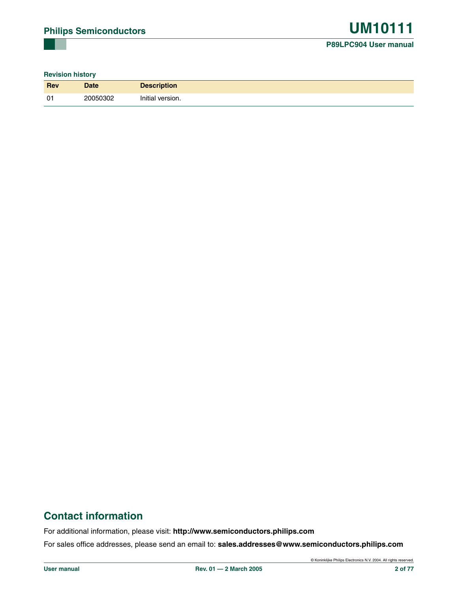#### **Revision history**

| <b>Rev</b>     | <b>Date</b> | <b>Description</b> |
|----------------|-------------|--------------------|
| 0 <sup>1</sup> | 20050302    | Initial version.   |

## **Contact information**

For additional information, please visit: **http://www.semiconductors.philips.com**

For sales office addresses, please send an email to: **sales.addresses@www.semiconductors.philips.com**

© Koninklijke Philips Electronics N.V. 2004. All rights reserved.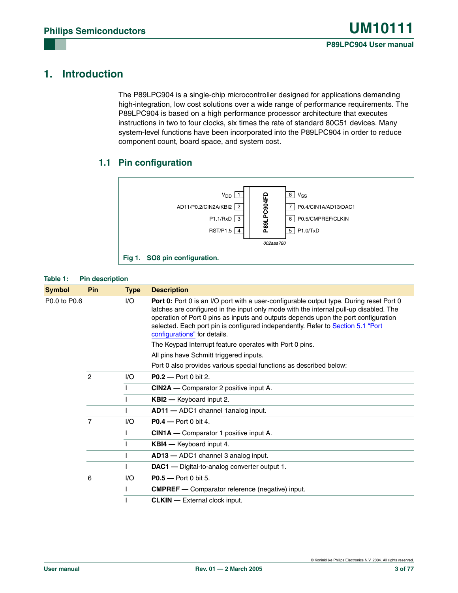## **1. Introduction**

The P89LPC904 is a single-chip microcontroller designed for applications demanding high-integration, low cost solutions over a wide range of performance requirements. The P89LPC904 is based on a high performance processor architecture that executes instructions in two to four clocks, six times the rate of standard 80C51 devices. Many system-level functions have been incorporated into the P89LPC904 in order to reduce component count, board space, and system cost.

#### **1.1 Pin configuration**



#### **Table 1: Pin description**

| Symbol       | Pin            | <b>Type</b> | <b>Description</b>                                                                                                                                                                                                                                                                                                                                                                        |
|--------------|----------------|-------------|-------------------------------------------------------------------------------------------------------------------------------------------------------------------------------------------------------------------------------------------------------------------------------------------------------------------------------------------------------------------------------------------|
| P0.0 to P0.6 |                | I/O         | Port 0: Port 0 is an I/O port with a user-configurable output type. During reset Port 0<br>latches are configured in the input only mode with the internal pull-up disabled. The<br>operation of Port 0 pins as inputs and outputs depends upon the port configuration<br>selected. Each port pin is configured independently. Refer to Section 5.1 "Port<br>configurations" for details. |
|              |                |             | The Keypad Interrupt feature operates with Port 0 pins.                                                                                                                                                                                                                                                                                                                                   |
|              |                |             | All pins have Schmitt triggered inputs.                                                                                                                                                                                                                                                                                                                                                   |
|              |                |             | Port 0 also provides various special functions as described below:                                                                                                                                                                                                                                                                                                                        |
|              | $\overline{c}$ | 1/O         | <b>P0.2</b> - Port 0 bit 2.                                                                                                                                                                                                                                                                                                                                                               |
|              |                |             | <b>CIN2A</b> — Comparator 2 positive input A.                                                                                                                                                                                                                                                                                                                                             |
|              |                |             | <b>KBI2</b> - Keyboard input 2.                                                                                                                                                                                                                                                                                                                                                           |
|              |                |             | AD11 - ADC1 channel 1 analog input.                                                                                                                                                                                                                                                                                                                                                       |
|              | 7              | I/O         | <b>P0.4</b> — Port 0 bit 4.                                                                                                                                                                                                                                                                                                                                                               |
|              |                |             | <b>CIN1A</b> — Comparator 1 positive input A.                                                                                                                                                                                                                                                                                                                                             |
|              |                |             | <b>KBI4</b> - Keyboard input 4.                                                                                                                                                                                                                                                                                                                                                           |
|              |                |             | AD13 - ADC1 channel 3 analog input.                                                                                                                                                                                                                                                                                                                                                       |
|              |                |             | DAC1 - Digital-to-analog converter output 1.                                                                                                                                                                                                                                                                                                                                              |
|              | 6              | I/O         | P0.5 - Port 0 bit 5.                                                                                                                                                                                                                                                                                                                                                                      |
|              |                |             | <b>CMPREF</b> - Comparator reference (negative) input.                                                                                                                                                                                                                                                                                                                                    |
|              |                |             | <b>CLKIN</b> - External clock input.                                                                                                                                                                                                                                                                                                                                                      |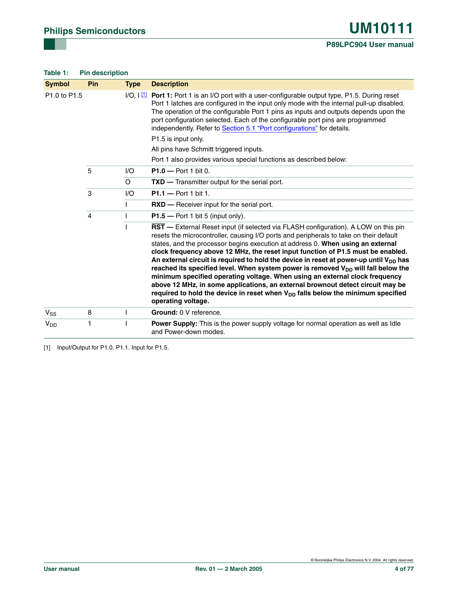#### **Table 1: Pin description**

| <b>Symbol</b>                        | Pin            | <b>Type</b> | <b>Description</b>                                                                                                                                                                                                                                                                                                                                                                                                                                                                                                                                                                                                                                                                                                                                                                                                         |
|--------------------------------------|----------------|-------------|----------------------------------------------------------------------------------------------------------------------------------------------------------------------------------------------------------------------------------------------------------------------------------------------------------------------------------------------------------------------------------------------------------------------------------------------------------------------------------------------------------------------------------------------------------------------------------------------------------------------------------------------------------------------------------------------------------------------------------------------------------------------------------------------------------------------------|
| P <sub>1.0</sub> to P <sub>1.5</sub> |                |             | $I/O$ , $I$ $\Box$ Port 1: Port 1 is an I/O port with a user-configurable output type, P1.5. During reset<br>Port 1 latches are configured in the input only mode with the internal pull-up disabled.<br>The operation of the configurable Port 1 pins as inputs and outputs depends upon the<br>port configuration selected. Each of the configurable port pins are programmed<br>independently. Refer to Section 5.1 "Port configurations" for details.                                                                                                                                                                                                                                                                                                                                                                  |
|                                      |                |             | P1.5 is input only.                                                                                                                                                                                                                                                                                                                                                                                                                                                                                                                                                                                                                                                                                                                                                                                                        |
|                                      |                |             | All pins have Schmitt triggered inputs.                                                                                                                                                                                                                                                                                                                                                                                                                                                                                                                                                                                                                                                                                                                                                                                    |
|                                      |                |             | Port 1 also provides various special functions as described below:                                                                                                                                                                                                                                                                                                                                                                                                                                                                                                                                                                                                                                                                                                                                                         |
|                                      | 5              | 1/O         | $P1.0 - Port 1 bit 0.$                                                                                                                                                                                                                                                                                                                                                                                                                                                                                                                                                                                                                                                                                                                                                                                                     |
|                                      |                | $\circ$     | TXD - Transmitter output for the serial port.                                                                                                                                                                                                                                                                                                                                                                                                                                                                                                                                                                                                                                                                                                                                                                              |
|                                      | 3              | 1/O         | $P1.1 - Port 1 bit 1.$                                                                                                                                                                                                                                                                                                                                                                                                                                                                                                                                                                                                                                                                                                                                                                                                     |
|                                      |                |             | <b>RXD</b> — Receiver input for the serial port.                                                                                                                                                                                                                                                                                                                                                                                                                                                                                                                                                                                                                                                                                                                                                                           |
|                                      | $\overline{4}$ |             | $P1.5$ – Port 1 bit 5 (input only).                                                                                                                                                                                                                                                                                                                                                                                                                                                                                                                                                                                                                                                                                                                                                                                        |
|                                      |                |             | RST - External Reset input (if selected via FLASH configuration). A LOW on this pin<br>resets the microcontroller, causing I/O ports and peripherals to take on their default<br>states, and the processor begins execution at address 0. When using an external<br>clock frequency above 12 MHz, the reset input function of P1.5 must be enabled.<br>An external circuit is required to hold the device in reset at power-up until $V_{DD}$ has<br>reached its specified level. When system power is removed $V_{DD}$ will fall below the<br>minimum specified operating voltage. When using an external clock frequency<br>above 12 MHz, in some applications, an external brownout detect circuit may be<br>required to hold the device in reset when $V_{DD}$ falls below the minimum specified<br>operating voltage. |
| $V_{SS}$                             | 8              |             | Ground: 0 V reference.                                                                                                                                                                                                                                                                                                                                                                                                                                                                                                                                                                                                                                                                                                                                                                                                     |
| V <sub>DD</sub>                      | 1              |             | <b>Power Supply:</b> This is the power supply voltage for normal operation as well as Idle<br>and Power-down modes.                                                                                                                                                                                                                                                                                                                                                                                                                                                                                                                                                                                                                                                                                                        |

<span id="page-3-0"></span>[1] Input/Output for P1.0, P1.1. Input for P1.5.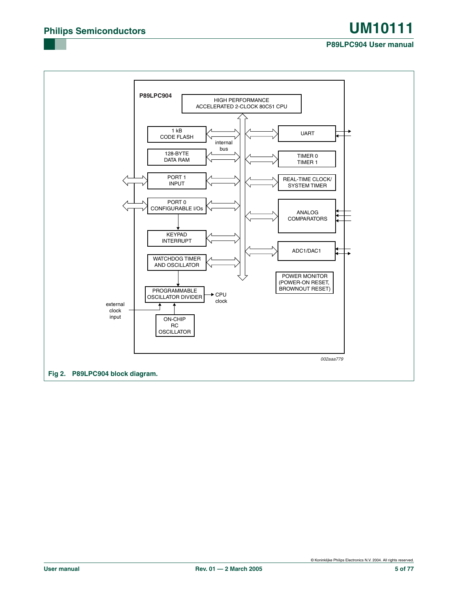#### **P89LPC904 User manual**

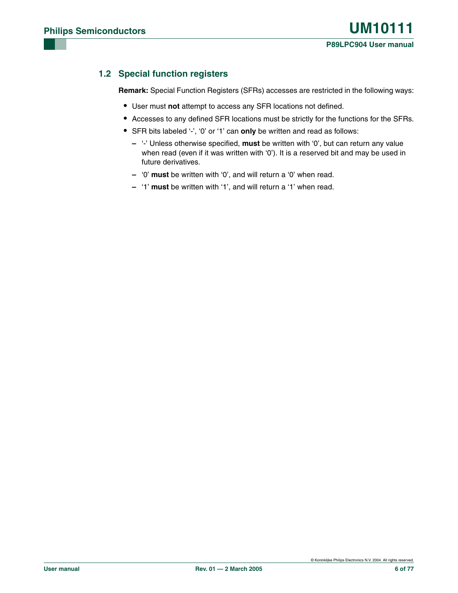#### **1.2 Special function registers**

**Remark:** Special Function Registers (SFRs) accesses are restricted in the following ways:

- **•** User must **not** attempt to access any SFR locations not defined.
- **•** Accesses to any defined SFR locations must be strictly for the functions for the SFRs.
- **•** SFR bits labeled '-', '0' or '1' can **only** be written and read as follows:
	- **–** '-' Unless otherwise specified, **must** be written with '0', but can return any value when read (even if it was written with '0'). It is a reserved bit and may be used in future derivatives.
	- **–** '0' **must** be written with '0', and will return a '0' when read.
	- **–** '1' **must** be written with '1', and will return a '1' when read.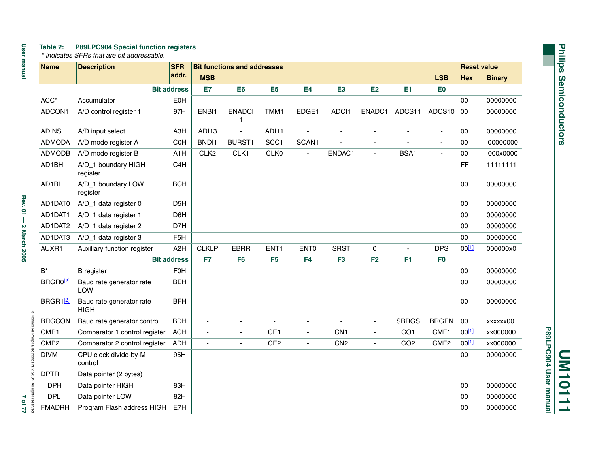# Philips Semiconductors **Philips Semiconductors**

**UM10111**

**P89LPC904 User manual**

P89LPC904 User manual

#### **Table 2: P89LPC904 Special function registers**

 *\* indicates SFRs that are bit addressable.* 

| <b>Name</b>      | <b>Description</b>                      | <b>SFR</b>         |                  | <b>Bit functions and addresses</b> |                  |                          |                 |                          |                          |                  | <b>Reset value</b> |               |
|------------------|-----------------------------------------|--------------------|------------------|------------------------------------|------------------|--------------------------|-----------------|--------------------------|--------------------------|------------------|--------------------|---------------|
|                  |                                         | addr.              | <b>MSB</b>       |                                    |                  |                          |                 |                          |                          | <b>LSB</b>       | <b>Hex</b>         | <b>Binary</b> |
|                  |                                         | <b>Bit address</b> | E7               | E <sub>6</sub>                     | E <sub>5</sub>   | E <sub>4</sub>           | E <sub>3</sub>  | E2                       | E <sub>1</sub>           | E <sub>0</sub>   |                    |               |
| ACC*             | Accumulator                             | EOH                |                  |                                    |                  |                          |                 |                          |                          |                  | 00                 | 00000000      |
| ADCON1           | A/D control register 1                  | 97H                | ENBI1            | <b>ENADCI</b><br>1                 | TMM1             | EDGE1                    | ADCI1           | ENADC1                   | ADCS11                   | ADCS10           | 00                 | 00000000      |
| <b>ADINS</b>     | A/D input select                        | A <sub>3</sub> H   | ADI13            | ÷,                                 | ADI11            | $\blacksquare$           | ä,              | ä,                       |                          | $\blacksquare$   | 00                 | 00000000      |
| <b>ADMODA</b>    | A/D mode register A                     | <b>COH</b>         | BND <sub>1</sub> | <b>BURST1</b>                      | SCC1             | SCAN1                    |                 | ä,                       |                          | ä,               | $00\,$             | 00000000      |
| <b>ADMODB</b>    | A/D mode register B                     | A <sub>1</sub> H   | CLK <sub>2</sub> | CLK1                               | CLK0             | $\blacksquare$           | ENDAC1          | $\overline{\phantom{a}}$ | BSA1                     | $\blacksquare$   | 00                 | 000x0000      |
| AD1BH            | A/D_1 boundary HIGH<br>register         | C4H                |                  |                                    |                  |                          |                 |                          |                          |                  | FF                 | 11111111      |
| AD1BL            | A/D_1 boundary LOW<br>register          | <b>BCH</b>         |                  |                                    |                  |                          |                 |                          |                          |                  | 00                 | 00000000      |
| AD1DAT0          | A/D_1 data register 0                   | D <sub>5</sub> H   |                  |                                    |                  |                          |                 |                          |                          |                  | 00                 | 00000000      |
| AD1DAT1          | A/D_1 data register 1                   | D6H                |                  |                                    |                  |                          |                 |                          |                          |                  | 00                 | 00000000      |
| AD1DAT2          | A/D_1 data register 2                   | D7H                |                  |                                    |                  |                          |                 |                          |                          |                  | 00                 | 00000000      |
| AD1DAT3          | A/D_1 data register 3                   | F <sub>5</sub> H   |                  |                                    |                  |                          |                 |                          |                          |                  | 00                 | 00000000      |
| AUXR1            | Auxiliary function register             | A <sub>2</sub> H   | <b>CLKLP</b>     | <b>EBRR</b>                        | ENT <sub>1</sub> | ENT <sub>0</sub>         | <b>SRST</b>     | 0                        | $\overline{\phantom{a}}$ | <b>DPS</b>       | 00[1]              | 000000x0      |
|                  |                                         | <b>Bit address</b> | F7               | F <sub>6</sub>                     | F <sub>5</sub>   | F <sub>4</sub>           | F <sub>3</sub>  | F <sub>2</sub>           | F <sub>1</sub>           | F <sub>0</sub>   |                    |               |
| $B^*$            | <b>B</b> register                       | F <sub>0</sub> H   |                  |                                    |                  |                          |                 |                          |                          |                  | 00                 | 00000000      |
| <b>BRGRO2</b>    | Baud rate generator rate<br>LOW         | <b>BEH</b>         |                  |                                    |                  |                          |                 |                          |                          |                  | 00                 | 00000000      |
| <b>BRGR12</b>    | Baud rate generator rate<br><b>HIGH</b> | <b>BFH</b>         |                  |                                    |                  |                          |                 |                          |                          |                  | 00                 | 00000000      |
| <b>BRGCON</b>    | Baud rate generator control             | <b>BDH</b>         | $\blacksquare$   |                                    |                  | $\blacksquare$           | ä,              |                          | <b>SBRGS</b>             | <b>BRGEN</b>     | 00                 | xxxxxx00      |
| CMP1             | Comparator 1 control register           | <b>ACH</b>         | $\blacksquare$   | $\blacksquare$                     | CE <sub>1</sub>  | $\blacksquare$           | CN <sub>1</sub> | $\blacksquare$           | CO <sub>1</sub>          | CMF1             | 00[1]              | xx000000      |
| CMP <sub>2</sub> | Comparator 2 control register           | <b>ADH</b>         | ÷,               | ä,                                 | CE <sub>2</sub>  | $\overline{\phantom{a}}$ | CN <sub>2</sub> | ÷,                       | CO <sub>2</sub>          | CMF <sub>2</sub> | $00^{[1]}$         | xx000000      |
| <b>DIVM</b>      | CPU clock divide-by-M<br>control        | 95H                |                  |                                    |                  |                          |                 |                          |                          |                  | 00                 | 00000000      |
| <b>DPTR</b>      | Data pointer (2 bytes)                  |                    |                  |                                    |                  |                          |                 |                          |                          |                  |                    |               |
| <b>DPH</b>       | Data pointer HIGH                       | 83H                |                  |                                    |                  |                          |                 |                          |                          |                  | 00                 | 00000000      |
| <b>DPL</b>       | Data pointer LOW                        | 82H                |                  |                                    |                  |                          |                 |                          |                          |                  | 00                 | 00000000      |
| <b>FMADRH</b>    | Program Flash address HIGH              | E7H                |                  |                                    |                  |                          |                 |                          |                          |                  | 00                 | 00000000      |

Rev. 01 - 2 March 2005

User manual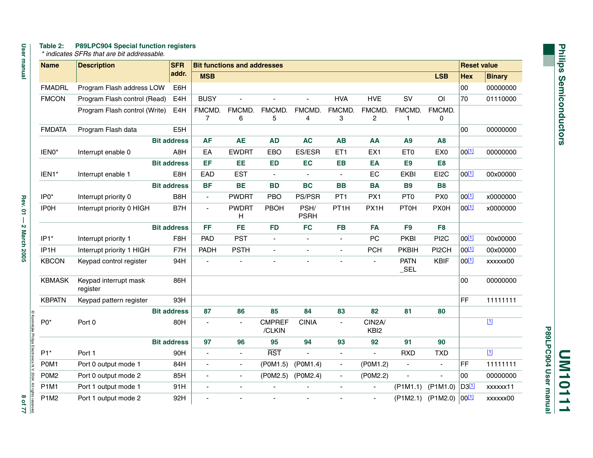#### **Table 2: P89LPC904 Special function registers**

User manual

|                 | <b>User manua</b>      |
|-----------------|------------------------|
| grits reserved. | í                      |
| þ               | Rev. 01 - 2 March 2005 |

|  | * indicates SFRs that are bit addressable. |
|--|--------------------------------------------|

| lanual                         | <b>Name</b>       | <b>Description</b>                |                    | <b>SFR</b>       | <b>Bit functions and addresses</b> |                |                         |                          |                          |                            |                        | <b>Reset value</b>       |            |               |
|--------------------------------|-------------------|-----------------------------------|--------------------|------------------|------------------------------------|----------------|-------------------------|--------------------------|--------------------------|----------------------------|------------------------|--------------------------|------------|---------------|
|                                |                   |                                   | addr.              |                  | <b>MSB</b>                         |                |                         |                          |                          |                            |                        | <b>LSB</b>               | <b>Hex</b> | <b>Binary</b> |
|                                | <b>FMADRL</b>     | Program Flash address LOW         |                    | E6H              |                                    |                |                         |                          |                          |                            |                        |                          | 00         | 00000000      |
|                                | <b>FMCON</b>      | Program Flash control (Read)      |                    | E4H              | <b>BUSY</b>                        |                |                         | $\overline{\phantom{a}}$ | <b>HVA</b>               | <b>HVE</b>                 | SV                     | O <sub>l</sub>           | 70         | 01110000      |
|                                |                   | Program Flash control (Write)     |                    | E4H              | FMCMD.<br>$\overline{7}$           | FMCMD.         | FMCMD.                  | FMCMD.                   | FMCMD.<br>3              | FMCMD.                     | FMCMD.<br>1            | FMCMD.                   |            |               |
|                                | <b>FMDATA</b>     | Program Flash data                |                    | E <sub>5</sub> H |                                    | 6              | 5                       | 4                        |                          | 2                          |                        | 0                        | 00         | 00000000      |
|                                |                   |                                   | <b>Bit address</b> |                  | <b>AF</b>                          | <b>AE</b>      | <b>AD</b>               | <b>AC</b>                | <b>AB</b>                | AA                         | A9                     | <b>A8</b>                |            |               |
|                                | IEN0*             | Interrupt enable 0                |                    | A8H              | EA                                 | <b>EWDRT</b>   | EBO                     | ES/ESR                   | ET1                      | EX <sub>1</sub>            | ET <sub>0</sub>        | EX <sub>0</sub>          | $00^{[1]}$ | 00000000      |
|                                |                   |                                   | <b>Bit address</b> |                  | EF                                 | EE             | <b>ED</b>               | EC                       | <b>EB</b>                | EA                         | E <sub>9</sub>         | E <sub>8</sub>           |            |               |
|                                | IEN1*             | Interrupt enable 1                |                    | E8H              | EAD                                | <b>EST</b>     |                         |                          |                          | EC                         | <b>EKBI</b>            | EI2C                     | $00^{[1]}$ | 00x00000      |
|                                |                   |                                   | <b>Bit address</b> |                  | <b>BF</b>                          | <b>BE</b>      | <b>BD</b>               | <b>BC</b>                | <b>BB</b>                | <b>BA</b>                  | <b>B9</b>              | <b>B8</b>                |            |               |
|                                | IP <sub>0</sub> * | Interrupt priority 0              |                    | B8H              | $\blacksquare$                     | <b>PWDRT</b>   | PBO                     | PS/PSR                   | PT <sub>1</sub>          | PX1                        | PT <sub>0</sub>        | PX <sub>0</sub>          | $00^{[1]}$ | x0000000      |
| <b>Rev. 01</b>                 | <b>IP0H</b>       | Interrupt priority 0 HIGH         |                    | B7H              | $\overline{a}$                     | <b>PWDRT</b>   | <b>PBOH</b>             | PSH/                     | PT <sub>1</sub> H        | PX1H                       | <b>PT0H</b>            | <b>PX0H</b>              | $00^{[1]}$ | x0000000      |
| $\overline{\phantom{a}}$       |                   |                                   |                    |                  |                                    | H              |                         | <b>PSRH</b>              |                          |                            |                        |                          |            |               |
|                                |                   |                                   | <b>Bit address</b> |                  | FF                                 | <b>FE</b>      | <b>FD</b>               | <b>FC</b>                | <b>FB</b>                | <b>FA</b>                  | F <sub>9</sub>         | F <sub>8</sub>           |            |               |
| 2 March 2005                   | $IP1*$            | Interrupt priority 1              |                    | F8H              | PAD                                | <b>PST</b>     |                         |                          | $\blacksquare$           | PC                         | <b>PKBI</b>            | PI <sub>2</sub> C        | $00^{[1]}$ | 00x00000      |
|                                | IP <sub>1</sub> H | Interrupt priority 1 HIGH         |                    | F7H              | PADH                               | <b>PSTH</b>    |                         | $\blacksquare$           | $\overline{a}$           | <b>PCH</b>                 | <b>PKBIH</b>           | PI2CH                    | $00^{[1]}$ | 00x00000      |
|                                | <b>KBCON</b>      | Keypad control register           |                    | 94H              | $\overline{\phantom{a}}$           |                |                         |                          |                          | $\blacksquare$             | <b>PATN</b><br>$\_SEL$ | <b>KBIF</b>              | $00^{[1]}$ | xxxxxx00      |
|                                | <b>KBMASK</b>     | Keypad interrupt mask<br>register |                    | 86H              |                                    |                |                         |                          |                          |                            |                        |                          | 00         | 00000000      |
|                                | <b>KBPATN</b>     | Keypad pattern register           |                    | 93H              |                                    |                |                         |                          |                          |                            |                        |                          | FF         | 11111111      |
|                                |                   |                                   | <b>Bit address</b> |                  | 87                                 | 86             | 85                      | 84                       | 83                       | 82                         | 81                     | 80                       |            |               |
| C Koninklijke Philips Electron | $PO*$             | Port 0                            |                    | 80H              | $\mathbf{r}$                       | $\blacksquare$ | <b>CMPREF</b><br>/CLKIN | <b>CINIA</b>             | $\blacksquare$           | CIN2A/<br>KBI <sub>2</sub> |                        |                          |            | $\boxed{1}$   |
|                                |                   |                                   | <b>Bit address</b> |                  | 97                                 | 96             | 95                      | 94                       | 93                       | 92                         | 91                     | 90                       |            |               |
|                                | $P1*$             | Port 1                            |                    | 90H              |                                    | $\blacksquare$ | <b>RST</b>              | $\blacksquare$           | ÷,                       | $\blacksquare$             | <b>RXD</b>             | <b>TXD</b>               |            | $\boxed{1}$   |
| ics N.V. 2004                  | P0M1              | Port 0 output mode 1              |                    | 84H              | $\blacksquare$                     | $\blacksquare$ | (P0M1.5)                | (POM1.4)                 | $\overline{\phantom{a}}$ | (P0M1.2)                   | ÷,                     | $\overline{\phantom{a}}$ | <b>FF</b>  | 11111111      |
|                                | P0M <sub>2</sub>  | Port 0 output mode 2              |                    | 85H              | $\mathbf{r}$                       | $\blacksquare$ | (P0M2.5)                | (P0M2.4)                 | $\blacksquare$           | (P0M2.2)                   | $\blacksquare$         | $\blacksquare$           | 00         | 00000000      |
|                                | <b>P1M1</b>       | Port 1 output mode 1              |                    | 91H              |                                    | $\blacksquare$ |                         |                          |                          |                            | $($ P1M1.1)            | $($ P1M1.0)              | D311       | xxxxxx11      |
| All rights reserved<br>8 of 77 | <b>P1M2</b>       | Port 1 output mode 2              |                    | 92H              | $\overline{\phantom{a}}$           |                |                         |                          |                          | $\sim$                     | $($ P1M2.1)            | $($ P1M2.0)              | $00^{[1]}$ | xxxxxx00      |

P89LPC904 User manual **P89LPC904 User manual UM10111**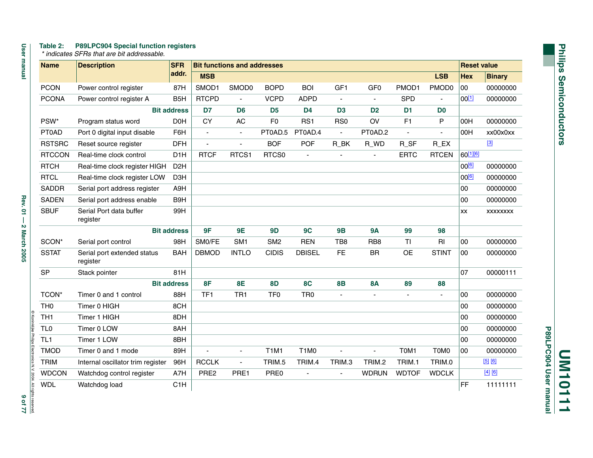#### **Table 2: P89LPC904 Special function registers**

 *\* indicates SFRs that are bit addressable.* 

| <b>Name</b>     | <b>SFR</b><br><b>Description</b>        |                    | <b>Bit functions and addresses</b> |                 |                 |                               |                          |                 |                          |                | <b>Reset value</b> |                         |
|-----------------|-----------------------------------------|--------------------|------------------------------------|-----------------|-----------------|-------------------------------|--------------------------|-----------------|--------------------------|----------------|--------------------|-------------------------|
|                 |                                         | addr.              | <b>MSB</b>                         |                 |                 |                               |                          |                 |                          | <b>LSB</b>     | Hex                | <b>Binary</b>           |
| <b>PCON</b>     | Power control register                  | 87H                | SMOD1                              | SMOD0           | <b>BOPD</b>     | <b>BOI</b>                    | GF1                      | GF <sub>0</sub> | PMOD1                    | PMOD0          | 00                 | 00000000                |
| <b>PCONA</b>    | Power control register A                | B <sub>5</sub> H   | <b>RTCPD</b>                       | $\overline{a}$  | <b>VCPD</b>     | <b>ADPD</b>                   | $\blacksquare$           |                 | <b>SPD</b>               |                | $00^{[1]}$         | 00000000                |
|                 |                                         | <b>Bit address</b> | D7                                 | D <sub>6</sub>  | D <sub>5</sub>  | D <sub>4</sub>                | D <sub>3</sub>           | D <sub>2</sub>  | D <sub>1</sub>           | D <sub>0</sub> |                    |                         |
| PSW*            | Program status word                     | D <sub>O</sub> H   | <b>CY</b>                          | <b>AC</b>       | F <sub>0</sub>  | RS <sub>1</sub>               | R <sub>S0</sub>          | OV              | F1                       | ${\sf P}$      | 00H                | 00000000                |
| <b>PT0AD</b>    | Port 0 digital input disable            | F6H                | $\blacksquare$                     | $\blacksquare$  | PT0AD.5         | PT0AD.4                       | $\blacksquare$           | PT0AD.2         |                          |                | 00H                | xx00x0xx                |
| <b>RSTSRC</b>   | Reset source register                   | <b>DFH</b>         | ÷,                                 | ÷,              | <b>BOF</b>      | <b>POF</b>                    | R_BK                     | R_WD            | R_SF                     | R_EX           |                    | $[3]$                   |
| <b>RTCCON</b>   | Real-time clock control                 | D <sub>1</sub> H   | <b>RTCF</b>                        | RTCS1           | RTCS0           |                               |                          |                 | <b>ERTC</b>              | <b>RTCEN</b>   | 60[1][6]           |                         |
| <b>RTCH</b>     | Real-time clock register HIGH           | D <sub>2</sub> H   |                                    |                 |                 |                               |                          |                 |                          |                | 00[6]              | 00000000                |
| <b>RTCL</b>     | Real-time clock register LOW            | D <sub>3</sub> H   |                                    |                 |                 |                               |                          |                 |                          |                | 00[6]              | 00000000                |
| <b>SADDR</b>    | Serial port address register            | A9H                |                                    |                 |                 |                               |                          |                 |                          |                | 00                 | 00000000                |
| <b>SADEN</b>    | Serial port address enable              | B9H                |                                    |                 |                 |                               |                          |                 |                          |                | 00                 | 00000000                |
| <b>SBUF</b>     | Serial Port data buffer<br>register     | 99H                |                                    |                 |                 |                               |                          |                 |                          |                | XX                 | XXXXXXXX                |
|                 |                                         | <b>Bit address</b> | 9F                                 | 9E              | 9D              | 9C                            | <b>9B</b>                | <b>9A</b>       | 99                       | 98             |                    |                         |
| SCON*           | Serial port control                     | 98H                | SM0/FE                             | SM <sub>1</sub> | SM <sub>2</sub> | <b>REN</b>                    | TB8                      | RB <sub>8</sub> | <b>TI</b>                | RI             | 00                 | 00000000                |
| <b>SSTAT</b>    | Serial port extended status<br>register | <b>BAH</b>         | <b>DBMOD</b>                       | <b>INTLO</b>    | <b>CIDIS</b>    | <b>DBISEL</b>                 | <b>FE</b>                | <b>BR</b>       | <b>OE</b>                | <b>STINT</b>   | 00                 | 00000000                |
| SP              | Stack pointer                           | 81H                |                                    |                 |                 |                               |                          |                 |                          |                | 07                 | 00000111                |
|                 |                                         | <b>Bit address</b> | <b>8F</b>                          | <b>8E</b>       | <b>8D</b>       | 8C                            | <b>8B</b>                | <b>8A</b>       | 89                       | 88             |                    |                         |
| TCON*           | Timer 0 and 1 control                   | 88H                | TF1                                | TR <sub>1</sub> | TF <sub>0</sub> | TR <sub>0</sub>               | $\overline{\phantom{a}}$ | $\blacksquare$  | $\overline{\phantom{a}}$ | $\blacksquare$ | 00                 | 00000000                |
| TH <sub>0</sub> | Timer 0 HIGH                            | 8CH                |                                    |                 |                 |                               |                          |                 |                          |                | 00                 | 00000000                |
| TH <sub>1</sub> | Timer 1 HIGH                            | 8DH                |                                    |                 |                 |                               |                          |                 |                          |                | 00                 | 00000000                |
| TL <sub>0</sub> | Timer 0 LOW                             | 8AH                |                                    |                 |                 |                               |                          |                 |                          |                | 00                 | 00000000                |
| TL <sub>1</sub> | Timer 1 LOW                             | 8BH                |                                    |                 |                 |                               |                          |                 |                          |                | 00                 | 00000000                |
| <b>TMOD</b>     | Timer 0 and 1 mode                      | 89H                | ÷,                                 | $\blacksquare$  | <b>T1M1</b>     | T <sub>1</sub> M <sub>0</sub> | ä,                       | $\overline{a}$  | T0M1                     | T0M0           | 00                 | 00000000                |
| <b>TRIM</b>     | Internal oscillator trim register       | 96H                | <b>RCCLK</b>                       | L.              | TRIM.5          | TRIM.4                        | TRIM.3                   | TRIM.2          | TRIM.1                   | TRIM.0         |                    | $\boxed{5}$ $\boxed{6}$ |
| <b>WDCON</b>    | Watchdog control register               | A7H                | PRE2                               | PRE1            | PRE0            | $\overline{\phantom{a}}$      | $\blacksquare$           | <b>WDRUN</b>    | <b>WDTOF</b>             | <b>WDCLK</b>   |                    | $[4]$ $[6]$             |
| <b>WDL</b>      | Watchdog load                           | C1H                |                                    |                 |                 |                               |                          |                 |                          |                | FF                 | 11111111                |
|                 |                                         |                    |                                    |                 |                 |                               |                          |                 |                          |                |                    |                         |

P89LPC904 User manual **P89LPC904 User manual UM10111**

**User manual Rev. 21 Jev. 2005 9 of 77**  $\sim$  0.01  $-$  2 March 2005 9 of 71  $\sim$  0.01  $\sim$  0.01  $\sim$ Rev. 01 - 2 March 2005

 $1196$ <br>pavassa supu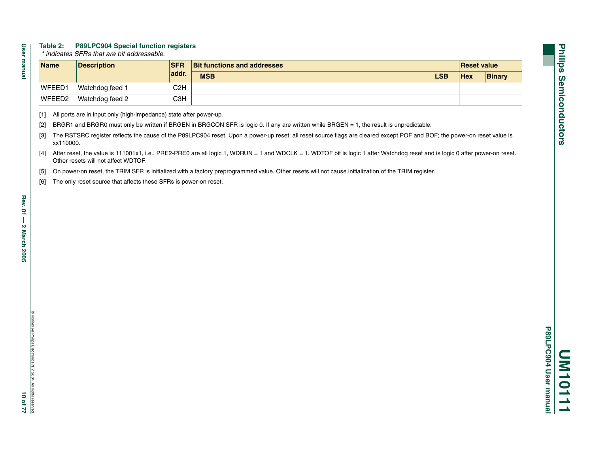#### **Table 2: P89LPC904 Special function registers**

 *\* indicates SFRs that are bit addressable.* 

| <b>Name</b>        | <b>Description</b> | <b>SFR</b> | <b>Bit functions and addresses</b> | Reset value |               |
|--------------------|--------------------|------------|------------------------------------|-------------|---------------|
|                    |                    | addr.      | <b>MSB</b><br><b>LSB</b>           | <b>Hex</b>  | <b>Binary</b> |
| WFEED1             | Watchdog feed 1    | C2H        |                                    |             |               |
| WFEED <sub>2</sub> | Watchdog feed 2    | СЗН        |                                    |             |               |

<span id="page-9-0"></span>[1] All ports are in input only (high-impedance) state after power-up.

<span id="page-9-1"></span>[2] BRGR1 and BRGR0 must only be written if BRGEN in BRGCON SFR is logic 0. If any are written while BRGEN = 1, the result is unpredictable.

<span id="page-9-2"></span>[3] The RSTSRC register reflects the cause of the P89LPC904 reset. Upon a power-up reset, all reset source flags are cleared except POF and BOF; the power-on reset value is xx110000.

- <span id="page-9-5"></span>[4] After reset, the value is 111001x1, i.e., PRE2-PRE0 are all logic 1, WDRUN = 1 and WDCLK = 1. WDTOF bit is logic 1 after Watchdog reset and is logic 0 after power-on reset. Other resets will not affect WDTOF.
- <span id="page-9-4"></span>[5] On power-on reset, the TRIM SFR is initialized with a factory preprogrammed value. Other resets will not cause initialization of the TRIM register.
- <span id="page-9-3"></span>[6] The only reset source that affects these SFRs is power-on reset.

**User manual**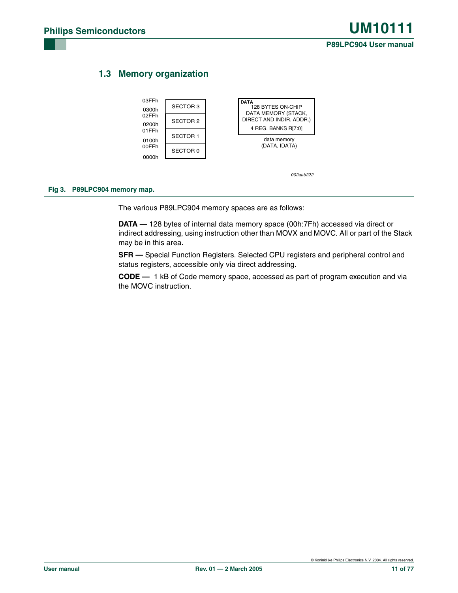



The various P89LPC904 memory spaces are as follows:

**DATA —** 128 bytes of internal data memory space (00h:7Fh) accessed via direct or indirect addressing, using instruction other than MOVX and MOVC. All or part of the Stack may be in this area.

**SFR —** Special Function Registers. Selected CPU registers and peripheral control and status registers, accessible only via direct addressing.

**CODE —** 1 kB of Code memory space, accessed as part of program execution and via the MOVC instruction.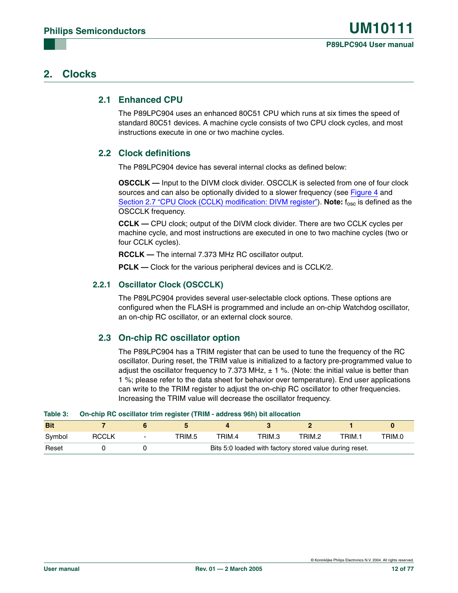#### **2. Clocks**

#### **2.1 Enhanced CPU**

The P89LPC904 uses an enhanced 80C51 CPU which runs at six times the speed of standard 80C51 devices. A machine cycle consists of two CPU clock cycles, and most instructions execute in one or two machine cycles.

#### **2.2 Clock definitions**

The P89LPC904 device has several internal clocks as defined below:

**OSCCLK —** Input to the DIVM clock divider. OSCCLK is selected from one of four clock sources and can also be optionally divided to a slower frequency (see [Figure 4](#page-12-0) and [Section 2.7 "CPU Clock \(CCLK\) modification: DIVM register"](#page-13-0)). **Note:** f<sub>osc</sub> is defined as the OSCCLK frequency.

**CCLK —** CPU clock; output of the DIVM clock divider. There are two CCLK cycles per machine cycle, and most instructions are executed in one to two machine cycles (two or four CCLK cycles).

**RCCLK —** The internal 7.373 MHz RC oscillator output.

**PCLK —** Clock for the various peripheral devices and is CCLK/2.

#### **2.2.1 Oscillator Clock (OSCCLK)**

The P89LPC904 provides several user-selectable clock options. These options are configured when the FLASH is programmed and include an on-chip Watchdog oscillator, an on-chip RC oscillator, or an external clock source.

#### **2.3 On-chip RC oscillator option**

The P89LPC904 has a TRIM register that can be used to tune the frequency of the RC oscillator. During reset, the TRIM value is initialized to a factory pre-programmed value to adjust the oscillator frequency to 7.373 MHz,  $\pm$  1 %. (Note: the initial value is better than 1 %; please refer to the data sheet for behavior over temperature). End user applications can write to the TRIM register to adjust the on-chip RC oscillator to other frequencies. Increasing the TRIM value will decrease the oscillator frequency.

| $\sim$     | <b>University the coomator train regions (Train Tagarcoo Con) but anovation</b> |                          |        |        |                                                         |        |        |        |
|------------|---------------------------------------------------------------------------------|--------------------------|--------|--------|---------------------------------------------------------|--------|--------|--------|
| <b>Bit</b> |                                                                                 |                          |        |        |                                                         |        |        |        |
| Svmbol     | <b>RCCLK</b>                                                                    | $\overline{\phantom{0}}$ | TRIM.5 | TRIM.4 | TRIM.3                                                  | TRIM.2 | TRIM.1 | TRIM.0 |
| Reset      |                                                                                 |                          |        |        | Bits 5:0 loaded with factory stored value during reset. |        |        |        |

#### **Table 3: On-chip RC oscillator trim register (TRIM - address 96h) bit allocation**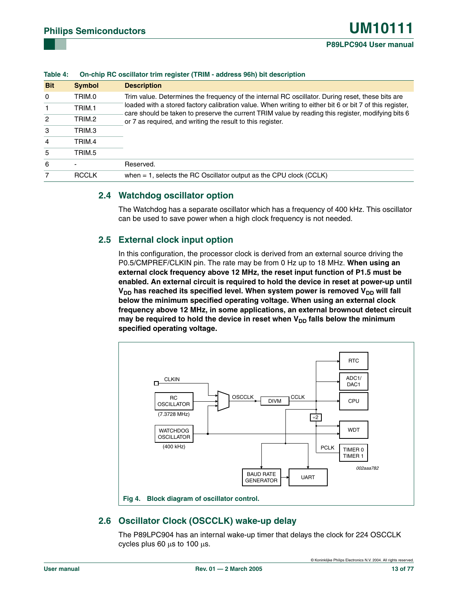| $1001G +$     |               | <u>UIFUIID NU USUIIAIUI IIIIII IUUSIUI IIIIIIII FAUULUSS VUII DII UUSUIDIIII</u>                                                                                                                              |
|---------------|---------------|---------------------------------------------------------------------------------------------------------------------------------------------------------------------------------------------------------------|
| <b>Bit</b>    | <b>Symbol</b> | <b>Description</b>                                                                                                                                                                                            |
| $\Omega$      | TRIM.0        | Trim value. Determines the frequency of the internal RC oscillator. During reset, these bits are                                                                                                              |
|               | TRIM.1        | loaded with a stored factory calibration value. When writing to either bit 6 or bit 7 of this register.<br>care should be taken to preserve the current TRIM value by reading this register, modifying bits 6 |
| $\mathcal{P}$ | TRIM.2        | or 7 as required, and writing the result to this register.                                                                                                                                                    |
| 3             | TRIM.3        |                                                                                                                                                                                                               |
| 4             | TRIM.4        |                                                                                                                                                                                                               |
| 5             | TRIM.5        |                                                                                                                                                                                                               |
| 6             |               | Reserved.                                                                                                                                                                                                     |
|               | <b>RCCLK</b>  | when $= 1$ , selects the RC Oscillator output as the CPU clock (CCLK)                                                                                                                                         |
|               |               |                                                                                                                                                                                                               |

#### **Table 4: On-chip RC oscillator trim register (TRIM - address 96h) bit description**

#### **2.4 Watchdog oscillator option**

The Watchdog has a separate oscillator which has a frequency of 400 kHz. This oscillator can be used to save power when a high clock frequency is not needed.

#### **2.5 External clock input option**

In this configuration, the processor clock is derived from an external source driving the P0.5/CMPREF/CLKIN pin. The rate may be from 0 Hz up to 18 MHz. **When using an external clock frequency above 12 MHz, the reset input function of P1.5 must be enabled. An external circuit is required to hold the device in reset at power-up until**  V<sub>DD</sub> has reached its specified level. When system power is removed V<sub>DD</sub> will fall **below the minimum specified operating voltage. When using an external clock frequency above 12 MHz, in some applications, an external brownout detect circuit**  may be required to hold the device in reset when V<sub>DD</sub> falls below the minimum **specified operating voltage.**



#### <span id="page-12-0"></span>**2.6 Oscillator Clock (OSCCLK) wake-up delay**

The P89LPC904 has an internal wake-up timer that delays the clock for 224 OSCCLK cycles plus 60 µs to 100 µs.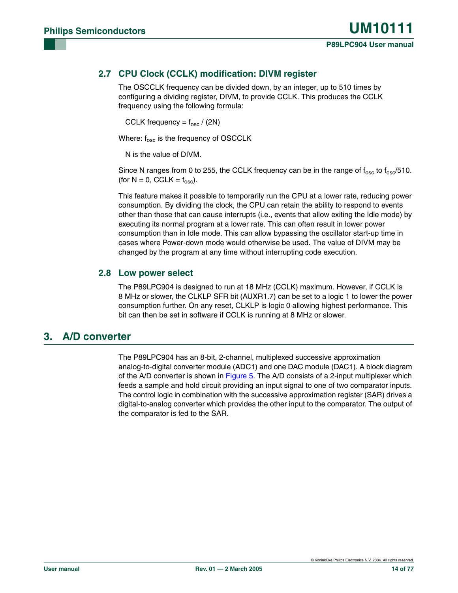#### <span id="page-13-0"></span>**2.7 CPU Clock (CCLK) modification: DIVM register**

The OSCCLK frequency can be divided down, by an integer, up to 510 times by configuring a dividing register, DIVM, to provide CCLK. This produces the CCLK frequency using the following formula:

CCLK frequency =  $f_{\rm osc}$  / (2N)

Where:  $f_{\rm osc}$  is the frequency of OSCCLK

N is the value of DIVM.

Since N ranges from 0 to 255, the CCLK frequency can be in the range of  $f_{\rm osc}$  to  $f_{\rm osc}$  (510. (for  $N = 0$ , CCLK =  $f_{\text{osc}}$ ).

This feature makes it possible to temporarily run the CPU at a lower rate, reducing power consumption. By dividing the clock, the CPU can retain the ability to respond to events other than those that can cause interrupts (i.e., events that allow exiting the Idle mode) by executing its normal program at a lower rate. This can often result in lower power consumption than in Idle mode. This can allow bypassing the oscillator start-up time in cases where Power-down mode would otherwise be used. The value of DIVM may be changed by the program at any time without interrupting code execution.

#### **2.8 Low power select**

The P89LPC904 is designed to run at 18 MHz (CCLK) maximum. However, if CCLK is 8 MHz or slower, the CLKLP SFR bit (AUXR1.7) can be set to a logic 1 to lower the power consumption further. On any reset, CLKLP is logic 0 allowing highest performance. This bit can then be set in software if CCLK is running at 8 MHz or slower.

#### **3. A/D converter**

The P89LPC904 has an 8-bit, 2-channel, multiplexed successive approximation analog-to-digital converter module (ADC1) and one DAC module (DAC1). A block diagram of the A/D converter is shown in [Figure 5.](#page-14-0) The A/D consists of a 2-input multiplexer which feeds a sample and hold circuit providing an input signal to one of two comparator inputs. The control logic in combination with the successive approximation register (SAR) drives a digital-to-analog converter which provides the other input to the comparator. The output of the comparator is fed to the SAR.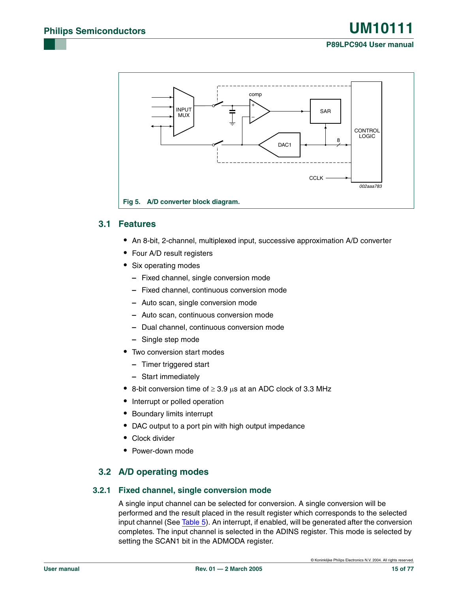#### **Fig 5. A/D converter block diagram.** + – comp DAC<sub>1</sub> SAR 8 INPUT **MUX CONTROL** LOGIC **CCLK** 002aaa783

#### <span id="page-14-0"></span>**3.1 Features**

- **•** An 8-bit, 2-channel, multiplexed input, successive approximation A/D converter
- **•** Four A/D result registers
- **•** Six operating modes
	- **–** Fixed channel, single conversion mode
	- **–** Fixed channel, continuous conversion mode
	- **–** Auto scan, single conversion mode
	- **–** Auto scan, continuous conversion mode
	- **–** Dual channel, continuous conversion mode
	- **–** Single step mode
- **•** Two conversion start modes
	- **–** Timer triggered start
	- **–** Start immediately
- **•** 8-bit conversion time of ≥ 3.9 µs at an ADC clock of 3.3 MHz
- **•** Interrupt or polled operation
- **•** Boundary limits interrupt
- **•** DAC output to a port pin with high output impedance
- **•** Clock divider
- **•** Power-down mode

#### **3.2 A/D operating modes**

#### **3.2.1 Fixed channel, single conversion mode**

A single input channel can be selected for conversion. A single conversion will be performed and the result placed in the result register which corresponds to the selected input channel (See [Table 5](#page-15-0)). An interrupt, if enabled, will be generated after the conversion completes. The input channel is selected in the ADINS register. This mode is selected by setting the SCAN1 bit in the ADMODA register.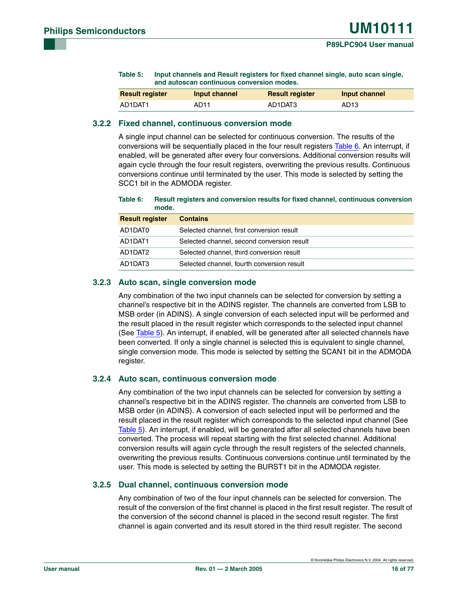<span id="page-15-0"></span>

| Table 5: | Input channels and Result registers for fixed channel single, auto scan single, |
|----------|---------------------------------------------------------------------------------|
|          | and autoscan continuous conversion modes.                                       |

| <b>Result register</b> | Input channel | <b>Result register</b> | Input channel    |
|------------------------|---------------|------------------------|------------------|
| AD1DAT1                | AD11          | AD1DAT3                | AD <sub>13</sub> |

#### **3.2.2 Fixed channel, continuous conversion mode**

A single input channel can be selected for continuous conversion. The results of the conversions will be sequentially placed in the four result registers [Table 6.](#page-15-1) An interrupt, if enabled, will be generated after every four conversions. Additional conversion results will again cycle through the four result registers, overwriting the previous results. Continuous conversions continue until terminated by the user. This mode is selected by setting the SCC1 bit in the ADMODA register.

<span id="page-15-1"></span>**Table 6: Result registers and conversion results for fixed channel, continuous conversion mode.**

| <b>Result register</b> | <b>Contains</b>                            |
|------------------------|--------------------------------------------|
| AD1DAT0                | Selected channel, first conversion result  |
| AD1DAT1                | Selected channel, second conversion result |
| AD1DAT2                | Selected channel, third conversion result  |
| AD1DAT3                | Selected channel, fourth conversion result |

#### **3.2.3 Auto scan, single conversion mode**

Any combination of the two input channels can be selected for conversion by setting a channel's respective bit in the ADINS register. The channels are converted from LSB to MSB order (in ADINS). A single conversion of each selected input will be performed and the result placed in the result register which corresponds to the selected input channel (See [Table 5](#page-15-0)). An interrupt, if enabled, will be generated after all selected channels have been converted. If only a single channel is selected this is equivalent to single channel, single conversion mode. This mode is selected by setting the SCAN1 bit in the ADMODA register.

#### **3.2.4 Auto scan, continuous conversion mode**

Any combination of the two input channels can be selected for conversion by setting a channel's respective bit in the ADINS register. The channels are converted from LSB to MSB order (in ADINS). A conversion of each selected input will be performed and the result placed in the result register which corresponds to the selected input channel (See [Table 5](#page-15-0)). An interrupt, if enabled, will be generated after all selected channels have been converted. The process will repeat starting with the first selected channel. Additional conversion results will again cycle through the result registers of the selected channels, overwriting the previous results. Continuous conversions continue until terminated by the user. This mode is selected by setting the BURST1 bit in the ADMODA register.

#### **3.2.5 Dual channel, continuous conversion mode**

Any combination of two of the four input channels can be selected for conversion. The result of the conversion of the first channel is placed in the first result register. The result of the conversion of the second channel is placed in the second result register. The first channel is again converted and its result stored in the third result register. The second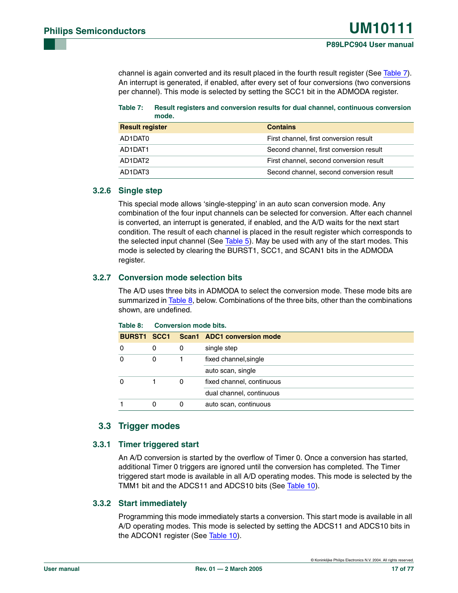channel is again converted and its result placed in the fourth result register (See [Table 7\)](#page-16-0). An interrupt is generated, if enabled, after every set of four conversions (two conversions per channel). This mode is selected by setting the SCC1 bit in the ADMODA register.

<span id="page-16-0"></span>**Table 7: Result registers and conversion results for dual channel, continuous conversion mode.**

| <b>Result register</b> | <b>Contains</b>                          |
|------------------------|------------------------------------------|
| AD1DAT0                | First channel, first conversion result   |
| AD1DAT1                | Second channel, first conversion result  |
| AD1DAT2                | First channel, second conversion result  |
| AD1DAT3                | Second channel, second conversion result |

#### **3.2.6 Single step**

This special mode allows 'single-stepping' in an auto scan conversion mode. Any combination of the four input channels can be selected for conversion. After each channel is converted, an interrupt is generated, if enabled, and the A/D waits for the next start condition. The result of each channel is placed in the result register which corresponds to the selected input channel (See [Table 5](#page-15-0)). May be used with any of the start modes. This mode is selected by clearing the BURST1, SCC1, and SCAN1 bits in the ADMODA register.

#### **3.2.7 Conversion mode selection bits**

The A/D uses three bits in ADMODA to select the conversion mode. These mode bits are summarized in  $Table 8$ , below. Combinations of the three bits, other than the combinations shown, are undefined.

| <b>BURST1 SCC1</b> |   |   | Scan1 ADC1 conversion mode |  |  |  |
|--------------------|---|---|----------------------------|--|--|--|
| 0                  | 0 | 0 | single step                |  |  |  |
|                    | 0 |   | fixed channel, single      |  |  |  |
|                    |   |   | auto scan, single          |  |  |  |
|                    |   | 0 | fixed channel, continuous  |  |  |  |
|                    |   |   | dual channel, continuous   |  |  |  |
|                    | Ω | 0 | auto scan, continuous      |  |  |  |

#### <span id="page-16-1"></span>**Table 8: Conversion mode bits.**

#### **3.3 Trigger modes**

#### **3.3.1 Timer triggered start**

An A/D conversion is started by the overflow of Timer 0. Once a conversion has started, additional Timer 0 triggers are ignored until the conversion has completed. The Timer triggered start mode is available in all A/D operating modes. This mode is selected by the TMM1 bit and the ADCS11 and ADCS10 bits (See [Table 10\)](#page-18-0).

#### **3.3.2 Start immediately**

Programming this mode immediately starts a conversion. This start mode is available in all A/D operating modes. This mode is selected by setting the ADCS11 and ADCS10 bits in the ADCON1 register (See [Table 10](#page-18-0)).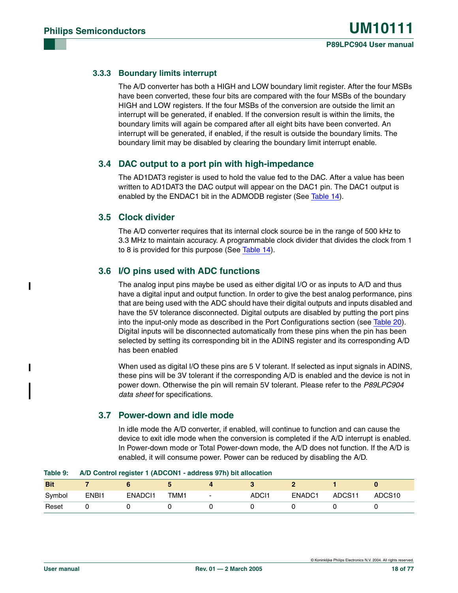#### **3.3.3 Boundary limits interrupt**

The A/D converter has both a HIGH and LOW boundary limit register. After the four MSBs have been converted, these four bits are compared with the four MSBs of the boundary HIGH and LOW registers. If the four MSBs of the conversion are outside the limit an interrupt will be generated, if enabled. If the conversion result is within the limits, the boundary limits will again be compared after all eight bits have been converted. An interrupt will be generated, if enabled, if the result is outside the boundary limits. The boundary limit may be disabled by clearing the boundary limit interrupt enable.

#### **3.4 DAC output to a port pin with high-impedance**

The AD1DAT3 register is used to hold the value fed to the DAC. After a value has been written to AD1DAT3 the DAC output will appear on the DAC1 pin. The DAC1 output is enabled by the ENDAC1 bit in the ADMODB register (See [Table 14\)](#page-18-1).

#### **3.5 Clock divider**

The A/D converter requires that its internal clock source be in the range of 500 kHz to 3.3 MHz to maintain accuracy. A programmable clock divider that divides the clock from 1 to 8 is provided for this purpose (See [Table 14\)](#page-18-1).

#### **3.6 I/O pins used with ADC functions**

The analog input pins maybe be used as either digital I/O or as inputs to A/D and thus have a digital input and output function. In order to give the best analog performance, pins that are being used with the ADC should have their digital outputs and inputs disabled and have the 5V tolerance disconnected. Digital outputs are disabled by putting the port pins into the input-only mode as described in the Port Configurations section (see [Table 20](#page-22-1)). Digital inputs will be disconnected automatically from these pins when the pin has been selected by setting its corresponding bit in the ADINS register and its corresponding A/D has been enabled

When used as digital I/O these pins are 5 V tolerant. If selected as input signals in ADINS, these pins will be 3V tolerant if the corresponding A/D is enabled and the device is not in power down. Otherwise the pin will remain 5V tolerant. Please refer to the *P89LPC904 data sheet* for specifications.

#### **3.7 Power-down and idle mode**

In idle mode the A/D converter, if enabled, will continue to function and can cause the device to exit idle mode when the conversion is completed if the A/D interrupt is enabled. In Power-down mode or Total Power-down mode, the A/D does not function. If the A/D is enabled, it will consume power. Power can be reduced by disabling the A/D.

| <b>Bit</b> |       |                    |      |   |       |        |        |                    |
|------------|-------|--------------------|------|---|-------|--------|--------|--------------------|
| Symbol     | ENBI1 | ENADC <sub>1</sub> | TMM1 | - | ADCI1 | ENADC1 | ADCS11 | ADCS <sub>10</sub> |
| Reset      |       |                    |      |   |       |        |        |                    |

#### **Table 9: A/D Control register 1 (ADCON1 - address 97h) bit allocation**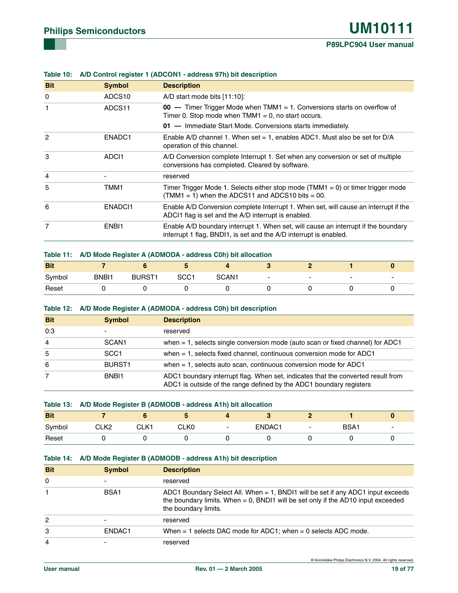| <b>Bit</b>     | <b>Symbol</b>      | <b>Description</b>                                                                                                                                      |
|----------------|--------------------|---------------------------------------------------------------------------------------------------------------------------------------------------------|
| 0              | ADCS <sub>10</sub> | $A/D$ start mode bits $[11:10]$ :                                                                                                                       |
| 1              | ADCS11             | $00 -$ Timer Trigger Mode when TMM1 = 1. Conversions starts on overflow of<br>Timer 0. Stop mode when $TMM1 = 0$ , no start occurs.                     |
|                |                    | 01 - Immediate Start Mode. Conversions starts immediately.                                                                                              |
| $\overline{c}$ | ENADC1             | Enable A/D channel 1. When set = 1, enables ADC1. Must also be set for $D/A$<br>operation of this channel.                                              |
| 3              | ADCI1              | A/D Conversion complete Interrupt 1. Set when any conversion or set of multiple<br>conversions has completed. Cleared by software.                      |
| 4              |                    | reserved                                                                                                                                                |
| 5              | TMM1               | Timer Trigger Mode 1. Selects either stop mode $(TMM1 = 0)$ or timer trigger mode<br>$(TMM1 = 1)$ when the ADCS11 and ADCS10 bits = 00.                 |
| 6              | ENADC <sub>1</sub> | Enable A/D Conversion complete Interrupt 1. When set, will cause an interrupt if the<br>ADCI1 flag is set and the A/D interrupt is enabled.             |
| 7              | ENBI1              | Enable A/D boundary interrupt 1. When set, will cause an interrupt if the boundary<br>interrupt 1 flag, BNDI1, is set and the A/D interrupt is enabled. |
|                |                    |                                                                                                                                                         |

#### <span id="page-18-0"></span>**Table 10: A/D Control register 1 (ADCON1 - address 97h) bit description**

#### **Table 11: A/D Mode Register A (ADMODA - address C0h) bit allocation**

| <b>Bit</b> |       |               |                  |                   |                          |   |                          |
|------------|-------|---------------|------------------|-------------------|--------------------------|---|--------------------------|
| Symbol     | BNBI1 | <b>BURST1</b> | SCC <sub>1</sub> | SCAN <sub>1</sub> | $\overline{\phantom{0}}$ | - | $\overline{\phantom{0}}$ |
| Reset      |       |               |                  |                   |                          |   |                          |

#### **Table 12: A/D Mode Register A (ADMODA - address C0h) bit description**

| <b>Bit</b> | <b>Symbol</b>            | <b>Description</b>                                                                                                                                      |
|------------|--------------------------|---------------------------------------------------------------------------------------------------------------------------------------------------------|
| 0:3        | $\overline{\phantom{0}}$ | reserved                                                                                                                                                |
| 4          | SCAN <sub>1</sub>        | when $= 1$ , selects single conversion mode (auto scan or fixed channel) for ADC1                                                                       |
| 5          | SCC <sub>1</sub>         | when $= 1$ , selects fixed channel, continuous conversion mode for ADC1                                                                                 |
| 6          | BURST <sub>1</sub>       | when $= 1$ , selects auto scan, continuous conversion mode for ADC1                                                                                     |
| 7          | BNB <sub>1</sub>         | ADC1 boundary interrupt flag. When set, indicates that the converted result from<br>ADC1 is outside of the range defined by the ADC1 boundary registers |

#### **Table 13: A/D Mode Register B (ADMODB - address A1h) bit allocation**

| <b>Bit</b> |                  |      |                  |                          |        |                          |      |                          |
|------------|------------------|------|------------------|--------------------------|--------|--------------------------|------|--------------------------|
| Symbol     | CLK <sub>2</sub> | CLK1 | CLK <sub>0</sub> | $\overline{\phantom{0}}$ | ENDAC1 | $\overline{\phantom{0}}$ | BSA1 | $\overline{\phantom{a}}$ |
| Reset      |                  |      |                  |                          |        |                          |      |                          |

#### <span id="page-18-1"></span>**Table 14: A/D Mode Register B (ADMODB - address A1h) bit description**

| <b>Bit</b> | <b>Symbol</b>      | <b>Description</b>                                                                                                                                                                                |
|------------|--------------------|---------------------------------------------------------------------------------------------------------------------------------------------------------------------------------------------------|
| $\Omega$   |                    | reserved                                                                                                                                                                                          |
|            | BSA1               | ADC1 Boundary Select All. When $= 1$ , BNDI1 will be set if any ADC1 input exceeds<br>the boundary limits. When $= 0$ , BNDI1 will be set only if the AD10 input exceeded<br>the boundary limits. |
| 2          |                    | reserved                                                                                                                                                                                          |
| 3          | ENDAC <sub>1</sub> | When $=$ 1 selects DAC mode for ADC1; when $=$ 0 selects ADC mode.                                                                                                                                |
| 4          |                    | reserved                                                                                                                                                                                          |

© Koninklijke Philips Electronics N.V. 2004. All rights reserved.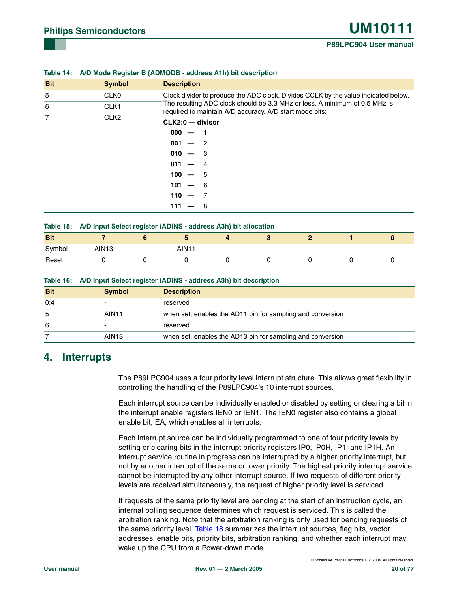| <b>Bit</b>     | <b>Symbol</b>    | <b>Description</b>                                                                                                                    |  |  |  |  |  |
|----------------|------------------|---------------------------------------------------------------------------------------------------------------------------------------|--|--|--|--|--|
| 5              | CLK <sub>0</sub> | Clock divider to produce the ADC clock. Divides CCLK by the value indicated below.                                                    |  |  |  |  |  |
| 6              | CLK <sub>1</sub> | The resulting ADC clock should be 3.3 MHz or less. A minimum of 0.5 MHz is<br>required to maintain A/D accuracy. A/D start mode bits: |  |  |  |  |  |
| $\overline{7}$ | CLK <sub>2</sub> | CLK2:0 - divisor                                                                                                                      |  |  |  |  |  |
|                |                  | $000 -$                                                                                                                               |  |  |  |  |  |
|                |                  | $001 - 2$                                                                                                                             |  |  |  |  |  |
|                |                  | $010 - 3$                                                                                                                             |  |  |  |  |  |
|                |                  | $011 -$<br>- 4                                                                                                                        |  |  |  |  |  |
|                |                  | $100 - 5$                                                                                                                             |  |  |  |  |  |
|                |                  | 101<br>- 6                                                                                                                            |  |  |  |  |  |
|                |                  | $110 -$                                                                                                                               |  |  |  |  |  |
|                |                  | - 8<br>111                                                                                                                            |  |  |  |  |  |

#### **Table 14: A/D Mode Register B (ADMODB - address A1h) bit description**

| Table 15: A/D Input Select register (ADINS - address A3h) bit allocation |  |  |
|--------------------------------------------------------------------------|--|--|
|                                                                          |  |  |

| <b>Bit</b> |                   |                          |      |                          |                          |                          |                          |                          |
|------------|-------------------|--------------------------|------|--------------------------|--------------------------|--------------------------|--------------------------|--------------------------|
| Symbol     | AIN <sub>13</sub> | $\overline{\phantom{0}}$ | AIN1 | $\overline{\phantom{0}}$ | $\overline{\phantom{0}}$ | $\overline{\phantom{0}}$ | $\overline{\phantom{0}}$ | $\overline{\phantom{0}}$ |
| Reset      |                   |                          |      |                          |                          |                          |                          |                          |

| Table 16: A/D Input Select register (ADINS - address A3h) bit description |  |  |
|---------------------------------------------------------------------------|--|--|
|                                                                           |  |  |

| <b>Bit</b> | <b>Symbol</b>            | <b>Description</b>                                         |
|------------|--------------------------|------------------------------------------------------------|
| 0:4        | $\overline{\phantom{0}}$ | reserved                                                   |
| 5          | AIN11                    | when set, enables the AD11 pin for sampling and conversion |
| 6          | $\overline{\phantom{0}}$ | reserved                                                   |
|            | AIN <sub>13</sub>        | when set, enables the AD13 pin for sampling and conversion |

#### **4. Interrupts**

The P89LPC904 uses a four priority level interrupt structure. This allows great flexibility in controlling the handling of the P89LPC904's 10 interrupt sources.

Each interrupt source can be individually enabled or disabled by setting or clearing a bit in the interrupt enable registers IEN0 or IEN1. The IEN0 register also contains a global enable bit, EA, which enables all interrupts.

Each interrupt source can be individually programmed to one of four priority levels by setting or clearing bits in the interrupt priority registers IP0, IP0H, IP1, and IP1H. An interrupt service routine in progress can be interrupted by a higher priority interrupt, but not by another interrupt of the same or lower priority. The highest priority interrupt service cannot be interrupted by any other interrupt source. If two requests of different priority levels are received simultaneously, the request of higher priority level is serviced.

If requests of the same priority level are pending at the start of an instruction cycle, an internal polling sequence determines which request is serviced. This is called the arbitration ranking. Note that the arbitration ranking is only used for pending requests of the same priority level. [Table 18](#page-20-0) summarizes the interrupt sources, flag bits, vector addresses, enable bits, priority bits, arbitration ranking, and whether each interrupt may wake up the CPU from a Power-down mode.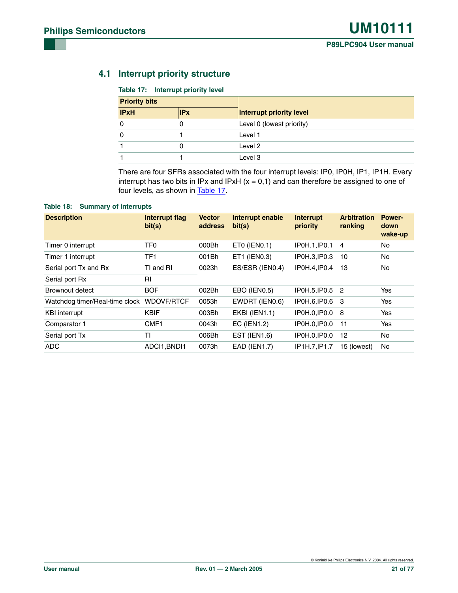#### **4.1 Interrupt priority structure**

#### <span id="page-20-1"></span>**Table 17: Interrupt priority level**

| <b>Priority bits</b> |            |                           |
|----------------------|------------|---------------------------|
| <b>IPxH</b>          | <b>IPx</b> | Interrupt priority level  |
|                      | 0          | Level 0 (lowest priority) |
|                      |            | Level 1                   |
|                      | 0          | Level 2                   |
|                      |            | Level 3                   |

There are four SFRs associated with the four interrupt levels: IP0, IP0H, IP1, IP1H. Every interrupt has two bits in IPx and IPxH  $(x = 0, 1)$  and can therefore be assigned to one of four levels, as shown in [Table 17.](#page-20-1)

#### <span id="page-20-0"></span>**Table 18: Summary of interrupts**

| <b>Description</b>             | Interrupt flag<br>bit(s) | <b>Vector</b><br>address | Interrupt enable<br>bit(s) | <b>Interrupt</b><br>priority | <b>Arbitration</b><br>ranking | <b>Power-</b><br>down<br>wake-up |
|--------------------------------|--------------------------|--------------------------|----------------------------|------------------------------|-------------------------------|----------------------------------|
| Timer 0 interrupt              | TF <sub>0</sub>          | 000Bh                    | ETO (IENO.1)               | IP0H.1, IP0.1                | $\overline{4}$                | <b>No</b>                        |
| Timer 1 interrupt              | TF <sub>1</sub>          | 001Bh                    | ET1 (IEN0.3)               | IP0H.3, IP0.3                | 10                            | <b>No</b>                        |
| Serial port Tx and Rx          | TI and RI                | 0023h                    | ES/ESR (IEN0.4)            | IP0H.4, IP0.4                | 13                            | <b>No</b>                        |
| Serial port Rx                 | RI                       |                          |                            |                              |                               |                                  |
| Brownout detect                | <b>BOF</b>               | 002Bh                    | EBO (IEN0.5)               | IP0H.5, IP0.5 2              |                               | Yes                              |
| Watchdog timer/Real-time clock | WDOVF/RTCF               | 0053h                    | EWDRT (IEN0.6)             | IP0H.6, IP0.6 3              |                               | Yes                              |
| <b>KBI</b> interrupt           | <b>KBIF</b>              | 003Bh                    | <b>EKBI (IEN1.1)</b>       | IP0H.0, IP0.0                | - 8                           | Yes                              |
| Comparator 1                   | CMF1                     | 0043h                    | EC (IEN1.2)                | IP0H.0, IP0.0                | 11                            | Yes                              |
| Serial port Tx                 | <b>TI</b>                | 006Bh                    | <b>EST (IEN1.6)</b>        | IP0H.0, IP0.0                | 12                            | <b>No</b>                        |
| ADC                            | ADCI1.BNDI1              | 0073h                    | <b>EAD (IEN1.7)</b>        | IP1H.7.IP1.7                 | 15 (lowest)                   | No                               |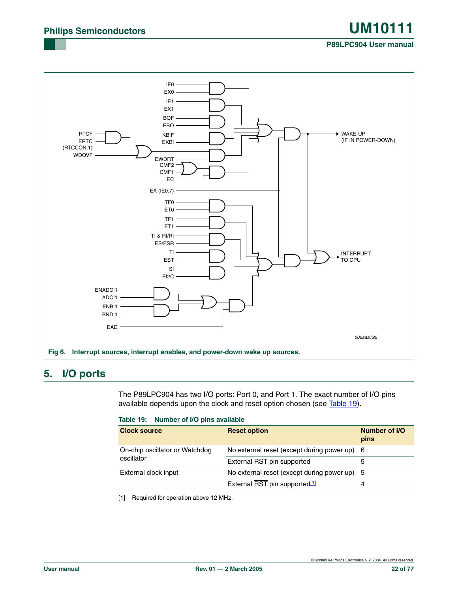#### **Fig 6. Interrupt sources, interrupt enables, and power-down wake up sources.** 002aaa792 IE0 EX<sub>0</sub> IE1 EX1 BOF EBO KBIF EKBI INTERRUPT TO CPU WAKE-UP (IF IN POWER-DOWN) EWDRT CMF<sub>2</sub> CMF1 EC EA (IE0.7) TF1 ET1 TI & RI/RI ES/ESR TI EST SI EI2C RTCF ERTC (RTCCON.1) WDOVF TF0 ET<sub>0</sub> ENADCI1 -ADCI1 ENBI1 BNDI1 EAD

## **5. I/O ports**

The P89LPC904 has two I/O ports: Port 0, and Port 1. The exact number of I/O pins available depends upon the clock and reset option chosen (see [Table 19](#page-21-0)).

#### <span id="page-21-0"></span>**Table 19: Number of I/O pins available**

| <b>Clock source</b>            | <b>Reset option</b>                          | Number of I/O<br>pins |
|--------------------------------|----------------------------------------------|-----------------------|
| On-chip oscillator or Watchdog | No external reset (except during power up) 6 |                       |
| oscillator                     | External RST pin supported                   |                       |
| External clock input           | No external reset (except during power up) 5 |                       |
|                                | External RST pin supported <sup>[1]</sup>    |                       |

<span id="page-21-1"></span>[1] Required for operation above 12 MHz.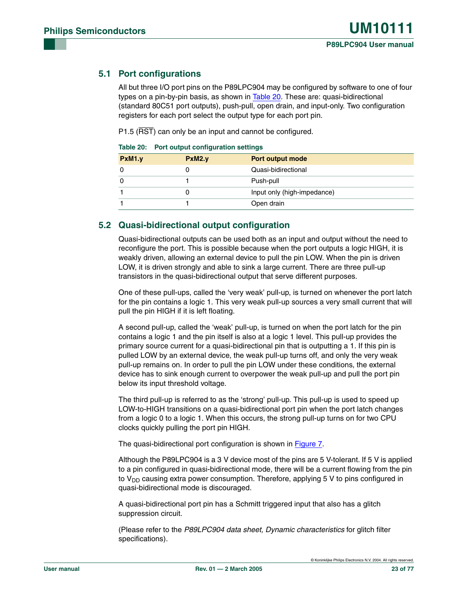#### <span id="page-22-0"></span>**5.1 Port configurations**

All but three I/O port pins on the P89LPC904 may be configured by software to one of four types on a pin-by-pin basis, as shown in [Table 20](#page-22-1). These are: quasi-bidirectional (standard 80C51 port outputs), push-pull, open drain, and input-only. Two configuration registers for each port select the output type for each port pin.

P1.5 (RST) can only be an input and cannot be configured.

|        | Table 20. Fort output comiguration settings |                             |  |  |
|--------|---------------------------------------------|-----------------------------|--|--|
| PxM1.y | PxM2.y                                      | Port output mode            |  |  |
|        |                                             | Quasi-bidirectional         |  |  |
|        |                                             | Push-pull                   |  |  |
|        |                                             | Input only (high-impedance) |  |  |
|        |                                             | Open drain                  |  |  |

<span id="page-22-1"></span>

|  |  | Table 20: Port output configuration settings |  |
|--|--|----------------------------------------------|--|
|--|--|----------------------------------------------|--|

#### **5.2 Quasi-bidirectional output configuration**

Quasi-bidirectional outputs can be used both as an input and output without the need to reconfigure the port. This is possible because when the port outputs a logic HIGH, it is weakly driven, allowing an external device to pull the pin LOW. When the pin is driven LOW, it is driven strongly and able to sink a large current. There are three pull-up transistors in the quasi-bidirectional output that serve different purposes.

One of these pull-ups, called the 'very weak' pull-up, is turned on whenever the port latch for the pin contains a logic 1. This very weak pull-up sources a very small current that will pull the pin HIGH if it is left floating.

A second pull-up, called the 'weak' pull-up, is turned on when the port latch for the pin contains a logic 1 and the pin itself is also at a logic 1 level. This pull-up provides the primary source current for a quasi-bidirectional pin that is outputting a 1. If this pin is pulled LOW by an external device, the weak pull-up turns off, and only the very weak pull-up remains on. In order to pull the pin LOW under these conditions, the external device has to sink enough current to overpower the weak pull-up and pull the port pin below its input threshold voltage.

The third pull-up is referred to as the 'strong' pull-up. This pull-up is used to speed up LOW-to-HIGH transitions on a quasi-bidirectional port pin when the port latch changes from a logic 0 to a logic 1. When this occurs, the strong pull-up turns on for two CPU clocks quickly pulling the port pin HIGH.

The quasi-bidirectional port configuration is shown in [Figure 7.](#page-23-0)

Although the P89LPC904 is a 3 V device most of the pins are 5 V-tolerant. If 5 V is applied to a pin configured in quasi-bidirectional mode, there will be a current flowing from the pin to  $V_{DD}$  causing extra power consumption. Therefore, applying 5 V to pins configured in quasi-bidirectional mode is discouraged.

A quasi-bidirectional port pin has a Schmitt triggered input that also has a glitch suppression circuit.

(Please refer to the *P89LPC904 data sheet, Dynamic characteristics* for glitch filter specifications).

© Koninklijke Philips Electronics N.V. 2004. All rights reserved.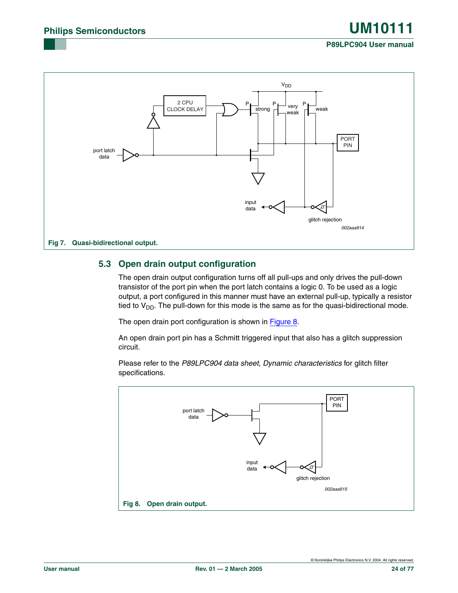#### **Fig 7. Quasi-bidirectional output.** 002aaa914 2 CPU CLOCK DELAY port latch data strong  $\overline{A}$  very  $\overline{A}$  weak input data  $P \vdash$ <sub>strong</sub>  $P \vdash$ <sub>very</sub> P weak V<sub>DD</sub> PORT PIN glitch rejection

#### <span id="page-23-0"></span>**5.3 Open drain output configuration**

The open drain output configuration turns off all pull-ups and only drives the pull-down transistor of the port pin when the port latch contains a logic 0. To be used as a logic output, a port configured in this manner must have an external pull-up, typically a resistor tied to  $V_{DD}$ . The pull-down for this mode is the same as for the quasi-bidirectional mode.

The open drain port configuration is shown in [Figure 8](#page-23-1).

An open drain port pin has a Schmitt triggered input that also has a glitch suppression circuit.

Please refer to the *P89LPC904 data sheet, Dynamic characteristics* for glitch filter specifications.

<span id="page-23-1"></span>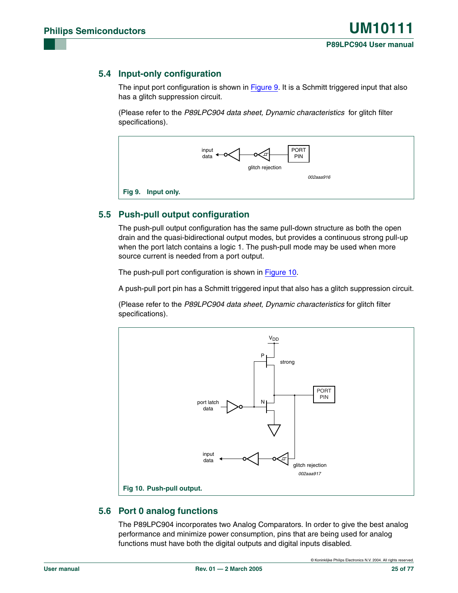#### **5.4 Input-only configuration**

The input port configuration is shown in [Figure 9.](#page-24-0) It is a Schmitt triggered input that also has a glitch suppression circuit.

(Please refer to the *P89LPC904 data sheet, Dynamic characteristics* for glitch filter specifications).



#### <span id="page-24-0"></span>**5.5 Push-pull output configuration**

The push-pull output configuration has the same pull-down structure as both the open drain and the quasi-bidirectional output modes, but provides a continuous strong pull-up when the port latch contains a logic 1. The push-pull mode may be used when more source current is needed from a port output.

The push-pull port configuration is shown in [Figure 10](#page-24-1).

A push-pull port pin has a Schmitt triggered input that also has a glitch suppression circuit.

(Please refer to the *P89LPC904 data sheet, Dynamic characteristics* for glitch filter specifications).



#### <span id="page-24-2"></span><span id="page-24-1"></span>**5.6 Port 0 analog functions**

The P89LPC904 incorporates two Analog Comparators. In order to give the best analog performance and minimize power consumption, pins that are being used for analog functions must have both the digital outputs and digital inputs disabled.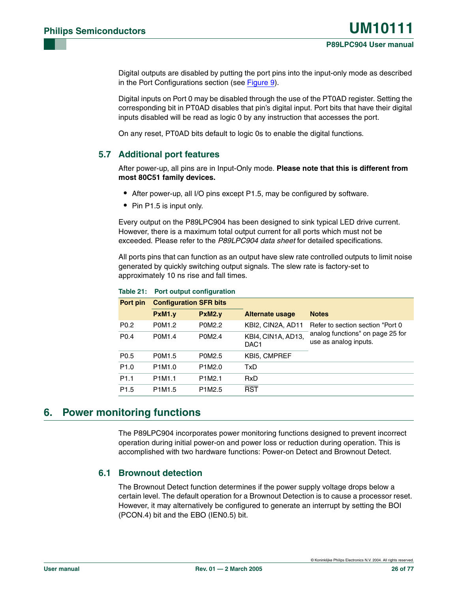Digital outputs are disabled by putting the port pins into the input-only mode as described in the Port Configurations section (see [Figure 9](#page-24-0)).

Digital inputs on Port 0 may be disabled through the use of the PT0AD register. Setting the corresponding bit in PT0AD disables that pin's digital input. Port bits that have their digital inputs disabled will be read as logic 0 by any instruction that accesses the port.

On any reset, PT0AD bits default to logic 0s to enable the digital functions.

#### **5.7 Additional port features**

After power-up, all pins are in Input-Only mode. **Please note that this is different from most 80C51 family devices.**

- **•** After power-up, all I/O pins except P1.5, may be configured by software.
- **•** Pin P1.5 is input only.

Every output on the P89LPC904 has been designed to sink typical LED drive current. However, there is a maximum total output current for all ports which must not be exceeded. Please refer to the *P89LPC904 data sheet* for detailed specifications.

All ports pins that can function as an output have slew rate controlled outputs to limit noise generated by quickly switching output signals. The slew rate is factory-set to approximately 10 ns rise and fall times.

| Port pin         | <b>Configuration SFR bits</b>   |                                 |                                        |                                                           |
|------------------|---------------------------------|---------------------------------|----------------------------------------|-----------------------------------------------------------|
|                  | PxM1.v                          | PxM2.v                          | <b>Alternate usage</b>                 | <b>Notes</b>                                              |
| P <sub>0.2</sub> | P0M1.2                          | P0M2.2                          | KBI2, CIN2A, AD11                      | Refer to section section "Port 0                          |
| P <sub>0.4</sub> | P0M1.4                          | P0M2.4                          | KBI4, CIN1A, AD13,<br>DAC <sub>1</sub> | analog functions" on page 25 for<br>use as analog inputs. |
| P <sub>0.5</sub> | P0M1.5                          | P0M2.5                          | <b>KBI5, CMPREF</b>                    |                                                           |
| P <sub>1.0</sub> | P <sub>1</sub> M <sub>1.0</sub> | P1M2.0                          | TxD.                                   |                                                           |
| P <sub>1.1</sub> | P1M1.1                          | P <sub>1</sub> M <sub>2.1</sub> | <b>RxD</b>                             |                                                           |
| P <sub>1.5</sub> | P <sub>1</sub> M <sub>1.5</sub> | P1M2.5                          | <b>RST</b>                             |                                                           |

#### **Table 21: Port output configuration**

#### **6. Power monitoring functions**

The P89LPC904 incorporates power monitoring functions designed to prevent incorrect operation during initial power-on and power loss or reduction during operation. This is accomplished with two hardware functions: Power-on Detect and Brownout Detect.

#### **6.1 Brownout detection**

The Brownout Detect function determines if the power supply voltage drops below a certain level. The default operation for a Brownout Detection is to cause a processor reset. However, it may alternatively be configured to generate an interrupt by setting the BOI (PCON.4) bit and the EBO (IEN0.5) bit.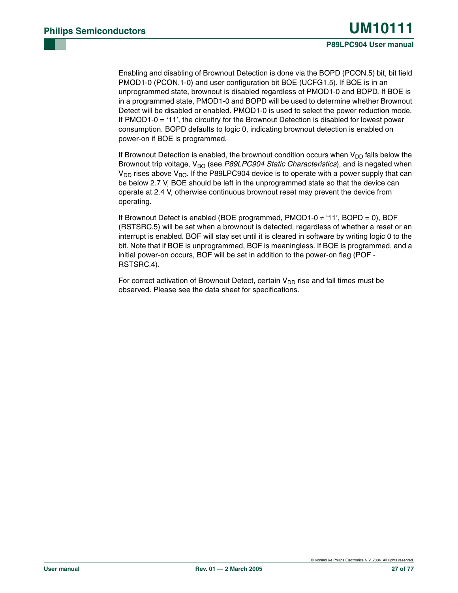Enabling and disabling of Brownout Detection is done via the BOPD (PCON.5) bit, bit field PMOD1-0 (PCON.1-0) and user configuration bit BOE (UCFG1.5). If BOE is in an unprogrammed state, brownout is disabled regardless of PMOD1-0 and BOPD. If BOE is in a programmed state, PMOD1-0 and BOPD will be used to determine whether Brownout Detect will be disabled or enabled. PMOD1-0 is used to select the power reduction mode. If PMOD1-0 = '11', the circuitry for the Brownout Detection is disabled for lowest power consumption. BOPD defaults to logic 0, indicating brownout detection is enabled on power-on if BOE is programmed.

If Brownout Detection is enabled, the brownout condition occurs when  $V_{DD}$  falls below the Brownout trip voltage, V<sub>BO</sub> (see P89LPC904 Static Characteristics), and is negated when  $V_{DD}$  rises above  $V_{BO}$ . If the P89LPC904 device is to operate with a power supply that can be below 2.7 V, BOE should be left in the unprogrammed state so that the device can operate at 2.4 V, otherwise continuous brownout reset may prevent the device from operating.

If Brownout Detect is enabled (BOE programmed, PMOD1-0 ≠ '11', BOPD = 0), BOF (RSTSRC.5) will be set when a brownout is detected, regardless of whether a reset or an interrupt is enabled. BOF will stay set until it is cleared in software by writing logic 0 to the bit. Note that if BOE is unprogrammed, BOF is meaningless. If BOE is programmed, and a initial power-on occurs, BOF will be set in addition to the power-on flag (POF - RSTSRC.4).

For correct activation of Brownout Detect, certain  $V_{DD}$  rise and fall times must be observed. Please see the data sheet for specifications.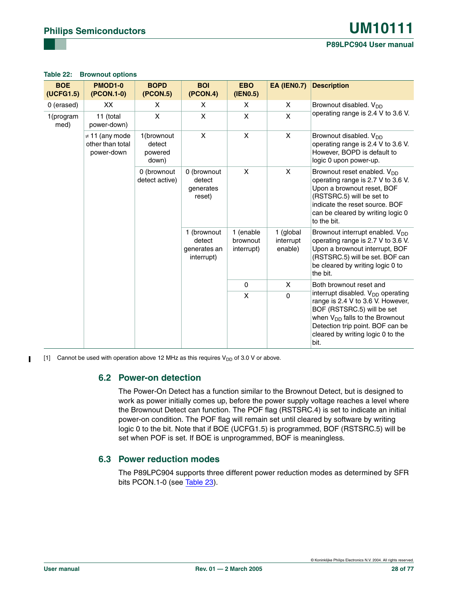#### **Table 22: Brownout options**

| <b>BOE</b><br>(UCFG1.5) | PMOD <sub>1-0</sub><br>(PCON.1-0)                     | <b>BOPD</b><br>(PCON.5)                  | <b>BOI</b><br>(PCON.4)                              | <b>EBO</b><br>(IEN0.5) | <b>EA (IEN0.7)</b> | <b>Description</b>                                                                                                                                                                                                                |                                     |                                   |                                                                                                                                                                                                        |
|-------------------------|-------------------------------------------------------|------------------------------------------|-----------------------------------------------------|------------------------|--------------------|-----------------------------------------------------------------------------------------------------------------------------------------------------------------------------------------------------------------------------------|-------------------------------------|-----------------------------------|--------------------------------------------------------------------------------------------------------------------------------------------------------------------------------------------------------|
| 0 (erased)              | XX                                                    | X.                                       | X.                                                  | X                      | X                  | Brownout disabled. V <sub>DD</sub>                                                                                                                                                                                                |                                     |                                   |                                                                                                                                                                                                        |
| 1(program<br>med)       | 11 (total<br>power-down)                              | X                                        | X                                                   | $\mathsf{x}$           | X                  | operating range is 2.4 V to 3.6 V.                                                                                                                                                                                                |                                     |                                   |                                                                                                                                                                                                        |
|                         | $\neq$ 11 (any mode<br>other than total<br>power-down | 1(brownout<br>detect<br>powered<br>down) | X                                                   | $\mathsf{x}$           | X                  | Brownout disabled. V <sub>DD</sub><br>operating range is 2.4 V to 3.6 V.<br>However, BOPD is default to<br>logic 0 upon power-up.                                                                                                 |                                     |                                   |                                                                                                                                                                                                        |
|                         |                                                       | 0 (brownout<br>detect active)            | 0 (brownout<br>detect<br>generates<br>reset)        | X                      | X                  | Brownout reset enabled. V <sub>DD</sub><br>operating range is 2.7 V to 3.6 V.<br>Upon a brownout reset, BOF<br>(RSTSRC.5) will be set to<br>indicate the reset source. BOF<br>can be cleared by writing logic 0<br>to the bit.    |                                     |                                   |                                                                                                                                                                                                        |
|                         |                                                       |                                          | 1 (brownout<br>detect<br>generates an<br>interrupt) |                        |                    |                                                                                                                                                                                                                                   | 1 (enable<br>brownout<br>interrupt) | 1 (global<br>interrupt<br>enable) | Brownout interrupt enabled. V <sub>DD</sub><br>operating range is 2.7 V to 3.6 V.<br>Upon a brownout interrupt, BOF<br>(RSTSRC.5) will be set. BOF can<br>be cleared by writing logic 0 to<br>the bit. |
|                         |                                                       |                                          |                                                     | $\mathbf{0}$           | X                  | Both brownout reset and                                                                                                                                                                                                           |                                     |                                   |                                                                                                                                                                                                        |
|                         |                                                       |                                          |                                                     | X                      | $\Omega$           | interrupt disabled. $V_{DD}$ operating<br>range is 2.4 V to 3.6 V. However,<br>BOF (RSTSRC.5) will be set<br>when $V_{DD}$ falls to the Brownout<br>Detection trip point. BOF can be<br>cleared by writing logic 0 to the<br>bit. |                                     |                                   |                                                                                                                                                                                                        |

[1] Cannot be used with operation above 12 MHz as this requires  $V_{DD}$  of 3.0 V or above.

#### **6.2 Power-on detection**

The Power-On Detect has a function similar to the Brownout Detect, but is designed to work as power initially comes up, before the power supply voltage reaches a level where the Brownout Detect can function. The POF flag (RSTSRC.4) is set to indicate an initial power-on condition. The POF flag will remain set until cleared by software by writing logic 0 to the bit. Note that if BOE (UCFG1.5) is programmed, BOF (RSTSRC.5) will be set when POF is set. If BOE is unprogrammed, BOF is meaningless.

#### <span id="page-27-0"></span>**6.3 Power reduction modes**

The P89LPC904 supports three different power reduction modes as determined by SFR bits PCON.1-0 (see [Table 23](#page-28-0)).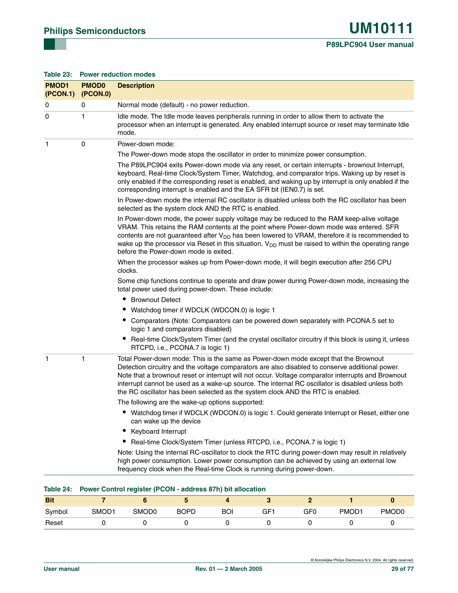<span id="page-28-0"></span>

| Table 23:                | <b>Power reduction modes</b> |                                                                                                                                                                                                                                                                                                                                                                                                                                                                                     |  |  |  |  |
|--------------------------|------------------------------|-------------------------------------------------------------------------------------------------------------------------------------------------------------------------------------------------------------------------------------------------------------------------------------------------------------------------------------------------------------------------------------------------------------------------------------------------------------------------------------|--|--|--|--|
| <b>PMOD1</b><br>(PCON.1) | <b>PMOD0</b><br>(PCON.0)     | <b>Description</b>                                                                                                                                                                                                                                                                                                                                                                                                                                                                  |  |  |  |  |
| 0                        | 0                            | Normal mode (default) - no power reduction.                                                                                                                                                                                                                                                                                                                                                                                                                                         |  |  |  |  |
| 0                        | 1                            | Idle mode. The Idle mode leaves peripherals running in order to allow them to activate the<br>processor when an interrupt is generated. Any enabled interrupt source or reset may terminate Idle<br>mode.                                                                                                                                                                                                                                                                           |  |  |  |  |
| $\mathbf{1}$             | 0                            | Power-down mode:                                                                                                                                                                                                                                                                                                                                                                                                                                                                    |  |  |  |  |
|                          |                              | The Power-down mode stops the oscillator in order to minimize power consumption.                                                                                                                                                                                                                                                                                                                                                                                                    |  |  |  |  |
|                          |                              | The P89LPC904 exits Power-down mode via any reset, or certain interrupts - brownout Interrupt,<br>keyboard, Real-time Clock/System Timer, Watchdog, and comparator trips. Waking up by reset is<br>only enabled if the corresponding reset is enabled, and waking up by interrupt is only enabled if the<br>corresponding interrupt is enabled and the EA SFR bit (IEN0.7) is set.                                                                                                  |  |  |  |  |
|                          |                              | In Power-down mode the internal RC oscillator is disabled unless both the RC oscillator has been<br>selected as the system clock AND the RTC is enabled.                                                                                                                                                                                                                                                                                                                            |  |  |  |  |
|                          |                              | In Power-down mode, the power supply voltage may be reduced to the RAM keep-alive voltage<br>VRAM. This retains the RAM contents at the point where Power-down mode was entered. SFR<br>contents are not guaranteed after $V_{DD}$ has been lowered to VRAM, therefore it is recommended to<br>wake up the processor via Reset in this situation. V <sub>DD</sub> must be raised to within the operating range<br>before the Power-down mode is exited.                             |  |  |  |  |
|                          |                              | When the processor wakes up from Power-down mode, it will begin execution after 256 CPU<br>clocks.                                                                                                                                                                                                                                                                                                                                                                                  |  |  |  |  |
|                          |                              | Some chip functions continue to operate and draw power during Power-down mode, increasing the<br>total power used during power-down. These include:                                                                                                                                                                                                                                                                                                                                 |  |  |  |  |
|                          |                              | • Brownout Detect                                                                                                                                                                                                                                                                                                                                                                                                                                                                   |  |  |  |  |
|                          |                              | • Watchdog timer if WDCLK (WDCON.0) is logic 1                                                                                                                                                                                                                                                                                                                                                                                                                                      |  |  |  |  |
|                          |                              | • Comparators (Note: Comparators can be powered down separately with PCONA.5 set to<br>logic 1 and comparators disabled)                                                                                                                                                                                                                                                                                                                                                            |  |  |  |  |
|                          |                              | Real-time Clock/System Timer (and the crystal oscillator circuitry if this block is using it, unless<br>RTCPD, i.e., PCONA.7 is logic 1)                                                                                                                                                                                                                                                                                                                                            |  |  |  |  |
| $\mathbf{1}$             | 1                            | Total Power-down mode: This is the same as Power-down mode except that the Brownout<br>Detection circuitry and the voltage comparators are also disabled to conserve additional power.<br>Note that a brownout reset or interrupt will not occur. Voltage comparator interrupts and Brownout<br>interrupt cannot be used as a wake-up source. The internal RC oscillator is disabled unless both<br>the RC oscillator has been selected as the system clock AND the RTC is enabled. |  |  |  |  |
|                          |                              | The following are the wake-up options supported:                                                                                                                                                                                                                                                                                                                                                                                                                                    |  |  |  |  |
|                          |                              | Watchdog timer if WDCLK (WDCON.0) is logic 1. Could generate Interrupt or Reset, either one<br>can wake up the device                                                                                                                                                                                                                                                                                                                                                               |  |  |  |  |
|                          |                              | Keyboard Interrupt                                                                                                                                                                                                                                                                                                                                                                                                                                                                  |  |  |  |  |
|                          |                              | Real-time Clock/System Timer (unless RTCPD, i.e., PCONA.7 is logic 1)<br>∙                                                                                                                                                                                                                                                                                                                                                                                                          |  |  |  |  |
|                          |                              | Note: Using the internal RC-oscillator to clock the RTC during power-down may result in relatively<br>high power consumption. Lower power consumption can be achieved by using an external low<br>frequency clock when the Real-time Clock is running during power-down.                                                                                                                                                                                                            |  |  |  |  |
|                          |                              |                                                                                                                                                                                                                                                                                                                                                                                                                                                                                     |  |  |  |  |
| Table 24:                |                              | Power Control register (PCON - address 87h) bit allocation                                                                                                                                                                                                                                                                                                                                                                                                                          |  |  |  |  |
| <b>Bit</b>               | $\overline{7}$               | $\overline{2}$<br>6<br>5<br>3<br>$\bf{0}$<br>4                                                                                                                                                                                                                                                                                                                                                                                                                                      |  |  |  |  |

| <b>Bit</b> |                   |                   |             |            |     |     |                   |                   |
|------------|-------------------|-------------------|-------------|------------|-----|-----|-------------------|-------------------|
| Symbol     | SMOD <sub>1</sub> | SMOD <sub>0</sub> | <b>BOPD</b> | <b>BOI</b> | GF1 | GF0 | PMOD <sub>1</sub> | PMOD <sub>0</sub> |
| Reset      |                   |                   |             |            |     |     |                   |                   |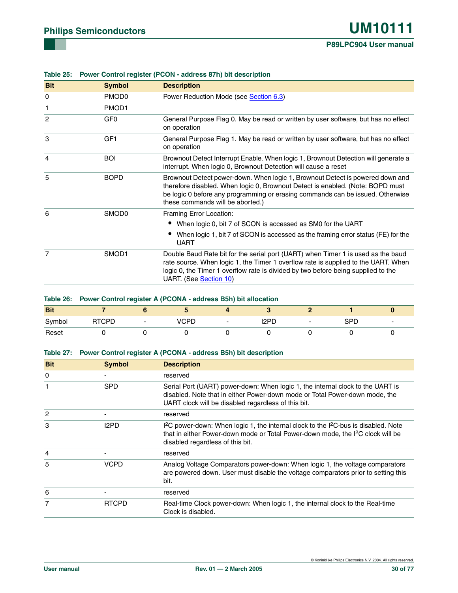| <b>Bit</b>     | <b>Symbol</b>     | <b>Description</b>                                                                                                                                                                                                                                                                    |
|----------------|-------------------|---------------------------------------------------------------------------------------------------------------------------------------------------------------------------------------------------------------------------------------------------------------------------------------|
| 0              | PMOD <sub>0</sub> | Power Reduction Mode (see Section 6.3)                                                                                                                                                                                                                                                |
| 1              | PMOD <sub>1</sub> |                                                                                                                                                                                                                                                                                       |
| $\overline{2}$ | GF <sub>0</sub>   | General Purpose Flag 0. May be read or written by user software, but has no effect<br>on operation                                                                                                                                                                                    |
| 3              | GF1               | General Purpose Flag 1. May be read or written by user software, but has no effect<br>on operation                                                                                                                                                                                    |
| 4              | <b>BOI</b>        | Brownout Detect Interrupt Enable. When logic 1, Brownout Detection will generate a<br>interrupt. When logic 0, Brownout Detection will cause a reset                                                                                                                                  |
| 5              | <b>BOPD</b>       | Brownout Detect power-down. When logic 1, Brownout Detect is powered down and<br>therefore disabled. When logic 0, Brownout Detect is enabled. (Note: BOPD must<br>be logic 0 before any programming or erasing commands can be issued. Otherwise<br>these commands will be aborted.) |
| 6              | SMOD <sub>0</sub> | Framing Error Location:                                                                                                                                                                                                                                                               |
|                |                   | When logic 0, bit 7 of SCON is accessed as SM0 for the UART                                                                                                                                                                                                                           |
|                |                   | When logic 1, bit 7 of SCON is accessed as the framing error status (FE) for the<br><b>UART</b>                                                                                                                                                                                       |
| 7              | SMOD <sub>1</sub> | Double Baud Rate bit for the serial port (UART) when Timer 1 is used as the baud<br>rate source. When logic 1, the Timer 1 overflow rate is supplied to the UART. When<br>logic 0, the Timer 1 overflow rate is divided by two before being supplied to the<br>UART. (See Section 10) |

#### **Table 25: Power Control register (PCON - address 87h) bit description**

|            |              | Table 26: Power Control register A (PCONA - address B5h) bit allocation |      |  |      |  |     |  |
|------------|--------------|-------------------------------------------------------------------------|------|--|------|--|-----|--|
| <b>Bit</b> |              |                                                                         |      |  |      |  |     |  |
| Svmbol     | <b>RTCPD</b> | $\overline{\phantom{0}}$                                                | VCPD |  | 12PD |  | SPD |  |
| Reset      |              |                                                                         |      |  |      |  |     |  |

#### **Table 27: Power Control register A (PCONA - address B5h) bit description**

| <b>Bit</b>     | <b>Symbol</b> | <b>Description</b>                                                                                                                                                                                                                             |
|----------------|---------------|------------------------------------------------------------------------------------------------------------------------------------------------------------------------------------------------------------------------------------------------|
| 0              |               | reserved                                                                                                                                                                                                                                       |
| 1              | <b>SPD</b>    | Serial Port (UART) power-down: When logic 1, the internal clock to the UART is<br>disabled. Note that in either Power-down mode or Total Power-down mode, the<br>UART clock will be disabled regardless of this bit.                           |
| $\overline{c}$ |               | reserved                                                                                                                                                                                                                                       |
| 3              | I2PD          | I <sup>2</sup> C power-down: When logic 1, the internal clock to the I <sup>2</sup> C-bus is disabled. Note<br>that in either Power-down mode or Total Power-down mode, the I <sup>2</sup> C clock will be<br>disabled regardless of this bit. |
| 4              |               | reserved                                                                                                                                                                                                                                       |
| 5              | <b>VCPD</b>   | Analog Voltage Comparators power-down: When logic 1, the voltage comparators<br>are powered down. User must disable the voltage comparators prior to setting this<br>bit.                                                                      |
| 6              |               | reserved                                                                                                                                                                                                                                       |
| 7              | <b>RTCPD</b>  | Real-time Clock power-down: When logic 1, the internal clock to the Real-time<br>Clock is disabled.                                                                                                                                            |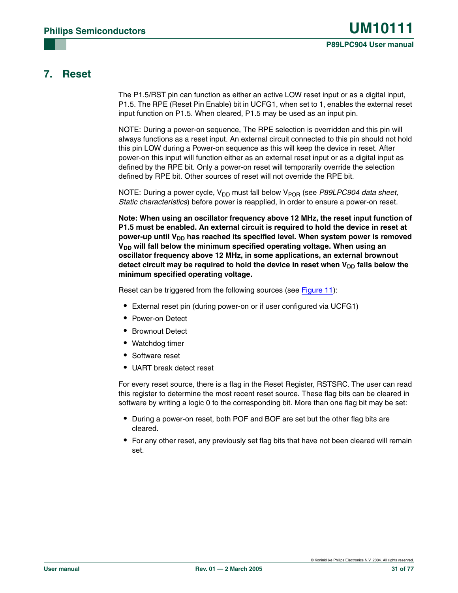#### **7. Reset**

The P1.5/RST pin can function as either an active LOW reset input or as a digital input, P1.5. The RPE (Reset Pin Enable) bit in UCFG1, when set to 1, enables the external reset input function on P1.5. When cleared, P1.5 may be used as an input pin.

NOTE: During a power-on sequence, The RPE selection is overridden and this pin will always functions as a reset input. An external circuit connected to this pin should not hold this pin LOW during a Power-on sequence as this will keep the device in reset. After power-on this input will function either as an external reset input or as a digital input as defined by the RPE bit. Only a power-on reset will temporarily override the selection defined by RPE bit. Other sources of reset will not override the RPE bit.

NOTE: During a power cycle, V<sub>DD</sub> must fall below V<sub>POR</sub> (see *P89LPC904 data sheet, Static characteristics*) before power is reapplied, in order to ensure a power-on reset.

**Note: When using an oscillator frequency above 12 MHz, the reset input function of P1.5 must be enabled. An external circuit is required to hold the device in reset at**  power-up until V<sub>DD</sub> has reached its specified level. When system power is removed V<sub>DD</sub> will fall below the minimum specified operating voltage. When using an **oscillator frequency above 12 MHz, in some applications, an external brownout**  detect circuit may be required to hold the device in reset when V<sub>DD</sub> falls below the **minimum specified operating voltage.**

Reset can be triggered from the following sources (see [Figure 11](#page-31-0)):

- **•** External reset pin (during power-on or if user configured via UCFG1)
- **•** Power-on Detect
- **•** Brownout Detect
- **•** Watchdog timer
- **•** Software reset
- **•** UART break detect reset

For every reset source, there is a flag in the Reset Register, RSTSRC. The user can read this register to determine the most recent reset source. These flag bits can be cleared in software by writing a logic 0 to the corresponding bit. More than one flag bit may be set:

- **•** During a power-on reset, both POF and BOF are set but the other flag bits are cleared.
- **•** For any other reset, any previously set flag bits that have not been cleared will remain set.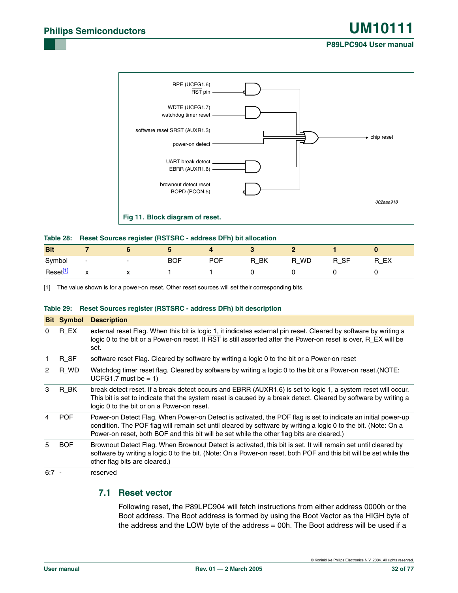

#### <span id="page-31-0"></span>**Table 28: Reset Sources register (RSTSRC - address DFh) bit allocation**

| <b>Bit</b>          |                                                  |                          |            |            |                       |                |           |    |
|---------------------|--------------------------------------------------|--------------------------|------------|------------|-----------------------|----------------|-----------|----|
| Symbol              | $\overline{\phantom{a}}$                         | $\overline{\phantom{0}}$ | <b>BOF</b> | <b>POF</b> | BK<br>R<br><u>-__</u> | <b>WD</b><br>R | R SF<br>— | EX |
| Reset <sup>[1</sup> | $\ddot{\phantom{0}}$<br>$\overline{\phantom{a}}$ | $\overline{\phantom{a}}$ |            |            |                       |                |           |    |

<span id="page-31-1"></span>[1] The value shown is for a power-on reset. Other reset sources will set their corresponding bits.

#### **Table 29: Reset Sources register (RSTSRC - address DFh) bit description**

|                | <b>Bit Symbol</b> | <b>Description</b>                                                                                                                                                                                                                                                                                                          |
|----------------|-------------------|-----------------------------------------------------------------------------------------------------------------------------------------------------------------------------------------------------------------------------------------------------------------------------------------------------------------------------|
| 0              | R EX              | external reset Flag. When this bit is logic 1, it indicates external pin reset. Cleared by software by writing a<br>logic 0 to the bit or a Power-on reset. If RST is still asserted after the Power-on reset is over, R_EX will be<br>set.                                                                                 |
| 1              | $R_SF$            | software reset Flag. Cleared by software by writing a logic 0 to the bit or a Power-on reset                                                                                                                                                                                                                                |
| $\overline{2}$ | R WD              | Watchdog timer reset flag. Cleared by software by writing a logic 0 to the bit or a Power-on reset. (NOTE:<br>UCFG1.7 must be $= 1$ )                                                                                                                                                                                       |
| 3              | R BK              | break detect reset. If a break detect occurs and EBRR (AUXR1.6) is set to logic 1, a system reset will occur.<br>This bit is set to indicate that the system reset is caused by a break detect. Cleared by software by writing a<br>logic 0 to the bit or on a Power-on reset.                                              |
| 4              | <b>POF</b>        | Power-on Detect Flag. When Power-on Detect is activated, the POF flag is set to indicate an initial power-up<br>condition. The POF flag will remain set until cleared by software by writing a logic 0 to the bit. (Note: On a<br>Power-on reset, both BOF and this bit will be set while the other flag bits are cleared.) |
| 5              | <b>BOF</b>        | Brownout Detect Flag. When Brownout Detect is activated, this bit is set. It will remain set until cleared by<br>software by writing a logic 0 to the bit. (Note: On a Power-on reset, both POF and this bit will be set while the<br>other flag bits are cleared.)                                                         |
| $6:7 -$        |                   | reserved                                                                                                                                                                                                                                                                                                                    |

#### **7.1 Reset vector**

Following reset, the P89LPC904 will fetch instructions from either address 0000h or the Boot address. The Boot address is formed by using the Boot Vector as the HIGH byte of the address and the LOW byte of the address = 00h. The Boot address will be used if a

© Koninklijke Philips Electronics N.V. 2004. All rights reserved.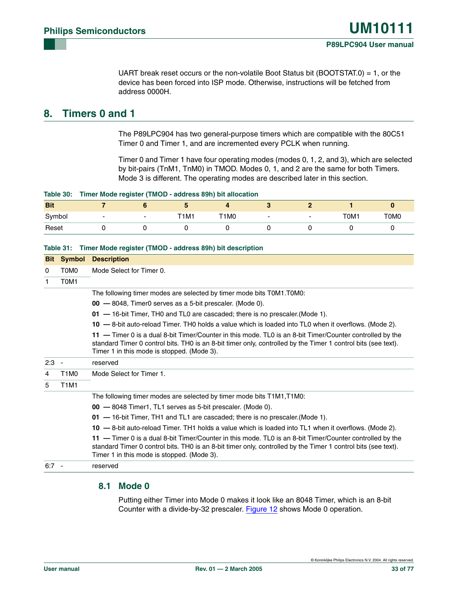UART break reset occurs or the non-volatile Boot Status bit (BOOTSTAT.0) = 1, or the device has been forced into ISP mode. Otherwise, instructions will be fetched from address 0000H.

#### **8. Timers 0 and 1**

The P89LPC904 has two general-purpose timers which are compatible with the 80C51 Timer 0 and Timer 1, and are incremented every PCLK when running.

Timer 0 and Timer 1 have four operating modes (modes 0, 1, 2, and 3), which are selected by bit-pairs (TnM1, TnM0) in TMOD. Modes 0, 1, and 2 are the same for both Timers. Mode 3 is different. The operating modes are described later in this section.

|  |  |  | Table 30: Timer Mode register (TMOD - address 89h) bit allocation |
|--|--|--|-------------------------------------------------------------------|
|  |  |  |                                                                   |

| <b>Bit</b> |                          | $\bullet$ |      |                          |                          |      |      |
|------------|--------------------------|-----------|------|--------------------------|--------------------------|------|------|
| Symbol     | $\overline{\phantom{0}}$ | T1M1      | T1M0 | $\overline{\phantom{0}}$ | $\overline{\phantom{0}}$ | T0M1 | T0M0 |
| Reset      |                          |           |      |                          |                          |      |      |

#### **Table 31: Timer Mode register (TMOD - address 89h) bit description**

| <b>Bit</b> | Symbol                        | <b>Description</b>                                                                                                                                                                                                                                                      |
|------------|-------------------------------|-------------------------------------------------------------------------------------------------------------------------------------------------------------------------------------------------------------------------------------------------------------------------|
| 0          | T0M0                          | Mode Select for Timer 0.                                                                                                                                                                                                                                                |
| 1          | T0M1                          |                                                                                                                                                                                                                                                                         |
|            |                               | The following timer modes are selected by timer mode bits T0M1.T0M0:                                                                                                                                                                                                    |
|            |                               | 00 - 8048, Timer0 serves as a 5-bit prescaler. (Mode 0).                                                                                                                                                                                                                |
|            |                               | 01 - 16-bit Timer, THO and TLO are cascaded; there is no prescaler. (Mode 1).                                                                                                                                                                                           |
|            |                               | 10 -8-bit auto-reload Timer. THO holds a value which is loaded into TLO when it overflows. (Mode 2).                                                                                                                                                                    |
|            |                               | 11 - Timer 0 is a dual 8-bit Timer/Counter in this mode. TL0 is an 8-bit Timer/Counter controlled by the<br>standard Timer 0 control bits. TH0 is an 8-bit timer only, controlled by the Timer 1 control bits (see text).<br>Timer 1 in this mode is stopped. (Mode 3). |
| 2:3        |                               | reserved                                                                                                                                                                                                                                                                |
| 4          | T <sub>1</sub> M <sub>0</sub> | Mode Select for Timer 1.                                                                                                                                                                                                                                                |
| 5          | <b>T1M1</b>                   |                                                                                                                                                                                                                                                                         |
|            |                               | The following timer modes are selected by timer mode bits T1M1, T1M0:                                                                                                                                                                                                   |
|            |                               | 00 - 8048 Timer1, TL1 serves as 5-bit prescaler. (Mode 0).                                                                                                                                                                                                              |
|            |                               | 01 - 16-bit Timer, TH1 and TL1 are cascaded; there is no prescaler. (Mode 1).                                                                                                                                                                                           |
|            |                               | 10 -8-bit auto-reload Timer. TH1 holds a value which is loaded into TL1 when it overflows. (Mode 2).                                                                                                                                                                    |
|            |                               | 11 - Timer 0 is a dual 8-bit Timer/Counter in this mode. TL0 is an 8-bit Timer/Counter controlled by the<br>standard Timer 0 control bits. THO is an 8-bit timer only, controlled by the Timer 1 control bits (see text).<br>Timer 1 in this mode is stopped. (Mode 3). |
| $6:7 -$    |                               | reserved                                                                                                                                                                                                                                                                |

#### **8.1 Mode 0**

Putting either Timer into Mode 0 makes it look like an 8048 Timer, which is an 8-bit Counter with a divide-by-32 prescaler. [Figure 12](#page-34-0) shows Mode 0 operation.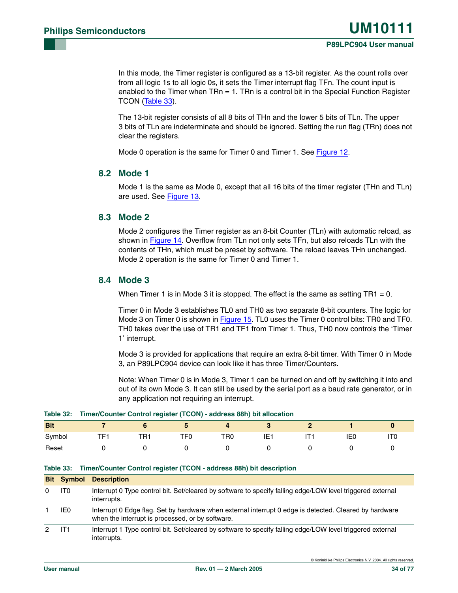In this mode, the Timer register is configured as a 13-bit register. As the count rolls over from all logic 1s to all logic 0s, it sets the Timer interrupt flag TFn. The count input is enabled to the Timer when  $TRn = 1$ . TRn is a control bit in the Special Function Register TCON ([Table 33](#page-33-0)).

The 13-bit register consists of all 8 bits of THn and the lower 5 bits of TLn. The upper 3 bits of TLn are indeterminate and should be ignored. Setting the run flag (TRn) does not clear the registers.

Mode 0 operation is the same for Timer 0 and Timer 1. See [Figure 12](#page-34-0).

#### **8.2 Mode 1**

Mode 1 is the same as Mode 0, except that all 16 bits of the timer register (THn and TLn) are used. See [Figure 13.](#page-34-1)

#### **8.3 Mode 2**

Mode 2 configures the Timer register as an 8-bit Counter (TLn) with automatic reload, as shown in [Figure 14.](#page-34-2) Overflow from TLn not only sets TFn, but also reloads TLn with the contents of THn, which must be preset by software. The reload leaves THn unchanged. Mode 2 operation is the same for Timer 0 and Timer 1.

#### **8.4 Mode 3**

When Timer 1 is in Mode 3 it is stopped. The effect is the same as setting  $TR1 = 0$ .

Timer 0 in Mode 3 establishes TL0 and TH0 as two separate 8-bit counters. The logic for Mode 3 on Timer 0 is shown in [Figure 15](#page-35-0). TL0 uses the Timer 0 control bits: TR0 and TF0. TH0 takes over the use of TR1 and TF1 from Timer 1. Thus, TH0 now controls the 'Timer 1' interrupt.

Mode 3 is provided for applications that require an extra 8-bit timer. With Timer 0 in Mode 3, an P89LPC904 device can look like it has three Timer/Counters.

Note: When Timer 0 is in Mode 3, Timer 1 can be turned on and off by switching it into and out of its own Mode 3. It can still be used by the serial port as a baud rate generator, or in any application not requiring an interrupt.

|  |  |  |  |  |  | Table 32: Timer/Counter Control register (TCON) - address 88h) bit allocation |
|--|--|--|--|--|--|-------------------------------------------------------------------------------|
|--|--|--|--|--|--|-------------------------------------------------------------------------------|

| <b>Bit</b> |     |               | $\sim$          |                 |            |     |                 |
|------------|-----|---------------|-----------------|-----------------|------------|-----|-----------------|
| Symbol     | ΤEΙ | TD.<br>∽<br>. | TF <sub>0</sub> | TR <sub>0</sub> | . –<br>IE1 | IE0 | IT <sub>0</sub> |
| Reset      |     |               |                 |                 |            |     |                 |

#### <span id="page-33-0"></span>**Table 33: Timer/Counter Control register (TCON - address 88h) bit description**

|   | <b>Bit Symbol</b> | <b>Description</b>                                                                                                                                         |
|---|-------------------|------------------------------------------------------------------------------------------------------------------------------------------------------------|
| 0 | IT <sub>0</sub>   | Interrupt 0 Type control bit. Set/cleared by software to specify falling edge/LOW level triggered external<br>interrupts.                                  |
|   | IE0               | Interrupt 0 Edge flag. Set by hardware when external interrupt 0 edge is detected. Cleared by hardware<br>when the interrupt is processed, or by software. |
| 2 | IT1               | Interrupt 1 Type control bit. Set/cleared by software to specify falling edge/LOW level triggered external<br>interrupts.                                  |

© Koninklijke Philips Electronics N.V. 2004. All rights reserved.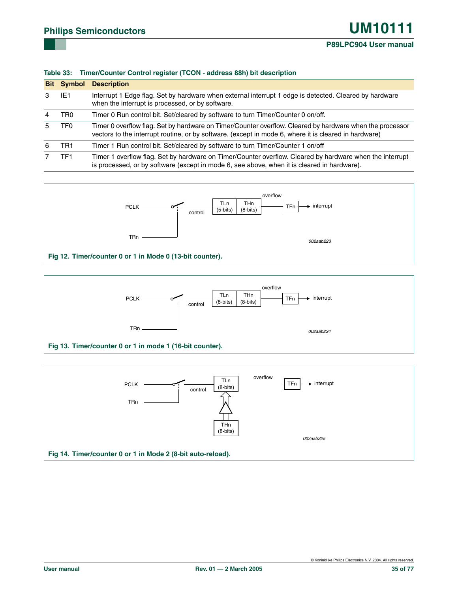#### **P89LPC904 User manual**

|   | <b>Bit Symbol</b> | <b>Description</b>                                                                                                                                                                                                |
|---|-------------------|-------------------------------------------------------------------------------------------------------------------------------------------------------------------------------------------------------------------|
| 3 | IE1               | Interrupt 1 Edge flag. Set by hardware when external interrupt 1 edge is detected. Cleared by hardware<br>when the interrupt is processed, or by software.                                                        |
| 4 | TR <sub>0</sub>   | Timer 0 Run control bit. Set/cleared by software to turn Timer/Counter 0 on/off.                                                                                                                                  |
| 5 | TF0               | Timer 0 overflow flag. Set by hardware on Timer/Counter overflow. Cleared by hardware when the processor<br>vectors to the interrupt routine, or by software. (except in mode 6, where it is cleared in hardware) |
| 6 | TR1               | Timer 1 Run control bit. Set/cleared by software to turn Timer/Counter 1 on/off                                                                                                                                   |
|   | TF1               | Timer 1 overflow flag. Set by hardware on Timer/Counter overflow. Cleared by hardware when the interrupt<br>is processed, or by software (except in mode 6, see above, when it is cleared in hardware).           |





<span id="page-34-0"></span>

<span id="page-34-2"></span><span id="page-34-1"></span>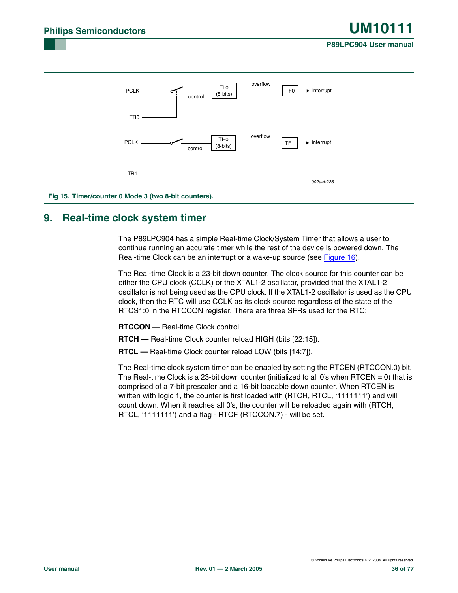#### **P89LPC904 User manual**



#### <span id="page-35-0"></span>**9. Real-time clock system timer**

The P89LPC904 has a simple Real-time Clock/System Timer that allows a user to continue running an accurate timer while the rest of the device is powered down. The Real-time Clock can be an interrupt or a wake-up source (see [Figure 16](#page-36-0)).

The Real-time Clock is a 23-bit down counter. The clock source for this counter can be either the CPU clock (CCLK) or the XTAL1-2 oscillator, provided that the XTAL1-2 oscillator is not being used as the CPU clock. If the XTAL1-2 oscillator is used as the CPU clock, then the RTC will use CCLK as its clock source regardless of the state of the RTCS1:0 in the RTCCON register. There are three SFRs used for the RTC:

**RTCCON —** Real-time Clock control.

**RTCH —** Real-time Clock counter reload HIGH (bits [22:15]).

**RTCL —** Real-time Clock counter reload LOW (bits [14:7]).

The Real-time clock system timer can be enabled by setting the RTCEN (RTCCON.0) bit. The Real-time Clock is a 23-bit down counter (initialized to all 0's when RTCEN = 0) that is comprised of a 7-bit prescaler and a 16-bit loadable down counter. When RTCEN is written with logic 1, the counter is first loaded with (RTCH, RTCL, '1111111') and will count down. When it reaches all 0's, the counter will be reloaded again with (RTCH, RTCL, '1111111') and a flag - RTCF (RTCCON.7) - will be set.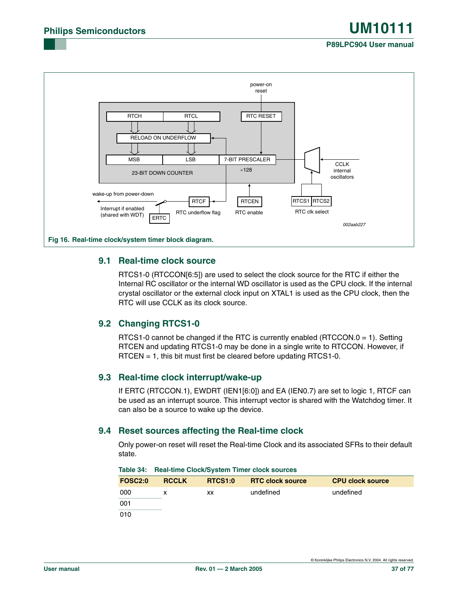

### **9.1 Real-time clock source**

RTCS1-0 (RTCCON[6:5]) are used to select the clock source for the RTC if either the Internal RC oscillator or the internal WD oscillator is used as the CPU clock. If the internal crystal oscillator or the external clock input on XTAL1 is used as the CPU clock, then the RTC will use CCLK as its clock source.

### **9.2 Changing RTCS1-0**

RTCS1-0 cannot be changed if the RTC is currently enabled (RTCCON.0 = 1). Setting RTCEN and updating RTCS1-0 may be done in a single write to RTCCON. However, if RTCEN = 1, this bit must first be cleared before updating RTCS1-0.

### **9.3 Real-time clock interrupt/wake-up**

If ERTC (RTCCON.1), EWDRT (IEN1[6:0]) and EA (IEN0.7) are set to logic 1, RTCF can be used as an interrupt source. This interrupt vector is shared with the Watchdog timer. It can also be a source to wake up the device.

### **9.4 Reset sources affecting the Real-time clock**

Only power-on reset will reset the Real-time Clock and its associated SFRs to their default state.

| <b>FOSC2:0</b> | <b>RCCLK</b> | <b>RTCS1:0</b> | <b>RTC clock source</b> | <b>CPU clock source</b> |
|----------------|--------------|----------------|-------------------------|-------------------------|
| 000            | x            | XХ             | undefined               | undefined               |
| 001            |              |                |                         |                         |
| 010            |              |                |                         |                         |

<span id="page-36-0"></span>

|  |  | Table 34: Real-time Clock/System Timer clock sources |  |  |  |
|--|--|------------------------------------------------------|--|--|--|
|--|--|------------------------------------------------------|--|--|--|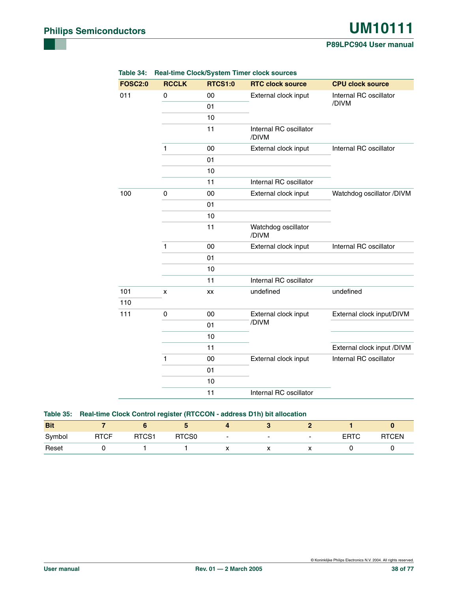#### **P89LPC904 User manual**

| <b>FOSC2:0</b> | <b>RCCLK</b> | <b>RTCS1:0</b> | <b>RTC clock source</b>                        | <b>CPU clock source</b>    |
|----------------|--------------|----------------|------------------------------------------------|----------------------------|
| 011            | $\pmb{0}$    | 00             | External clock input                           | Internal RC oscillator     |
|                |              | 01             |                                                | /DIVM                      |
|                |              | 10             |                                                |                            |
|                |              | 11             | Internal RC oscillator<br>/DIVM                |                            |
|                | $\mathbf{1}$ | 00             | Internal RC oscillator<br>External clock input |                            |
|                |              | 01             |                                                |                            |
|                |              | 10             |                                                |                            |
|                |              | 11             | Internal RC oscillator                         |                            |
| 100            | 0            | 00             | External clock input                           | Watchdog oscillator /DIVM  |
|                |              | 01             |                                                |                            |
|                |              | 10             |                                                |                            |
|                |              | 11             | Watchdog oscillator<br>/DIVM                   |                            |
|                | $\mathbf{1}$ | 00             | External clock input                           | Internal RC oscillator     |
|                |              | 01             |                                                |                            |
|                |              | 10             |                                                |                            |
|                |              | 11             | Internal RC oscillator                         |                            |
| 101            | x            | XX             | undefined                                      | undefined                  |
| 110            |              |                |                                                |                            |
| 111            | 0            | 00             | External clock input                           | External clock input/DIVM  |
|                |              | 01             | /DIVM                                          |                            |
|                |              | 10             |                                                |                            |
|                |              | 11             |                                                | External clock input /DIVM |
|                | 1            | 00             | External clock input                           | Internal RC oscillator     |
|                |              | 01             |                                                |                            |
|                |              | 10             |                                                |                            |
|                |              | 11             | Internal RC oscillator                         |                            |

| Table 34: Real-time Clock/System Timer clock sources |
|------------------------------------------------------|
|                                                      |

|            |             | Table 35: Real-time Clock Control register (RTCCON - address D1h) bit allocation |       |                          |                          |                          |             |              |
|------------|-------------|----------------------------------------------------------------------------------|-------|--------------------------|--------------------------|--------------------------|-------------|--------------|
| <b>Bit</b> |             |                                                                                  |       |                          |                          |                          |             |              |
| Symbol     | <b>RTCF</b> | RTCS <sub>1</sub>                                                                | RTCS0 | $\overline{\phantom{a}}$ | $\overline{\phantom{0}}$ | $\overline{\phantom{0}}$ | <b>ERTC</b> | <b>RTCEN</b> |
| Reset      |             |                                                                                  |       |                          |                          |                          |             |              |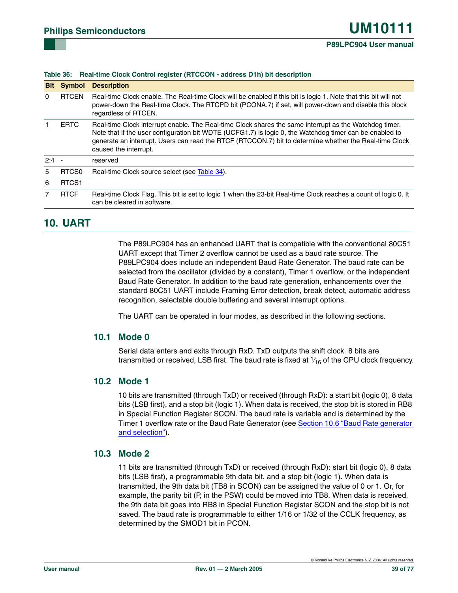#### **Table 36: Real-time Clock Control register (RTCCON - address D1h) bit description**

| <b>Bit</b> | Symbol            | <b>Description</b>                                                                                                                                                                                                                                                                                                                                   |
|------------|-------------------|------------------------------------------------------------------------------------------------------------------------------------------------------------------------------------------------------------------------------------------------------------------------------------------------------------------------------------------------------|
| $\Omega$   | <b>RTCEN</b>      | Real-time Clock enable. The Real-time Clock will be enabled if this bit is logic 1. Note that this bit will not<br>power-down the Real-time Clock. The RTCPD bit (PCONA.7) if set, will power-down and disable this block<br>regardless of RTCEN.                                                                                                    |
|            | <b>ERTC</b>       | Real-time Clock interrupt enable. The Real-time Clock shares the same interrupt as the Watchdog timer.<br>Note that if the user configuration bit WDTE (UCFG1.7) is logic 0, the Watchdog timer can be enabled to<br>generate an interrupt. Users can read the RTCF (RTCCON.7) bit to determine whether the Real-time Clock<br>caused the interrupt. |
| $2:4 -$    |                   | reserved                                                                                                                                                                                                                                                                                                                                             |
| 5          | RTCS <sub>0</sub> | Real-time Clock source select (see Table 34).                                                                                                                                                                                                                                                                                                        |
| 6          | RTCS <sub>1</sub> |                                                                                                                                                                                                                                                                                                                                                      |
| 7          | <b>RTCF</b>       | Real-time Clock Flag. This bit is set to logic 1 when the 23-bit Real-time Clock reaches a count of logic 0. It<br>can be cleared in software.                                                                                                                                                                                                       |

# **10. UART**

The P89LPC904 has an enhanced UART that is compatible with the conventional 80C51 UART except that Timer 2 overflow cannot be used as a baud rate source. The P89LPC904 does include an independent Baud Rate Generator. The baud rate can be selected from the oscillator (divided by a constant), Timer 1 overflow, or the independent Baud Rate Generator. In addition to the baud rate generation, enhancements over the standard 80C51 UART include Framing Error detection, break detect, automatic address recognition, selectable double buffering and several interrupt options.

The UART can be operated in four modes, as described in the following sections.

#### **10.1 Mode 0**

Serial data enters and exits through RxD. TxD outputs the shift clock. 8 bits are transmitted or received, LSB first. The baud rate is fixed at  $\mathrm{\mathit{1}_{16}}$  of the CPU clock frequency.

#### **10.2 Mode 1**

10 bits are transmitted (through TxD) or received (through RxD): a start bit (logic 0), 8 data bits (LSB first), and a stop bit (logic 1). When data is received, the stop bit is stored in RB8 in Special Function Register SCON. The baud rate is variable and is determined by the Timer 1 overflow rate or the Baud Rate Generator (see [Section 10.6 "Baud Rate generator](#page-39-0)  [and selection"\)](#page-39-0).

#### **10.3 Mode 2**

11 bits are transmitted (through TxD) or received (through RxD): start bit (logic 0), 8 data bits (LSB first), a programmable 9th data bit, and a stop bit (logic 1). When data is transmitted, the 9th data bit (TB8 in SCON) can be assigned the value of 0 or 1. Or, for example, the parity bit (P, in the PSW) could be moved into TB8. When data is received, the 9th data bit goes into RB8 in Special Function Register SCON and the stop bit is not saved. The baud rate is programmable to either 1/16 or 1/32 of the CCLK frequency, as determined by the SMOD1 bit in PCON.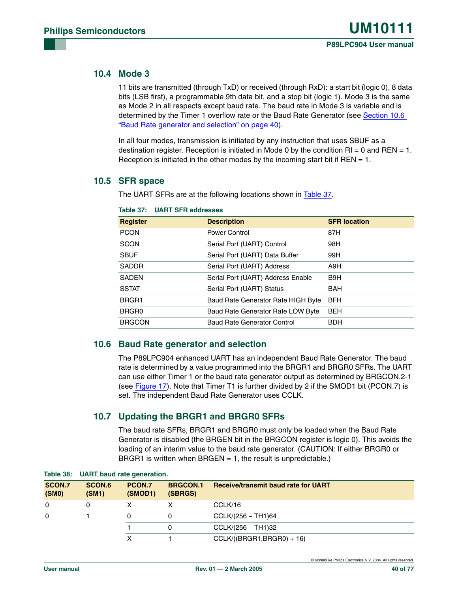### **10.4 Mode 3**

11 bits are transmitted (through TxD) or received (through RxD): a start bit (logic 0), 8 data bits (LSB first), a programmable 9th data bit, and a stop bit (logic 1). Mode 3 is the same as Mode 2 in all respects except baud rate. The baud rate in Mode 3 is variable and is determined by the Timer 1 overflow rate or the Baud Rate Generator (see [Section 10.6](#page-39-0)  ["Baud Rate generator and selection" on page 40](#page-39-0)).

In all four modes, transmission is initiated by any instruction that uses SBUF as a destination register. Reception is initiated in Mode 0 by the condition  $RI = 0$  and  $REN = 1$ . Reception is initiated in the other modes by the incoming start bit if  $REN = 1$ .

### **10.5 SFR space**

The UART SFRs are at the following locations shown in [Table 37.](#page-39-1)

| <b>Register</b> | <b>Description</b>                 | <b>SFR location</b> |
|-----------------|------------------------------------|---------------------|
| <b>PCON</b>     | Power Control                      | 87H                 |
| <b>SCON</b>     | Serial Port (UART) Control         | 98H                 |
| <b>SBUF</b>     | Serial Port (UART) Data Buffer     | 99H                 |
| <b>SADDR</b>    | Serial Port (UART) Address         | A9H                 |
| <b>SADEN</b>    | Serial Port (UART) Address Enable  | B9H                 |
| <b>SSTAT</b>    | Serial Port (UART) Status          | <b>BAH</b>          |
| BRGR1           | Baud Rate Generator Rate HIGH Byte | <b>BFH</b>          |
| BRGR0           | Baud Rate Generator Rate LOW Byte  | <b>BEH</b>          |
| <b>BRGCON</b>   | Baud Rate Generator Control        | <b>BDH</b>          |

#### <span id="page-39-1"></span>**Table 37: UART SFR addresses**

### <span id="page-39-0"></span>**10.6 Baud Rate generator and selection**

The P89LPC904 enhanced UART has an independent Baud Rate Generator. The baud rate is determined by a value programmed into the BRGR1 and BRGR0 SFRs. The UART can use either Timer 1 or the baud rate generator output as determined by BRGCON.2-1 (see [Figure 17\)](#page-40-0). Note that Timer T1 is further divided by 2 if the SMOD1 bit (PCON.7) is set. The independent Baud Rate Generator uses CCLK.

### **10.7 Updating the BRGR1 and BRGR0 SFRs**

The baud rate SFRs, BRGR1 and BRGR0 must only be loaded when the Baud Rate Generator is disabled (the BRGEN bit in the BRGCON register is logic 0). This avoids the loading of an interim value to the baud rate generator. (CAUTION: If either BRGR0 or BRGR1 is written when BRGEN  $= 1$ , the result is unpredictable.)

| <b>SCON.7</b><br>(SMO) | SCON.6<br>(SM1) | PCON.7<br>(SMOD1) | <b>BRGCON.1</b><br>(SBRGS) | <b>Receive/transmit baud rate for UART</b> |
|------------------------|-----------------|-------------------|----------------------------|--------------------------------------------|
| 0                      |                 |                   |                            | CCLK/16                                    |
| 0                      |                 |                   |                            | $CCLK/(256 - TH1)64$                       |
|                        |                 |                   | 0                          | $CCLK/(256 - TH1)32$                       |
|                        |                 |                   |                            | $CCLK/((BRGR1,BRGR0) + 16)$                |

#### <span id="page-39-2"></span>**Table 38: UART baud rate generation.**

© Koninklijke Philips Electronics N.V. 2004. All rights reserved.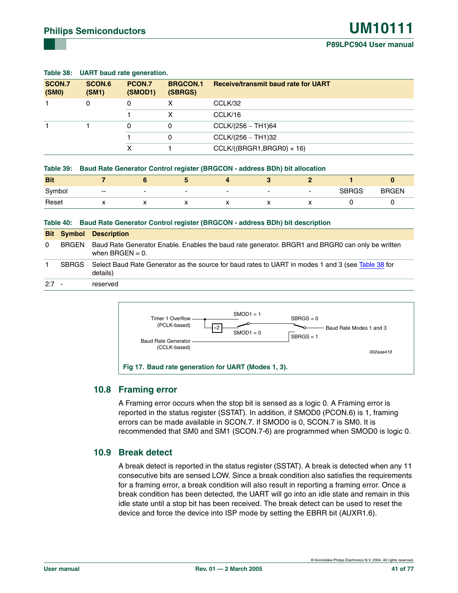|                 |                 | Table 36: UART baud rate generation. |                            |                                            |  |  |  |
|-----------------|-----------------|--------------------------------------|----------------------------|--------------------------------------------|--|--|--|
| SCON.7<br>(SMO) | SCON.6<br>(SM1) | PCON.7<br>(SMOD1)                    | <b>BRGCON.1</b><br>(SBRGS) | <b>Receive/transmit baud rate for UART</b> |  |  |  |
|                 | 0               | 0                                    | х                          | CCLK/32                                    |  |  |  |
|                 |                 |                                      |                            | CCLK/16                                    |  |  |  |
|                 |                 | 0                                    | 0                          | $CCLK/(256 - TH1)64$                       |  |  |  |
|                 |                 |                                      | 0                          | $CCLK/(256 - TH1)32$                       |  |  |  |
|                 |                 | x                                    |                            | $CCLK/((BRGR1,BRGR0) + 16)$                |  |  |  |
|                 |                 |                                      |                            |                                            |  |  |  |

### **Table 38: UART baud rate generation.**

|  |  |  | Table 39: Baud Rate Generator Control register (BRGCON - address BDh) bit allocation |
|--|--|--|--------------------------------------------------------------------------------------|
|--|--|--|--------------------------------------------------------------------------------------|

| <b>Bit</b> |       |                          |                          |                          |                          |                          |              |              |
|------------|-------|--------------------------|--------------------------|--------------------------|--------------------------|--------------------------|--------------|--------------|
| Symbol     | $- -$ | $\overline{\phantom{0}}$ | $\overline{\phantom{0}}$ | $\overline{\phantom{0}}$ | $\overline{\phantom{0}}$ | $\overline{\phantom{a}}$ | <b>SBRGS</b> | <b>BRGEN</b> |
| Reset      |       |                          | ◠                        |                          |                          |                          |              |              |

#### **Table 40: Baud Rate Generator Control register (BRGCON - address BDh) bit description**

|          |       | <b>Bit Symbol Description</b>                                                                                              |
|----------|-------|----------------------------------------------------------------------------------------------------------------------------|
| $\Omega$ | BRGEN | Baud Rate Generator Enable. Enables the baud rate generator. BRGR1 and BRGR0 can only be written<br>when $B R G E N = 0$ . |
|          | SBRGS | Select Baud Rate Generator as the source for baud rates to UART in modes 1 and 3 (see Table 38 for<br>details)             |
| $2:7 -$  |       | reserved                                                                                                                   |



#### <span id="page-40-0"></span>**10.8 Framing error**

A Framing error occurs when the stop bit is sensed as a logic 0. A Framing error is reported in the status register (SSTAT). In addition, if SMOD0 (PCON.6) is 1, framing errors can be made available in SCON.7. If SMOD0 is 0, SCON.7 is SM0. It is recommended that SM0 and SM1 (SCON.7-6) are programmed when SMOD0 is logic 0.

#### **10.9 Break detect**

A break detect is reported in the status register (SSTAT). A break is detected when any 11 consecutive bits are sensed LOW. Since a break condition also satisfies the requirements for a framing error, a break condition will also result in reporting a framing error. Once a break condition has been detected, the UART will go into an idle state and remain in this idle state until a stop bit has been received. The break detect can be used to reset the device and force the device into ISP mode by setting the EBRR bit (AUXR1.6).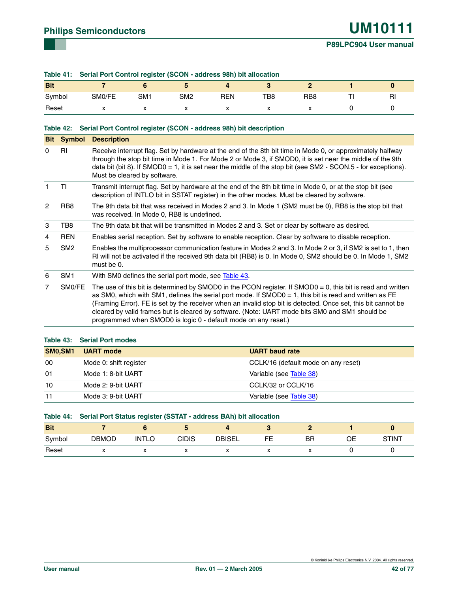#### **Table 41: Serial Port Control register (SCON - address 98h) bit allocation**

| <b>Bit</b> |          |                          |                          |     |     |                 |                |
|------------|----------|--------------------------|--------------------------|-----|-----|-----------------|----------------|
| Symbol     | SM0/FE   | SM <sub>1</sub>          | SM <sub>2</sub>          | RFN | TB8 | RB <sub>8</sub> | R <sub>l</sub> |
| Reset      | $\cdots$ | $\overline{\phantom{a}}$ | $\overline{\phantom{a}}$ |     |     | $\lambda$       |                |

#### **Table 42: Serial Port Control register (SCON - address 98h) bit description**

|                | <b>Bit Symbol</b> | <b>Description</b>                                                                                                                                                                                                                                                                                                                                                                                                                                                                                            |
|----------------|-------------------|---------------------------------------------------------------------------------------------------------------------------------------------------------------------------------------------------------------------------------------------------------------------------------------------------------------------------------------------------------------------------------------------------------------------------------------------------------------------------------------------------------------|
| $\Omega$       | <b>RI</b>         | Receive interrupt flag. Set by hardware at the end of the 8th bit time in Mode 0, or approximately halfway<br>through the stop bit time in Mode 1. For Mode 2 or Mode 3, if SMOD0, it is set near the middle of the 9th<br>data bit (bit 8). If SMOD0 = 1, it is set near the middle of the stop bit (see SM2 - SCON.5 - for exceptions).<br>Must be cleared by software.                                                                                                                                     |
| 1              | ΤI                | Transmit interrupt flag. Set by hardware at the end of the 8th bit time in Mode 0, or at the stop bit (see<br>description of INTLO bit in SSTAT register) in the other modes. Must be cleared by software.                                                                                                                                                                                                                                                                                                    |
| 2              | RB <sub>8</sub>   | The 9th data bit that was received in Modes 2 and 3. In Mode 1 (SM2 must be 0), RB8 is the stop bit that<br>was received. In Mode 0, RB8 is undefined.                                                                                                                                                                                                                                                                                                                                                        |
| 3              | TB8               | The 9th data bit that will be transmitted in Modes 2 and 3. Set or clear by software as desired.                                                                                                                                                                                                                                                                                                                                                                                                              |
| 4              | <b>REN</b>        | Enables serial reception. Set by software to enable reception. Clear by software to disable reception.                                                                                                                                                                                                                                                                                                                                                                                                        |
| 5              | SM <sub>2</sub>   | Enables the multiprocessor communication feature in Modes 2 and 3. In Mode 2 or 3, if SM2 is set to 1, then<br>RI will not be activated if the received 9th data bit (RB8) is 0. In Mode 0, SM2 should be 0. In Mode 1, SM2<br>must be 0.                                                                                                                                                                                                                                                                     |
| 6              | SM1               | With SM0 defines the serial port mode, see Table 43.                                                                                                                                                                                                                                                                                                                                                                                                                                                          |
| $\overline{7}$ | SM0/FE            | The use of this bit is determined by SMOD0 in the PCON register. If $SMOD = 0$ , this bit is read and written<br>as SM0, which with SM1, defines the serial port mode. If SMOD0 = 1, this bit is read and written as FE<br>(Framing Error). FE is set by the receiver when an invalid stop bit is detected. Once set, this bit cannot be<br>cleared by valid frames but is cleared by software. (Note: UART mode bits SM0 and SM1 should be<br>programmed when SMOD0 is logic 0 - default mode on any reset.) |

<span id="page-41-0"></span>

| <b>UART</b> mode       | <b>UART</b> baud rate               |
|------------------------|-------------------------------------|
| Mode 0: shift register | CCLK/16 (default mode on any reset) |
| Mode 1: 8-bit UART     | Variable (see Table 38)             |
| Mode 2: 9-bit UART     | CCLK/32 or CCLK/16                  |
| Mode 3: 9-bit UART     | Variable (see Table 38)             |
|                        | Table 43: Serial Port modes         |

|            | Table 44: Serial Port Status register (SSTAT - address BAh) bit allocation |              |       |               |    |    |    |       |  |  |  |
|------------|----------------------------------------------------------------------------|--------------|-------|---------------|----|----|----|-------|--|--|--|
| <b>Bit</b> |                                                                            |              |       |               |    |    |    |       |  |  |  |
| Svmbol     | <b>DBMOD</b>                                                               | <b>INTLO</b> | CIDIS | <b>DBISEL</b> | FF | ΒR | ΟF | STINT |  |  |  |
| Reset      |                                                                            |              |       |               |    |    |    |       |  |  |  |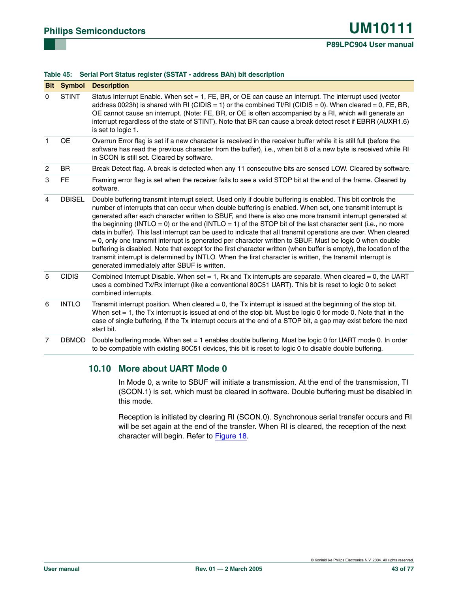|                | <b>Bit Symbol</b> | <b>Description</b>                                                                                                                                                                                                                                                                                                                                                                                                                                                                                                                                                                                                                                                                                                                                                                                                                                                                                                                                                       |
|----------------|-------------------|--------------------------------------------------------------------------------------------------------------------------------------------------------------------------------------------------------------------------------------------------------------------------------------------------------------------------------------------------------------------------------------------------------------------------------------------------------------------------------------------------------------------------------------------------------------------------------------------------------------------------------------------------------------------------------------------------------------------------------------------------------------------------------------------------------------------------------------------------------------------------------------------------------------------------------------------------------------------------|
| $\Omega$       | <b>STINT</b>      | Status Interrupt Enable. When set = 1, FE, BR, or OE can cause an interrupt. The interrupt used (vector<br>address 0023h) is shared with RI (CIDIS = 1) or the combined TI/RI (CIDIS = 0). When cleared = 0, FE, BR,<br>OE cannot cause an interrupt. (Note: FE, BR, or OE is often accompanied by a RI, which will generate an<br>interrupt regardless of the state of STINT). Note that BR can cause a break detect reset if EBRR (AUXR1.6)<br>is set to logic 1.                                                                                                                                                                                                                                                                                                                                                                                                                                                                                                      |
| $\mathbf{1}$   | <b>OE</b>         | Overrun Error flag is set if a new character is received in the receiver buffer while it is still full (before the<br>software has read the previous character from the buffer), i.e., when bit 8 of a new byte is received while RI<br>in SCON is still set. Cleared by software.                                                                                                                                                                                                                                                                                                                                                                                                                                                                                                                                                                                                                                                                                       |
| $\overline{c}$ | <b>BR</b>         | Break Detect flag. A break is detected when any 11 consecutive bits are sensed LOW. Cleared by software.                                                                                                                                                                                                                                                                                                                                                                                                                                                                                                                                                                                                                                                                                                                                                                                                                                                                 |
| 3              | <b>FE</b>         | Framing error flag is set when the receiver fails to see a valid STOP bit at the end of the frame. Cleared by<br>software.                                                                                                                                                                                                                                                                                                                                                                                                                                                                                                                                                                                                                                                                                                                                                                                                                                               |
| 4              | <b>DBISEL</b>     | Double buffering transmit interrupt select. Used only if double buffering is enabled. This bit controls the<br>number of interrupts that can occur when double buffering is enabled. When set, one transmit interrupt is<br>generated after each character written to SBUF, and there is also one more transmit interrupt generated at<br>the beginning (INTLO = 0) or the end (INTLO = 1) of the STOP bit of the last character sent (i.e., no more<br>data in buffer). This last interrupt can be used to indicate that all transmit operations are over. When cleared<br>= 0, only one transmit interrupt is generated per character written to SBUF. Must be logic 0 when double<br>buffering is disabled. Note that except for the first character written (when buffer is empty), the location of the<br>transmit interrupt is determined by INTLO. When the first character is written, the transmit interrupt is<br>generated immediately after SBUF is written. |
| 5              | <b>CIDIS</b>      | Combined Interrupt Disable. When set = 1, Rx and Tx interrupts are separate. When cleared = 0, the UART<br>uses a combined Tx/Rx interrupt (like a conventional 80C51 UART). This bit is reset to logic 0 to select<br>combined interrupts.                                                                                                                                                                                                                                                                                                                                                                                                                                                                                                                                                                                                                                                                                                                              |
| 6              | <b>INTLO</b>      | Transmit interrupt position. When cleared $= 0$ , the Tx interrupt is issued at the beginning of the stop bit.<br>When set $= 1$ , the Tx interrupt is issued at end of the stop bit. Must be logic 0 for mode 0. Note that in the<br>case of single buffering, if the Tx interrupt occurs at the end of a STOP bit, a gap may exist before the next<br>start bit.                                                                                                                                                                                                                                                                                                                                                                                                                                                                                                                                                                                                       |
| $\overline{7}$ | <b>DBMOD</b>      | Double buffering mode. When set = 1 enables double buffering. Must be logic 0 for UART mode 0. In order<br>to be compatible with existing 80C51 devices, this bit is reset to logic 0 to disable double buffering.                                                                                                                                                                                                                                                                                                                                                                                                                                                                                                                                                                                                                                                                                                                                                       |

#### **Table 45: Serial Port Status register (SSTAT - address BAh) bit description**

### **10.10 More about UART Mode 0**

In Mode 0, a write to SBUF will initiate a transmission. At the end of the transmission, TI (SCON.1) is set, which must be cleared in software. Double buffering must be disabled in this mode.

Reception is initiated by clearing RI (SCON.0). Synchronous serial transfer occurs and RI will be set again at the end of the transfer. When RI is cleared, the reception of the next character will begin. Refer to [Figure 18.](#page-43-0)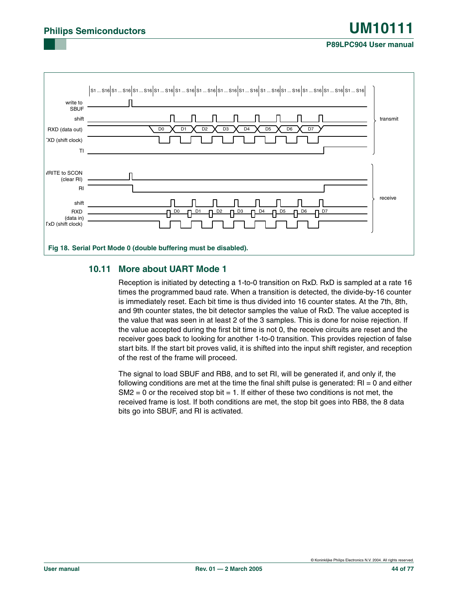#### **P89LPC904 User manual**



### <span id="page-43-0"></span>**10.11 More about UART Mode 1**

Reception is initiated by detecting a 1-to-0 transition on RxD. RxD is sampled at a rate 16 times the programmed baud rate. When a transition is detected, the divide-by-16 counter is immediately reset. Each bit time is thus divided into 16 counter states. At the 7th, 8th, and 9th counter states, the bit detector samples the value of RxD. The value accepted is the value that was seen in at least 2 of the 3 samples. This is done for noise rejection. If the value accepted during the first bit time is not 0, the receive circuits are reset and the receiver goes back to looking for another 1-to-0 transition. This provides rejection of false start bits. If the start bit proves valid, it is shifted into the input shift register, and reception of the rest of the frame will proceed.

The signal to load SBUF and RB8, and to set RI, will be generated if, and only if, the following conditions are met at the time the final shift pulse is generated:  $RI = 0$  and either  $S$ M2 = 0 or the received stop bit = 1. If either of these two conditions is not met, the received frame is lost. If both conditions are met, the stop bit goes into RB8, the 8 data bits go into SBUF, and RI is activated.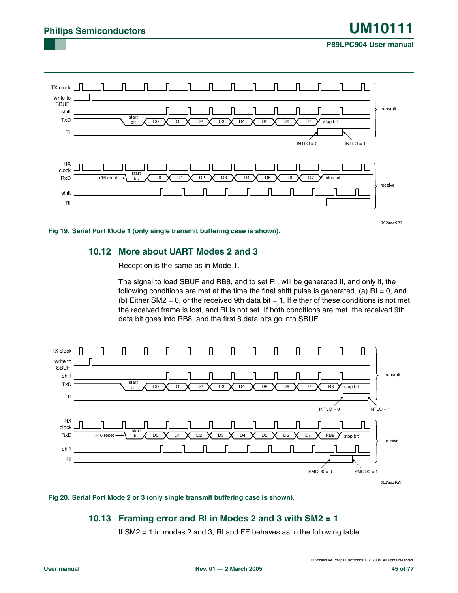### **P89LPC904 User manual**



### **10.12 More about UART Modes 2 and 3**

Reception is the same as in Mode 1.

The signal to load SBUF and RB8, and to set RI, will be generated if, and only if, the following conditions are met at the time the final shift pulse is generated. (a)  $\text{RI} = 0$ , and (b) Either SM2 = 0, or the received 9th data bit = 1. If either of these conditions is not met, the received frame is lost, and RI is not set. If both conditions are met, the received 9th data bit goes into RB8, and the first 8 data bits go into SBUF.



### <span id="page-44-0"></span>**10.13 Framing error and RI in Modes 2 and 3 with SM2 = 1**

If SM2 = 1 in modes 2 and 3, RI and FE behaves as in the following table.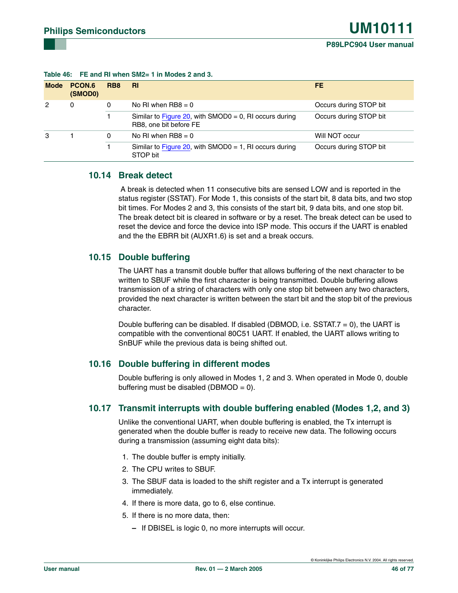| <b>Mode</b> | PCON.6<br>(SMOD0) | RB <sub>8</sub> | <b>RI</b>                                                                        | FE.                    |
|-------------|-------------------|-----------------|----------------------------------------------------------------------------------|------------------------|
| 2           | $\Omega$          | 0               | No RI when $RB8 = 0$                                                             | Occurs during STOP bit |
|             |                   |                 | Similar to Figure 20, with SMOD0 = 0, RI occurs during<br>RB8, one bit before FE | Occurs during STOP bit |
| 3           |                   | 0               | No RI when $RB8 = 0$                                                             | Will NOT occur         |
|             |                   |                 | Similar to Figure 20, with SMOD0 = 1, RI occurs during<br>STOP bit               | Occurs during STOP bit |

#### **Table 46: FE and RI when SM2= 1 in Modes 2 and 3.**

### **10.14 Break detect**

 A break is detected when 11 consecutive bits are sensed LOW and is reported in the status register (SSTAT). For Mode 1, this consists of the start bit, 8 data bits, and two stop bit times. For Modes 2 and 3, this consists of the start bit, 9 data bits, and one stop bit. The break detect bit is cleared in software or by a reset. The break detect can be used to reset the device and force the device into ISP mode. This occurs if the UART is enabled and the the EBRR bit (AUXR1.6) is set and a break occurs.

### **10.15 Double buffering**

The UART has a transmit double buffer that allows buffering of the next character to be written to SBUF while the first character is being transmitted. Double buffering allows transmission of a string of characters with only one stop bit between any two characters, provided the next character is written between the start bit and the stop bit of the previous character.

Double buffering can be disabled. If disabled (DBMOD, i.e. SSTAT. $7 = 0$ ), the UART is compatible with the conventional 80C51 UART. If enabled, the UART allows writing to SnBUF while the previous data is being shifted out.

### **10.16 Double buffering in different modes**

Double buffering is only allowed in Modes 1, 2 and 3. When operated in Mode 0, double buffering must be disabled (DBMOD =  $0$ ).

#### <span id="page-45-1"></span>**10.17 Transmit interrupts with double buffering enabled (Modes 1,2, and 3)**

Unlike the conventional UART, when double buffering is enabled, the Tx interrupt is generated when the double buffer is ready to receive new data. The following occurs during a transmission (assuming eight data bits):

- 1. The double buffer is empty initially.
- 2. The CPU writes to SBUF.
- <span id="page-45-0"></span>3. The SBUF data is loaded to the shift register and a Tx interrupt is generated immediately.
- 4. If there is more data, go to [6,](#page-46-0) else continue.
- 5. If there is no more data, then:
	- **–** If DBISEL is logic 0, no more interrupts will occur.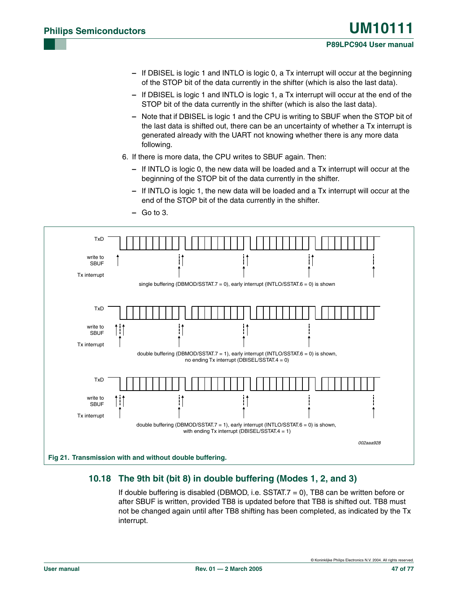- **–** If DBISEL is logic 1 and INTLO is logic 0, a Tx interrupt will occur at the beginning of the STOP bit of the data currently in the shifter (which is also the last data).
- **–** If DBISEL is logic 1 and INTLO is logic 1, a Tx interrupt will occur at the end of the STOP bit of the data currently in the shifter (which is also the last data).
- **–** Note that if DBISEL is logic 1 and the CPU is writing to SBUF when the STOP bit of the last data is shifted out, there can be an uncertainty of whether a Tx interrupt is generated already with the UART not knowing whether there is any more data following.
- <span id="page-46-0"></span>6. If there is more data, the CPU writes to SBUF again. Then:
	- **–** If INTLO is logic 0, the new data will be loaded and a Tx interrupt will occur at the beginning of the STOP bit of the data currently in the shifter.
	- **–** If INTLO is logic 1, the new data will be loaded and a Tx interrupt will occur at the end of the STOP bit of the data currently in the shifter.



#### **–** Go to [3](#page-45-0).

### **10.18 The 9th bit (bit 8) in double buffering (Modes 1, 2, and 3)**

If double buffering is disabled (DBMOD, i.e. SSTAT. $7 = 0$ ), TB8 can be written before or after SBUF is written, provided TB8 is updated before that TB8 is shifted out. TB8 must not be changed again until after TB8 shifting has been completed, as indicated by the Tx interrupt.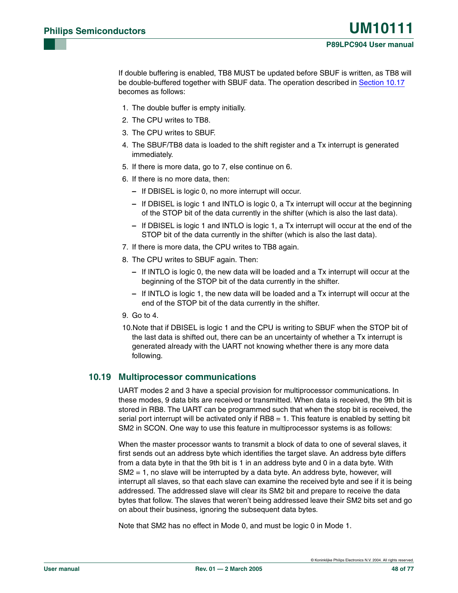If double buffering is enabled, TB8 MUST be updated before SBUF is written, as TB8 will be double-buffered together with SBUF data. The operation described in [Section 10.17](#page-45-1) becomes as follows:

- 1. The double buffer is empty initially.
- 2. The CPU writes to TB8.
- 3. The CPU writes to SBUF.
- <span id="page-47-2"></span>4. The SBUF/TB8 data is loaded to the shift register and a Tx interrupt is generated immediately.
- 5. If there is more data, go to [7,](#page-47-0) else continue on [6](#page-47-1).
- <span id="page-47-1"></span>6. If there is no more data, then:
	- **–** If DBISEL is logic 0, no more interrupt will occur.
	- **–** If DBISEL is logic 1 and INTLO is logic 0, a Tx interrupt will occur at the beginning of the STOP bit of the data currently in the shifter (which is also the last data).
	- **–** If DBISEL is logic 1 and INTLO is logic 1, a Tx interrupt will occur at the end of the STOP bit of the data currently in the shifter (which is also the last data).
- <span id="page-47-0"></span>7. If there is more data, the CPU writes to TB8 again.
- 8. The CPU writes to SBUF again. Then:
	- **–** If INTLO is logic 0, the new data will be loaded and a Tx interrupt will occur at the beginning of the STOP bit of the data currently in the shifter.
	- **–** If INTLO is logic 1, the new data will be loaded and a Tx interrupt will occur at the end of the STOP bit of the data currently in the shifter.
- 9. Go to [4](#page-47-2).
- 10.Note that if DBISEL is logic 1 and the CPU is writing to SBUF when the STOP bit of the last data is shifted out, there can be an uncertainty of whether a Tx interrupt is generated already with the UART not knowing whether there is any more data following.

### **10.19 Multiprocessor communications**

UART modes 2 and 3 have a special provision for multiprocessor communications. In these modes, 9 data bits are received or transmitted. When data is received, the 9th bit is stored in RB8. The UART can be programmed such that when the stop bit is received, the serial port interrupt will be activated only if  $RBB = 1$ . This feature is enabled by setting bit SM2 in SCON. One way to use this feature in multiprocessor systems is as follows:

When the master processor wants to transmit a block of data to one of several slaves, it first sends out an address byte which identifies the target slave. An address byte differs from a data byte in that the 9th bit is 1 in an address byte and 0 in a data byte. With  $S$ M2  $=$  1, no slave will be interrupted by a data byte. An address byte, however, will interrupt all slaves, so that each slave can examine the received byte and see if it is being addressed. The addressed slave will clear its SM2 bit and prepare to receive the data bytes that follow. The slaves that weren't being addressed leave their SM2 bits set and go on about their business, ignoring the subsequent data bytes.

Note that SM2 has no effect in Mode 0, and must be logic 0 in Mode 1.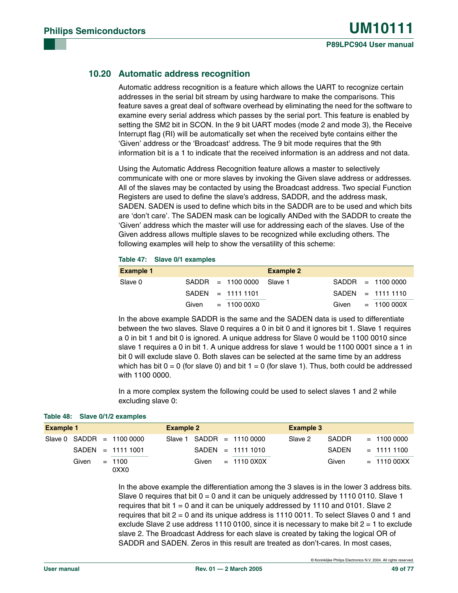### **10.20 Automatic address recognition**

Automatic address recognition is a feature which allows the UART to recognize certain addresses in the serial bit stream by using hardware to make the comparisons. This feature saves a great deal of software overhead by eliminating the need for the software to examine every serial address which passes by the serial port. This feature is enabled by setting the SM2 bit in SCON. In the 9 bit UART modes (mode 2 and mode 3), the Receive Interrupt flag (RI) will be automatically set when the received byte contains either the 'Given' address or the 'Broadcast' address. The 9 bit mode requires that the 9th information bit is a 1 to indicate that the received information is an address and not data.

Using the Automatic Address Recognition feature allows a master to selectively communicate with one or more slaves by invoking the Given slave address or addresses. All of the slaves may be contacted by using the Broadcast address. Two special Function Registers are used to define the slave's address, SADDR, and the address mask, SADEN. SADEN is used to define which bits in the SADDR are to be used and which bits are 'don't care'. The SADEN mask can be logically ANDed with the SADDR to create the 'Given' address which the master will use for addressing each of the slaves. Use of the Given address allows multiple slaves to be recognized while excluding others. The following examples will help to show the versatility of this scheme:

#### **Table 47: Slave 0/1 examples**

| <b>Example 1</b> |  |                            | <b>Example 2</b> |  |                     |
|------------------|--|----------------------------|------------------|--|---------------------|
| Slave 0          |  | $SADDR = 11000000$ Slave 1 |                  |  | $SADDR = 1100 0000$ |
|                  |  | $SADEN = 111111101$        |                  |  | $SADEN = 111111110$ |
|                  |  | Given $= 11000000$         |                  |  | Given $= 1100000X$  |

In the above example SADDR is the same and the SADEN data is used to differentiate between the two slaves. Slave 0 requires a 0 in bit 0 and it ignores bit 1. Slave 1 requires a 0 in bit 1 and bit 0 is ignored. A unique address for Slave 0 would be 1100 0010 since slave 1 requires a 0 in bit 1. A unique address for slave 1 would be 1100 0001 since a 1 in bit 0 will exclude slave 0. Both slaves can be selected at the same time by an address which has bit  $0 = 0$  (for slave 0) and bit  $1 = 0$  (for slave 1). Thus, both could be addressed with 1100 0000.

In a more complex system the following could be used to select slaves 1 and 2 while excluding slave 0:

| <b>Example 1</b> |       |  | <b>Example 2</b>           |         |       |  | <b>Example 3</b>   |  |         |              |  |               |
|------------------|-------|--|----------------------------|---------|-------|--|--------------------|--|---------|--------------|--|---------------|
|                  |       |  | Slave 0 $SADDR = 11000000$ | Slave 1 |       |  | $SADDR = 11100000$ |  | Slave 2 | <b>SADDR</b> |  | $= 11000000$  |
|                  |       |  | $SADEN = 11111001$         |         |       |  | $SADEN = 11111010$ |  |         | SADEN        |  | $= 111111100$ |
|                  | Given |  | $= 1100$<br>0XX0           |         | Given |  | $= 11100X0X$       |  |         | Given        |  | $= 1110000XX$ |

In the above example the differentiation among the 3 slaves is in the lower 3 address bits. Slave 0 requires that bit  $0 = 0$  and it can be uniquely addressed by 1110 0110. Slave 1 requires that bit  $1 = 0$  and it can be uniquely addressed by 1110 and 0101. Slave 2 requires that bit 2 = 0 and its unique address is 1110 0011. To select Slaves 0 and 1 and exclude Slave 2 use address 1110 0100, since it is necessary to make bit  $2 = 1$  to exclude slave 2. The Broadcast Address for each slave is created by taking the logical OR of SADDR and SADEN. Zeros in this result are treated as don't-cares. In most cases,

**Table 48: Slave 0/1/2 examples**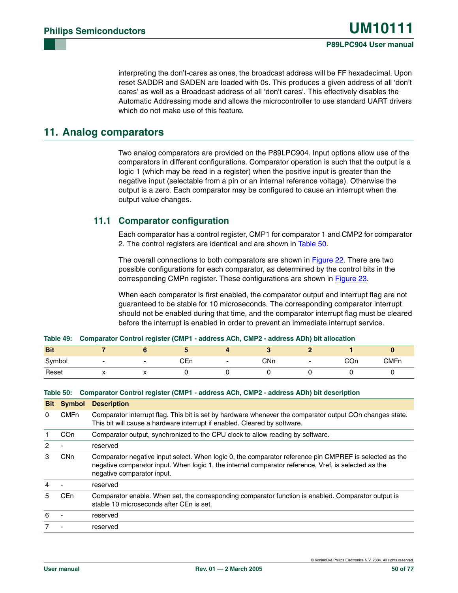interpreting the don't-cares as ones, the broadcast address will be FF hexadecimal. Upon reset SADDR and SADEN are loaded with 0s. This produces a given address of all 'don't cares' as well as a Broadcast address of all 'don't cares'. This effectively disables the Automatic Addressing mode and allows the microcontroller to use standard UART drivers which do not make use of this feature.

# **11. Analog comparators**

Two analog comparators are provided on the P89LPC904. Input options allow use of the comparators in different configurations. Comparator operation is such that the output is a logic 1 (which may be read in a register) when the positive input is greater than the negative input (selectable from a pin or an internal reference voltage). Otherwise the output is a zero. Each comparator may be configured to cause an interrupt when the output value changes.

### **11.1 Comparator configuration**

Each comparator has a control register, CMP1 for comparator 1 and CMP2 for comparator 2. The control registers are identical and are shown in [Table 50](#page-49-0).

The overall connections to both comparators are shown in [Figure 22](#page-50-0). There are two possible configurations for each comparator, as determined by the control bits in the corresponding CMPn register. These configurations are shown in [Figure 23](#page-51-0).

When each comparator is first enabled, the comparator output and interrupt flag are not guaranteed to be stable for 10 microseconds. The corresponding comparator interrupt should not be enabled during that time, and the comparator interrupt flag must be cleared before the interrupt is enabled in order to prevent an immediate interrupt service.

| Table 49: Comparator Control register (CMP1 - address ACh, CMP2 - address ADh) bit allocation |  |
|-----------------------------------------------------------------------------------------------|--|

| <b>Bit</b> |    |                          |     |     |     |             |
|------------|----|--------------------------|-----|-----|-----|-------------|
| Symbol     | -  | $\overline{\phantom{0}}$ | CEn | CNn | COn | <b>CMFn</b> |
| Reset      | ,, | $\ddot{\phantom{0}}$     |     |     |     |             |

#### <span id="page-49-0"></span>**Table 50: Comparator Control register (CMP1 - address ACh, CMP2 - address ADh) bit description**

| <b>Bit</b> | Symbol          | <b>Description</b>                                                                                                                                                                                                                           |
|------------|-----------------|----------------------------------------------------------------------------------------------------------------------------------------------------------------------------------------------------------------------------------------------|
| 0          | <b>CMFn</b>     | Comparator interrupt flag. This bit is set by hardware whenever the comparator output COn changes state.<br>This bit will cause a hardware interrupt if enabled. Cleared by software.                                                        |
|            | CO <sub>n</sub> | Comparator output, synchronized to the CPU clock to allow reading by software.                                                                                                                                                               |
| 2          |                 | reserved                                                                                                                                                                                                                                     |
| 3          | CN <sub>n</sub> | Comparator negative input select. When logic 0, the comparator reference pin CMPREF is selected as the<br>negative comparator input. When logic 1, the internal comparator reference, Vref, is selected as the<br>negative comparator input. |
| 4          |                 | reserved                                                                                                                                                                                                                                     |
| 5          | CE <sub>n</sub> | Comparator enable. When set, the corresponding comparator function is enabled. Comparator output is<br>stable 10 microseconds after CEn is set.                                                                                              |
| 6          |                 | reserved                                                                                                                                                                                                                                     |
|            |                 | reserved                                                                                                                                                                                                                                     |

© Koninklijke Philips Electronics N.V. 2004. All rights reserved.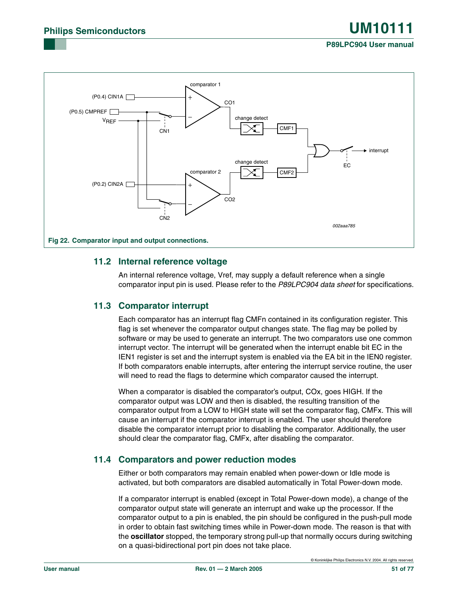

### <span id="page-50-0"></span>**11.2 Internal reference voltage**

An internal reference voltage, Vref, may supply a default reference when a single comparator input pin is used. Please refer to the *P89LPC904 data sheet* for specifications.

### **11.3 Comparator interrupt**

Each comparator has an interrupt flag CMFn contained in its configuration register. This flag is set whenever the comparator output changes state. The flag may be polled by software or may be used to generate an interrupt. The two comparators use one common interrupt vector. The interrupt will be generated when the interrupt enable bit EC in the IEN1 register is set and the interrupt system is enabled via the EA bit in the IEN0 register. If both comparators enable interrupts, after entering the interrupt service routine, the user will need to read the flags to determine which comparator caused the interrupt.

When a comparator is disabled the comparator's output, COx, goes HIGH. If the comparator output was LOW and then is disabled, the resulting transition of the comparator output from a LOW to HIGH state will set the comparator flag, CMFx. This will cause an interrupt if the comparator interrupt is enabled. The user should therefore disable the comparator interrupt prior to disabling the comparator. Additionally, the user should clear the comparator flag, CMFx, after disabling the comparator.

### **11.4 Comparators and power reduction modes**

Either or both comparators may remain enabled when power-down or Idle mode is activated, but both comparators are disabled automatically in Total Power-down mode.

If a comparator interrupt is enabled (except in Total Power-down mode), a change of the comparator output state will generate an interrupt and wake up the processor. If the comparator output to a pin is enabled, the pin should be configured in the push-pull mode in order to obtain fast switching times while in Power-down mode. The reason is that with the **oscillator** stopped, the temporary strong pull-up that normally occurs during switching on a quasi-bidirectional port pin does not take place.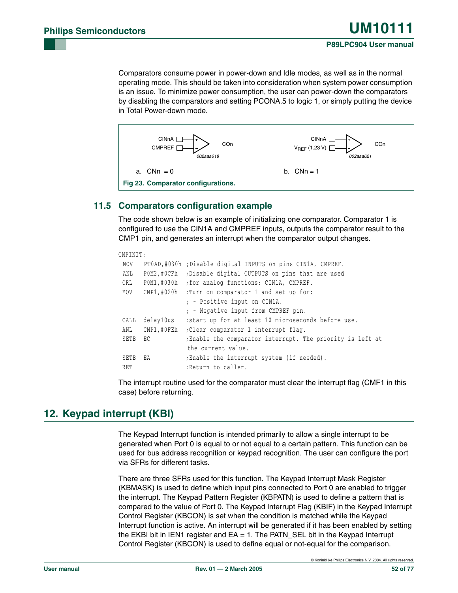Comparators consume power in power-down and Idle modes, as well as in the normal operating mode. This should be taken into consideration when system power consumption is an issue. To minimize power consumption, the user can power-down the comparators by disabling the comparators and setting PCONA.5 to logic 1, or simply putting the device in Total Power-down mode.



### <span id="page-51-0"></span>**11.5 Comparators configuration example**

The code shown below is an example of initializing one comparator. Comparator 1 is configured to use the CIN1A and CMPREF inputs, outputs the comparator result to the CMP1 pin, and generates an interrupt when the comparator output changes.

```
CMPINIT:
 MOV PT0AD,#030h ;Disable digital INPUTS on pins CIN1A, CMPREF.
 ANL P0M2,#0CFh ;Disable digital OUTPUTS on pins that are used
 ORL P0M1,#030h ;for analog functions: CIN1A, CMPREF.
 MOV CMP1,#020h ;Turn on comparator 1 and set up for:
                   ; - Positive input on CIN1A.
                   ; - Negative input from CMPREF pin.
 CALL delay10us ;start up for at least 10 microseconds before use.
 ANL CMP1,#0FEh ;Clear comparator 1 interrupt flag.
 SETB EC ;Enable the comparator interrupt. The priority is left at 
                  the current value.
SETB EA ; Enable the interrupt system (if needed).
RET ;Return to caller.
```
The interrupt routine used for the comparator must clear the interrupt flag (CMF1 in this case) before returning.

# **12. Keypad interrupt (KBI)**

The Keypad Interrupt function is intended primarily to allow a single interrupt to be generated when Port 0 is equal to or not equal to a certain pattern. This function can be used for bus address recognition or keypad recognition. The user can configure the port via SFRs for different tasks.

There are three SFRs used for this function. The Keypad Interrupt Mask Register (KBMASK) is used to define which input pins connected to Port 0 are enabled to trigger the interrupt. The Keypad Pattern Register (KBPATN) is used to define a pattern that is compared to the value of Port 0. The Keypad Interrupt Flag (KBIF) in the Keypad Interrupt Control Register (KBCON) is set when the condition is matched while the Keypad Interrupt function is active. An interrupt will be generated if it has been enabled by setting the EKBI bit in IEN1 register and EA = 1. The PATN\_SEL bit in the Keypad Interrupt Control Register (KBCON) is used to define equal or not-equal for the comparison.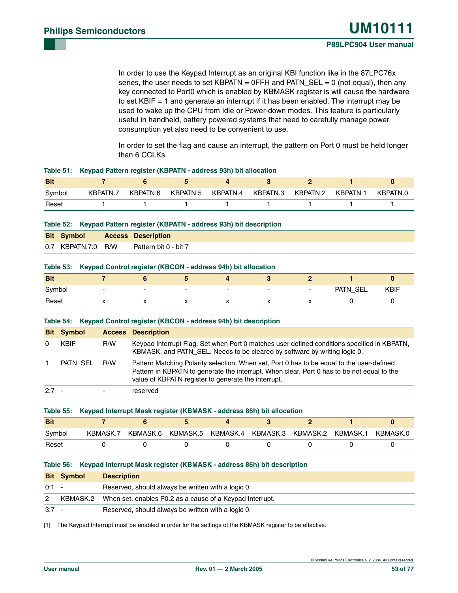In order to use the Keypad Interrupt as an original KBI function like in the 87LPC76x series, the user needs to set KBPATN =  $0$ FFH and PATN\_SEL = 0 (not equal), then any key connected to Port0 which is enabled by KBMASK register is will cause the hardware to set KBIF = 1 and generate an interrupt if it has been enabled. The interrupt may be used to wake up the CPU from Idle or Power-down modes. This feature is particularly useful in handheld, battery powered systems that need to carefully manage power consumption yet also need to be convenient to use.

In order to set the flag and cause an interrupt, the pattern on Port 0 must be held longer than 6 CCLKs.

|            | . .      |          |          |          |          |          |          |          |
|------------|----------|----------|----------|----------|----------|----------|----------|----------|
| <b>Bit</b> |          |          |          |          |          |          |          |          |
| Symbol     | KBPATN.7 | KBPATN.6 | KBPATN.5 | KBPATN.4 | KBPATN.3 | KBPATN.2 | KBPATN.1 | KBPATN.0 |
| Reset      |          |          |          |          |          |          |          |          |

#### **Table 51: Keypad Pattern register (KBPATN - address 93h) bit allocation**

|  |  | Table 52: Keypad Pattern register (KBPATN - address 93h) bit description |  |  |
|--|--|--------------------------------------------------------------------------|--|--|
|--|--|--------------------------------------------------------------------------|--|--|

| <b>Bit Symbol</b>  | <b>Access Description</b> |
|--------------------|---------------------------|
| 0:7 KBPATN.7:0 R/W | Pattern bit 0 - bit 7     |

#### **Table 53: Keypad Control register (KBCON - address 94h) bit allocation**

| <b>Bit</b> |     |                          |                          |                          |                          |                          |          |             |
|------------|-----|--------------------------|--------------------------|--------------------------|--------------------------|--------------------------|----------|-------------|
| Symbol     | -   | $\overline{\phantom{0}}$ | $\overline{\phantom{0}}$ | $\overline{\phantom{0}}$ | $\overline{\phantom{0}}$ | $\overline{\phantom{0}}$ | PATN_SEL | <b>KBIF</b> |
| Reset      | . . |                          | $\overline{\phantom{a}}$ | "                        | $\overline{\phantom{a}}$ |                          |          |             |

#### **Table 54: Keypad Control register (KBCON - address 94h) bit description**

|          | <b>Bit Symbol</b> |     | <b>Access Description</b>                                                                                                                                                                                                                      |
|----------|-------------------|-----|------------------------------------------------------------------------------------------------------------------------------------------------------------------------------------------------------------------------------------------------|
| $\Omega$ | <b>KBIF</b>       | R/W | Keypad Interrupt Flag. Set when Port 0 matches user defined conditions specified in KBPATN,<br>KBMASK, and PATN_SEL. Needs to be cleared by software by writing logic 0.                                                                       |
|          | PATN SEL          | R/W | Pattern Matching Polarity selection. When set, Port 0 has to be equal to the user-defined<br>Pattern in KBPATN to generate the interrupt. When clear, Port 0 has to be not equal to the<br>value of KBPATN register to generate the interrupt. |
| $2:7 -$  |                   |     | reserved                                                                                                                                                                                                                                       |

|            | Table 55: Keypad Interrupt Mask register (KBMASK - address 86h) bit allocation |  |  |                                                                |  |  |          |  |
|------------|--------------------------------------------------------------------------------|--|--|----------------------------------------------------------------|--|--|----------|--|
| <b>Bit</b> |                                                                                |  |  |                                                                |  |  |          |  |
| Symbol     |                                                                                |  |  | KBMASK.7 KBMASK.6 KBMASK.5 KBMASK.4 KBMASK.3 KBMASK.2 KBMASK.1 |  |  | KBMASK.0 |  |
| Reset      |                                                                                |  |  |                                                                |  |  |          |  |

#### **Table 56: Keypad Interrupt Mask register (KBMASK - address 86h) bit description**

|         | <b>Bit Symbol</b> | <b>Description</b>                                       |
|---------|-------------------|----------------------------------------------------------|
| $0:1 -$ |                   | Reserved, should always be written with a logic 0.       |
| 2       | KBMASK.2          | When set, enables P0.2 as a cause of a Keypad Interrupt. |
| $3:7 -$ |                   | Reserved, should always be written with a logic 0.       |

[1] The Keypad Interrupt must be enabled in order for the settings of the KBMASK register to be effective.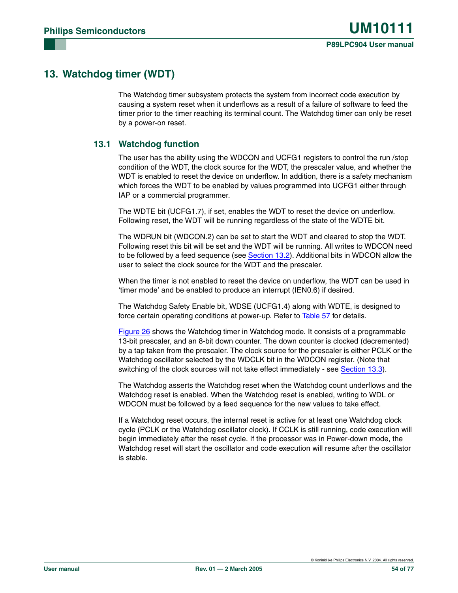# **13. Watchdog timer (WDT)**

The Watchdog timer subsystem protects the system from incorrect code execution by causing a system reset when it underflows as a result of a failure of software to feed the timer prior to the timer reaching its terminal count. The Watchdog timer can only be reset by a power-on reset.

### **13.1 Watchdog function**

The user has the ability using the WDCON and UCFG1 registers to control the run /stop condition of the WDT, the clock source for the WDT, the prescaler value, and whether the WDT is enabled to reset the device on underflow. In addition, there is a safety mechanism which forces the WDT to be enabled by values programmed into UCFG1 either through IAP or a commercial programmer.

The WDTE bit (UCFG1.7), if set, enables the WDT to reset the device on underflow. Following reset, the WDT will be running regardless of the state of the WDTE bit.

The WDRUN bit (WDCON.2) can be set to start the WDT and cleared to stop the WDT. Following reset this bit will be set and the WDT will be running. All writes to WDCON need to be followed by a feed sequence (see [Section 13.2](#page-54-0)). Additional bits in WDCON allow the user to select the clock source for the WDT and the prescaler.

When the timer is not enabled to reset the device on underflow, the WDT can be used in 'timer mode' and be enabled to produce an interrupt (IEN0.6) if desired.

The Watchdog Safety Enable bit, WDSE (UCFG1.4) along with WDTE, is designed to force certain operating conditions at power-up. Refer to [Table 57](#page-54-1) for details.

[Figure 26](#page-58-0) shows the Watchdog timer in Watchdog mode. It consists of a programmable 13-bit prescaler, and an 8-bit down counter. The down counter is clocked (decremented) by a tap taken from the prescaler. The clock source for the prescaler is either PCLK or the Watchdog oscillator selected by the WDCLK bit in the WDCON register. (Note that switching of the clock sources will not take effect immediately - see [Section 13.3](#page-56-0)).

The Watchdog asserts the Watchdog reset when the Watchdog count underflows and the Watchdog reset is enabled. When the Watchdog reset is enabled, writing to WDL or WDCON must be followed by a feed sequence for the new values to take effect.

If a Watchdog reset occurs, the internal reset is active for at least one Watchdog clock cycle (PCLK or the Watchdog oscillator clock). If CCLK is still running, code execution will begin immediately after the reset cycle. If the processor was in Power-down mode, the Watchdog reset will start the oscillator and code execution will resume after the oscillator is stable.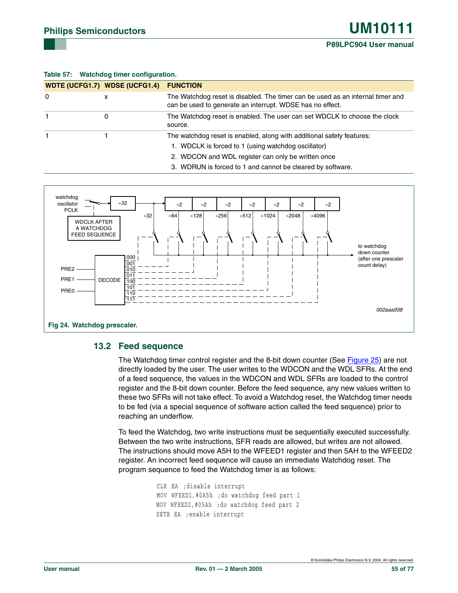#### <span id="page-54-1"></span>**Table 57: Watchdog timer configuration.**

|          | <b>WDTE (UCFG1.7) WDSE (UCFG1.4)</b> | <b>FUNCTION</b>                                                                                                                                                                    |
|----------|--------------------------------------|------------------------------------------------------------------------------------------------------------------------------------------------------------------------------------|
| $\Omega$ | х                                    | The Watchdog reset is disabled. The timer can be used as an internal timer and<br>can be used to generate an interrupt. WDSE has no effect.                                        |
|          | 0                                    | The Watchdog reset is enabled. The user can set WDCLK to choose the clock<br>source.                                                                                               |
|          |                                      | The watchdog reset is enabled, along with additional safety features:<br>1. WDCLK is forced to 1 (using watchdog oscillator)<br>2. WDCON and WDL register can only be written once |

3. WDRUN is forced to 1 and cannot be cleared by software.



### <span id="page-54-2"></span><span id="page-54-0"></span>**13.2 Feed sequence**

The Watchdog timer control register and the 8-bit down counter (See [Figure 25\)](#page-57-0) are not directly loaded by the user. The user writes to the WDCON and the WDL SFRs. At the end of a feed sequence, the values in the WDCON and WDL SFRs are loaded to the control register and the 8-bit down counter. Before the feed sequence, any new values written to these two SFRs will not take effect. To avoid a Watchdog reset, the Watchdog timer needs to be fed (via a special sequence of software action called the feed sequence) prior to reaching an underflow.

To feed the Watchdog, two write instructions must be sequentially executed successfully. Between the two write instructions, SFR reads are allowed, but writes are not allowed. The instructions should move A5H to the WFEED1 register and then 5AH to the WFEED2 register. An incorrect feed sequence will cause an immediate Watchdog reset. The program sequence to feed the Watchdog timer is as follows:

```
 CLR EA ;disable interrupt
MOV WFEED1,#0A5h ;do watchdog feed part 1
MOV WFEED2,#05Ah ;do watchdog feed part 2
SETB EA ;enable interrupt
```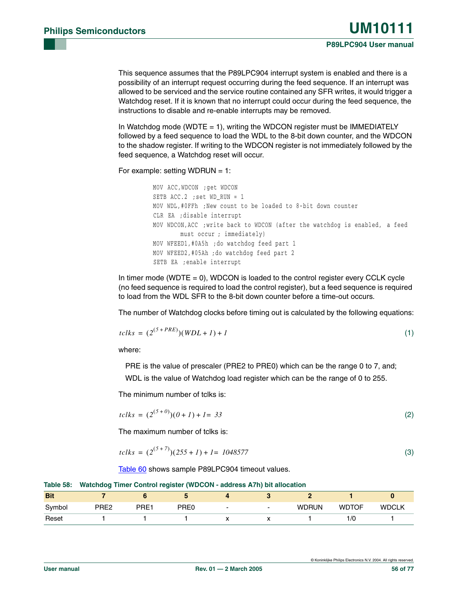This sequence assumes that the P89LPC904 interrupt system is enabled and there is a possibility of an interrupt request occurring during the feed sequence. If an interrupt was allowed to be serviced and the service routine contained any SFR writes, it would trigger a Watchdog reset. If it is known that no interrupt could occur during the feed sequence, the instructions to disable and re-enable interrupts may be removed.

In Watchdog mode (WDTE  $= 1$ ), writing the WDCON register must be IMMEDIATELY followed by a feed sequence to load the WDL to the 8-bit down counter, and the WDCON to the shadow register. If writing to the WDCON register is not immediately followed by the feed sequence, a Watchdog reset will occur.

For example: setting WDRUN = 1:

MOV ACC,WDCON ;get WDCON SETB ACC.2 ;set WD\_RUN = 1 MOV WDL,#0FFh ;New count to be loaded to 8-bit down counter CLR EA ;disable interrupt MOV WDCON,ACC ;write back to WDCON (after the watchdog is enabled, a feed must occur ; immediately) MOV WFEED1,#0A5h ;do watchdog feed part 1 MOV WFEED2,#05Ah ;do watchdog feed part 2 SETB EA ;enable interrupt

In timer mode (WDTE  $= 0$ ), WDCON is loaded to the control register every CCLK cycle (no feed sequence is required to load the control register), but a feed sequence is required to load from the WDL SFR to the 8-bit down counter before a time-out occurs.

The number of Watchdog clocks before timing out is calculated by the following equations:

$$
tclks = (2^{(5+PRE)}) (WDL + I) + I \tag{1}
$$

where:

PRE is the value of prescaler (PRE2 to PRE0) which can be the range 0 to 7, and;

WDL is the value of Watchdog load register which can be the range of 0 to 255.

The minimum number of tclks is:

$$
tclls = (2^{(5+\theta)})(0+1) + 1 = 33
$$
\n(2)

The maximum number of tclks is:

$$
tclks = (2^{(5+7)})(255 + 1) + 1 = 1048577
$$
\n(3)

[Table 60](#page-56-1) shows sample P89LPC904 timeout values.

|  | Table 58: Watchdog Timer Control register (WDCON - address A7h) bit allocation |  |  |
|--|--------------------------------------------------------------------------------|--|--|
|  |                                                                                |  |  |

| <b>Bit</b> |                  |      |                  |                          |                          |              |              |              |
|------------|------------------|------|------------------|--------------------------|--------------------------|--------------|--------------|--------------|
| Symbol     | PRE <sub>2</sub> | PRE1 | PRE <sub>0</sub> | $\overline{\phantom{0}}$ | $\overline{\phantom{0}}$ | <b>WDRUN</b> | <b>WDTOF</b> | <b>WDCLK</b> |
| Reset      |                  |      |                  |                          |                          |              | 1/0          |              |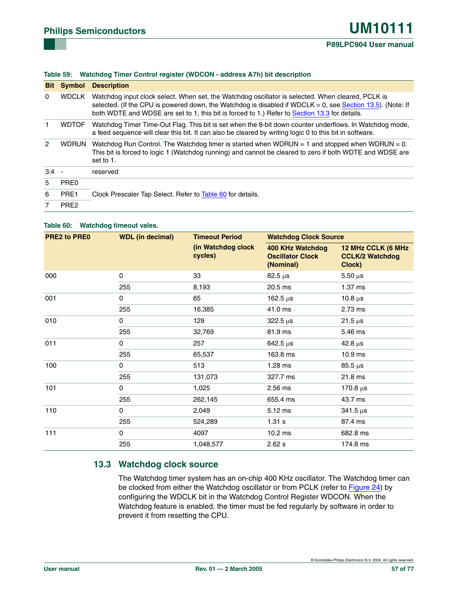#### **Table 59: Watchdog Timer Control register (WDCON - address A7h) bit description**

| <b>Bit</b> | Symbol           | <b>Description</b>                                                                                                                                                                                                                                                                                               |
|------------|------------------|------------------------------------------------------------------------------------------------------------------------------------------------------------------------------------------------------------------------------------------------------------------------------------------------------------------|
| 0          | <b>WDCLK</b>     | Watchdog input clock select. When set, the Watchdog oscillator is selected. When cleared, PCLK is<br>selected. (If the CPU is powered down, the Watchdog is disabled if WDCLK = 0, see Section 13.5). (Note: If<br>both WDTE and WDSE are set to 1, this bit is forced to 1.) Refer to Section 13.3 for details. |
|            | <b>WDTOF</b>     | Watchdog Timer Time-Out Flag. This bit is set when the 8-bit down counter underflows. In Watchdog mode,<br>a feed sequence will clear this bit. It can also be cleared by writing logic 0 to this bit in software.                                                                                               |
| 2          | <b>WDRUN</b>     | Watchdog Run Control. The Watchdog timer is started when WDRUN = 1 and stopped when WDRUN = 0.<br>This bit is forced to logic 1 (Watchdog running) and cannot be cleared to zero if both WDTE and WDSE are<br>set to 1.                                                                                          |
| $3:4 -$    |                  | reserved                                                                                                                                                                                                                                                                                                         |
| 5          | PRE <sub>0</sub> |                                                                                                                                                                                                                                                                                                                  |
| 6          | PRE1             | Clock Prescaler Tap Select. Refer to Table 60 for details.                                                                                                                                                                                                                                                       |
| 7          | PRE <sub>2</sub> |                                                                                                                                                                                                                                                                                                                  |

#### <span id="page-56-1"></span>**Table 60: Watchdog timeout vales.**

| <b>PRE2 to PRE0</b> | <b>WDL (in decimal)</b> | <b>Timeout Period</b>         | <b>Watchdog Clock Source</b>                                    |                                                        |  |
|---------------------|-------------------------|-------------------------------|-----------------------------------------------------------------|--------------------------------------------------------|--|
|                     |                         | (in Watchdog clock<br>cycles) | <b>400 KHz Watchdog</b><br><b>Oscillator Clock</b><br>(Nominal) | 12 MHz CCLK (6 MHz<br><b>CCLK/2 Watchdog</b><br>Clock) |  |
| 000                 | $\Omega$                | 33                            | $82.5 \,\mu s$                                                  | $5.50 \,\mu s$                                         |  |
|                     | 255                     | 8,193                         | 20.5 ms                                                         | $1.37$ ms                                              |  |
| 001                 | 0                       | 65                            | 162.5 $\mu$ s                                                   | 10.8 $\mu$ s                                           |  |
|                     | 255                     | 16,385                        | 41.0 ms                                                         | 2.73 ms                                                |  |
| 010                 | 0                       | 129                           | $322.5 \,\mu s$                                                 | $21.5 \,\mu s$                                         |  |
|                     | 255                     | 32,769                        | 81.9 ms                                                         | 5.46 ms                                                |  |
| 011                 | $\Omega$                | 257                           | $642.5 \,\mu s$                                                 | $42.8 \,\mu s$                                         |  |
|                     | 255                     | 65,537                        | 163.8 ms                                                        | 10.9 <sub>ms</sub>                                     |  |
| 100                 | $\Omega$                | 513                           | $1.28$ ms                                                       | $85.5 \,\mu s$                                         |  |
|                     | 255                     | 131,073                       | 327.7 ms                                                        | 21.8 ms                                                |  |
| 101                 | 0                       | 1,025                         | $2.56$ ms                                                       | 170.8 $\mu$ s                                          |  |
|                     | 255                     | 262,145                       | 655.4 ms                                                        | 43.7 ms                                                |  |
| 110                 | 0                       | 2,049                         | 5.12 ms                                                         | $341.5 \,\mu s$                                        |  |
|                     | 255                     | 524,289                       | 1.31 s                                                          | 87.4 ms                                                |  |
| 111                 | 0                       | 4097                          | 10.2 <sub>ms</sub>                                              | 682.8 ms                                               |  |
|                     | 255                     | 1,048,577                     | 2.62 s                                                          | 174.8 ms                                               |  |

### <span id="page-56-0"></span>**13.3 Watchdog clock source**

The Watchdog timer system has an on-chip 400 KHz oscillator. The Watchdog timer can be clocked from either the Watchdog oscillator or from PCLK (refer to [Figure 24](#page-54-2)) by configuring the WDCLK bit in the Watchdog Control Register WDCON. When the Watchdog feature is enabled, the timer must be fed regularly by software in order to prevent it from resetting the CPU.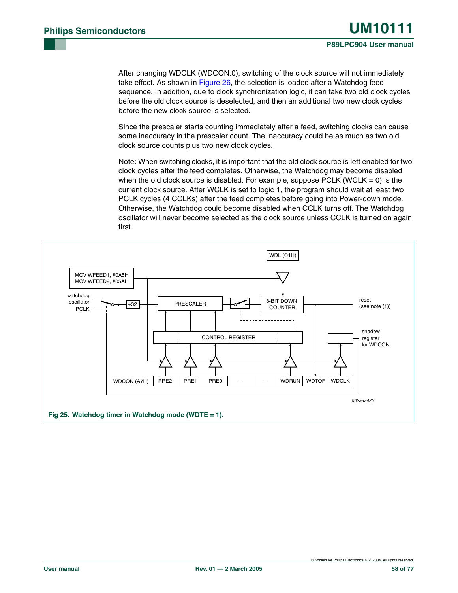After changing WDCLK (WDCON.0), switching of the clock source will not immediately take effect. As shown in [Figure 26](#page-58-0), the selection is loaded after a Watchdog feed sequence. In addition, due to clock synchronization logic, it can take two old clock cycles before the old clock source is deselected, and then an additional two new clock cycles before the new clock source is selected.

Since the prescaler starts counting immediately after a feed, switching clocks can cause some inaccuracy in the prescaler count. The inaccuracy could be as much as two old clock source counts plus two new clock cycles.

Note: When switching clocks, it is important that the old clock source is left enabled for two clock cycles after the feed completes. Otherwise, the Watchdog may become disabled when the old clock source is disabled. For example, suppose PCLK (WCLK  $= 0$ ) is the current clock source. After WCLK is set to logic 1, the program should wait at least two PCLK cycles (4 CCLKs) after the feed completes before going into Power-down mode. Otherwise, the Watchdog could become disabled when CCLK turns off. The Watchdog oscillator will never become selected as the clock source unless CCLK is turned on again first.

<span id="page-57-0"></span>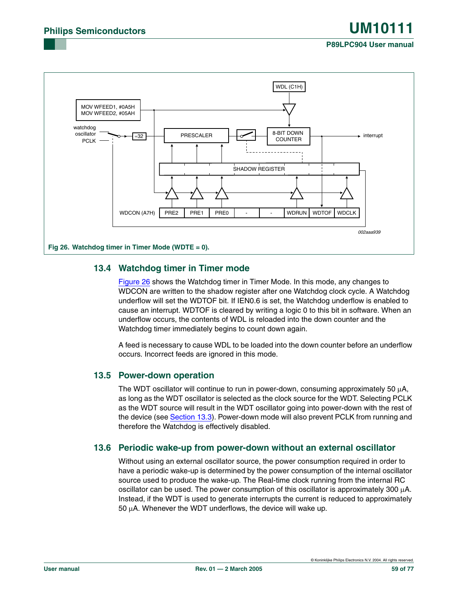#### **P89LPC904 User manual**



### <span id="page-58-0"></span>**13.4 Watchdog timer in Timer mode**

[Figure 26](#page-58-0) shows the Watchdog timer in Timer Mode. In this mode, any changes to WDCON are written to the shadow register after one Watchdog clock cycle. A Watchdog underflow will set the WDTOF bit. If IEN0.6 is set, the Watchdog underflow is enabled to cause an interrupt. WDTOF is cleared by writing a logic 0 to this bit in software. When an underflow occurs, the contents of WDL is reloaded into the down counter and the Watchdog timer immediately begins to count down again.

A feed is necessary to cause WDL to be loaded into the down counter before an underflow occurs. Incorrect feeds are ignored in this mode.

### <span id="page-58-1"></span>**13.5 Power-down operation**

The WDT oscillator will continue to run in power-down, consuming approximately 50  $\mu$ A, as long as the WDT oscillator is selected as the clock source for the WDT. Selecting PCLK as the WDT source will result in the WDT oscillator going into power-down with the rest of the device (see [Section 13.3](#page-56-0)). Power-down mode will also prevent PCLK from running and therefore the Watchdog is effectively disabled.

### **13.6 Periodic wake-up from power-down without an external oscillator**

Without using an external oscillator source, the power consumption required in order to have a periodic wake-up is determined by the power consumption of the internal oscillator source used to produce the wake-up. The Real-time clock running from the internal RC oscillator can be used. The power consumption of this oscillator is approximately 300  $\mu$ A. Instead, if the WDT is used to generate interrupts the current is reduced to approximately  $50 \mu$ A. Whenever the WDT underflows, the device will wake up.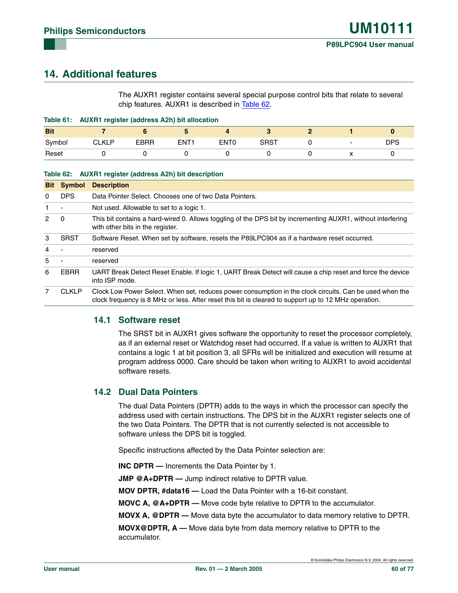# **14. Additional features**

The AUXR1 register contains several special purpose control bits that relate to several chip features. AUXR1 is described in [Table 62.](#page-59-0)

|            | Table 61: AUXR1 register (address A2h) bit allocation |      |             |             |      |  |  |     |
|------------|-------------------------------------------------------|------|-------------|-------------|------|--|--|-----|
| <b>Bit</b> |                                                       |      |             |             |      |  |  |     |
| Symbol     | <b>CLKLP</b>                                          | EBRR | <b>FNT1</b> | <b>ENTO</b> | SRST |  |  | DPS |
| Reset      |                                                       |      |             |             |      |  |  |     |

#### <span id="page-59-0"></span>**Table 62: AUXR1 register (address A2h) bit description**

|                | <b>Bit Symbol</b> | <b>Description</b>                                                                                                                                                                                              |
|----------------|-------------------|-----------------------------------------------------------------------------------------------------------------------------------------------------------------------------------------------------------------|
| 0              | <b>DPS</b>        | Data Pointer Select. Chooses one of two Data Pointers.                                                                                                                                                          |
|                |                   | Not used. Allowable to set to a logic 1.                                                                                                                                                                        |
| 2              | $\mathbf 0$       | This bit contains a hard-wired 0. Allows toggling of the DPS bit by incrementing AUXR1, without interfering<br>with other bits in the register.                                                                 |
| 3              | <b>SRST</b>       | Software Reset. When set by software, resets the P89LPC904 as if a hardware reset occurred.                                                                                                                     |
| $\overline{4}$ |                   | reserved                                                                                                                                                                                                        |
| 5              |                   | reserved                                                                                                                                                                                                        |
| 6              | EBRR              | UART Break Detect Reset Enable. If logic 1, UART Break Detect will cause a chip reset and force the device<br>into ISP mode.                                                                                    |
| 7              | <b>CLKLP</b>      | Clock Low Power Select. When set, reduces power consumption in the clock circuits. Can be used when the<br>clock frequency is 8 MHz or less. After reset this bit is cleared to support up to 12 MHz operation. |

### **14.1 Software reset**

The SRST bit in AUXR1 gives software the opportunity to reset the processor completely, as if an external reset or Watchdog reset had occurred. If a value is written to AUXR1 that contains a logic 1 at bit position 3, all SFRs will be initialized and execution will resume at program address 0000. Care should be taken when writing to AUXR1 to avoid accidental software resets.

### **14.2 Dual Data Pointers**

The dual Data Pointers (DPTR) adds to the ways in which the processor can specify the address used with certain instructions. The DPS bit in the AUXR1 register selects one of the two Data Pointers. The DPTR that is not currently selected is not accessible to software unless the DPS bit is toggled.

Specific instructions affected by the Data Pointer selection are:

**INC DPTR —** Increments the Data Pointer by 1.

**JMP @A+DPTR —** Jump indirect relative to DPTR value.

**MOV DPTR, #data16 —** Load the Data Pointer with a 16-bit constant.

**MOVC A, @A+DPTR —** Move code byte relative to DPTR to the accumulator.

**MOVX A, @DPTR —** Move data byte the accumulator to data memory relative to DPTR.

**MOVX@DPTR, A —** Move data byte from data memory relative to DPTR to the accumulator.

© Koninklijke Philips Electronics N.V. 2004. All rights reserved.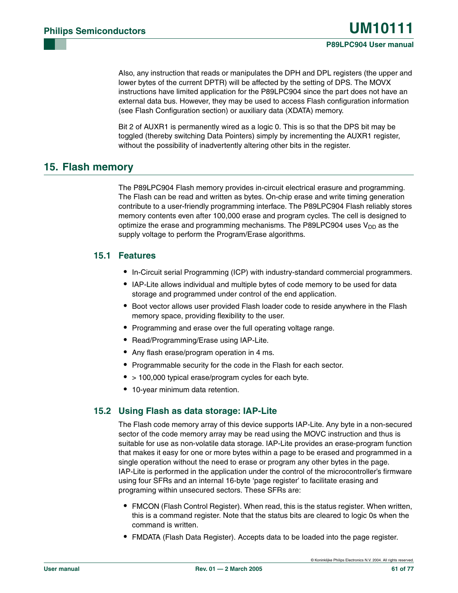Also, any instruction that reads or manipulates the DPH and DPL registers (the upper and lower bytes of the current DPTR) will be affected by the setting of DPS. The MOVX instructions have limited application for the P89LPC904 since the part does not have an external data bus. However, they may be used to access Flash configuration information (see Flash Configuration section) or auxiliary data (XDATA) memory.

Bit 2 of AUXR1 is permanently wired as a logic 0. This is so that the DPS bit may be toggled (thereby switching Data Pointers) simply by incrementing the AUXR1 register, without the possibility of inadvertently altering other bits in the register.

# **15. Flash memory**

The P89LPC904 Flash memory provides in-circuit electrical erasure and programming. The Flash can be read and written as bytes. On-chip erase and write timing generation contribute to a user-friendly programming interface. The P89LPC904 Flash reliably stores memory contents even after 100,000 erase and program cycles. The cell is designed to optimize the erase and programming mechanisms. The P89LPC904 uses  $V_{DD}$  as the supply voltage to perform the Program/Erase algorithms.

### **15.1 Features**

- **•** In-Circuit serial Programming (ICP) with industry-standard commercial programmers.
- **•** IAP-Lite allows individual and multiple bytes of code memory to be used for data storage and programmed under control of the end application.
- **•** Boot vector allows user provided Flash loader code to reside anywhere in the Flash memory space, providing flexibility to the user.
- **•** Programming and erase over the full operating voltage range.
- **•** Read/Programming/Erase using IAP-Lite.
- **•** Any flash erase/program operation in 4 ms.
- **•** Programmable security for the code in the Flash for each sector.
- **•** > 100,000 typical erase/program cycles for each byte.
- **•** 10-year minimum data retention.

### **15.2 Using Flash as data storage: IAP-Lite**

The Flash code memory array of this device supports IAP-Lite. Any byte in a non-secured sector of the code memory array may be read using the MOVC instruction and thus is suitable for use as non-volatile data storage. IAP-Lite provides an erase-program function that makes it easy for one or more bytes within a page to be erased and programmed in a single operation without the need to erase or program any other bytes in the page. IAP-Lite is performed in the application under the control of the microcontroller's firmware using four SFRs and an internal 16-byte 'page register' to facilitate erasing and programing within unsecured sectors. These SFRs are:

- **•** FMCON (Flash Control Register). When read, this is the status register. When written, this is a command register. Note that the status bits are cleared to logic 0s when the command is written.
- **•** FMDATA (Flash Data Register). Accepts data to be loaded into the page register.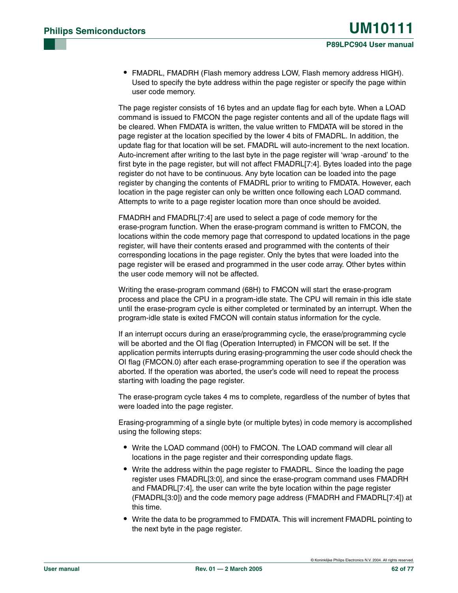**•** FMADRL, FMADRH (Flash memory address LOW, Flash memory address HIGH). Used to specify the byte address within the page register or specify the page within user code memory.

The page register consists of 16 bytes and an update flag for each byte. When a LOAD command is issued to FMCON the page register contents and all of the update flags will be cleared. When FMDATA is written, the value written to FMDATA will be stored in the page register at the location specified by the lower 4 bits of FMADRL. In addition, the update flag for that location will be set. FMADRL will auto-increment to the next location. Auto-increment after writing to the last byte in the page register will 'wrap -around' to the first byte in the page register, but will not affect FMADRL[7:4]. Bytes loaded into the page register do not have to be continuous. Any byte location can be loaded into the page register by changing the contents of FMADRL prior to writing to FMDATA. However, each location in the page register can only be written once following each LOAD command. Attempts to write to a page register location more than once should be avoided.

FMADRH and FMADRL[7:4] are used to select a page of code memory for the erase-program function. When the erase-program command is written to FMCON, the locations within the code memory page that correspond to updated locations in the page register, will have their contents erased and programmed with the contents of their corresponding locations in the page register. Only the bytes that were loaded into the page register will be erased and programmed in the user code array. Other bytes within the user code memory will not be affected.

Writing the erase-program command (68H) to FMCON will start the erase-program process and place the CPU in a program-idle state. The CPU will remain in this idle state until the erase-program cycle is either completed or terminated by an interrupt. When the program-idle state is exited FMCON will contain status information for the cycle.

If an interrupt occurs during an erase/programming cycle, the erase/programming cycle will be aborted and the OI flag (Operation Interrupted) in FMCON will be set. If the application permits interrupts during erasing-programming the user code should check the OI flag (FMCON.0) after each erase-programming operation to see if the operation was aborted. If the operation was aborted, the user's code will need to repeat the process starting with loading the page register.

The erase-program cycle takes 4 ms to complete, regardless of the number of bytes that were loaded into the page register.

Erasing-programming of a single byte (or multiple bytes) in code memory is accomplished using the following steps:

- **•** Write the LOAD command (00H) to FMCON. The LOAD command will clear all locations in the page register and their corresponding update flags.
- **•** Write the address within the page register to FMADRL. Since the loading the page register uses FMADRL[3:0], and since the erase-program command uses FMADRH and FMADRL[7:4], the user can write the byte location within the page register (FMADRL[3:0]) and the code memory page address (FMADRH and FMADRL[7:4]) at this time.
- **•** Write the data to be programmed to FMDATA. This will increment FMADRL pointing to the next byte in the page register.

© Koninklijke Philips Electronics N.V. 2004. All rights reserved.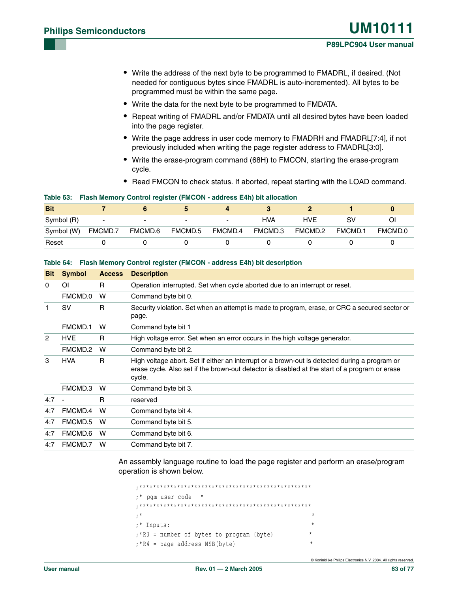- **•** Write the address of the next byte to be programmed to FMADRL, if desired. (Not needed for contiguous bytes since FMADRL is auto-incremented). All bytes to be programmed must be within the same page.
- **•** Write the data for the next byte to be programmed to FMDATA.
- **•** Repeat writing of FMADRL and/or FMDATA until all desired bytes have been loaded into the page register.
- **•** Write the page address in user code memory to FMADRH and FMADRL[7:4], if not previously included when writing the page register address to FMADRL[3:0].
- **•** Write the erase-program command (68H) to FMCON, starting the erase-program cycle.
- **•** Read FMCON to check status. If aborted, repeat starting with the LOAD command.

#### **Table 63: Flash Memory Control register (FMCON - address E4h) bit allocation**

| <b>Bit</b> |                          |                          |                          |         |         |         |         |         |
|------------|--------------------------|--------------------------|--------------------------|---------|---------|---------|---------|---------|
| Symbol (R) | $\overline{\phantom{0}}$ | $\overline{\phantom{0}}$ | $\overline{\phantom{0}}$ |         | HVA     | HVF     |         |         |
| Symbol (W) | FMCMD.7                  | FMCMD.6                  | FMCMD.5                  | FMCMD.4 | FMCMD.3 | FMCMD.2 | FMCMD.1 | FMCMD.0 |
| Reset      |                          |                          |                          |         |         |         |         |         |

| <b>Bit</b>     | <b>Symbol</b> | <b>Access</b> | <b>Description</b>                                                                                                                                                                                        |
|----------------|---------------|---------------|-----------------------------------------------------------------------------------------------------------------------------------------------------------------------------------------------------------|
| 0              | ΟI            | R             | Operation interrupted. Set when cycle aborted due to an interrupt or reset.                                                                                                                               |
|                | FMCMD.0       | w             | Command byte bit 0.                                                                                                                                                                                       |
| 1              | <b>SV</b>     | R             | Security violation. Set when an attempt is made to program, erase, or CRC a secured sector or<br>page.                                                                                                    |
|                | FMCMD.1       | w             | Command byte bit 1                                                                                                                                                                                        |
| $\overline{2}$ | HVE           | R.            | High voltage error. Set when an error occurs in the high voltage generator.                                                                                                                               |
|                | FMCMD.2       | W             | Command byte bit 2.                                                                                                                                                                                       |
| 3              | HVA.          | R             | High voltage abort. Set if either an interrupt or a brown-out is detected during a program or<br>erase cycle. Also set if the brown-out detector is disabled at the start of a program or erase<br>cycle. |
|                | FMCMD.3       | w             | Command byte bit 3.                                                                                                                                                                                       |
| 4:7            |               | R.            | reserved                                                                                                                                                                                                  |
| 4:7            | FMCMD.4       | W             | Command byte bit 4.                                                                                                                                                                                       |
| 4:7            | FMCMD.5       | w             | Command byte bit 5.                                                                                                                                                                                       |
| 4:7            | FMCMD.6       | W             | Command byte bit 6.                                                                                                                                                                                       |
| 4:7            | FMCMD.7       | W             | Command byte bit 7.                                                                                                                                                                                       |

#### **Table 64: Flash Memory Control register (FMCON - address E4h) bit description**

An assembly language routine to load the page register and perform an erase/program operation is shown below.

;\*\*\*\*\*\*\*\*\*\*\*\*\*\*\*\*\*\*\*\*\*\*\*\*\*\*\*\*\*\*\*\*\*\*\*\*\*\*\*\*\*\*\*\*\*\*\*\*\*\* ;\* pgm user code \* ;\*\*\*\*\*\*\*\*\*\*\*\*\*\*\*\*\*\*\*\*\*\*\*\*\*\*\*\*\*\*\*\*\*\*\*\*\*\*\*\*\*\*\*\*\*\*\*\*\*\* ;\* \* ;\* Inputs: \* ; \*R3 = number of bytes to program (byte) ;\*R4 = page address MSB(byte) \*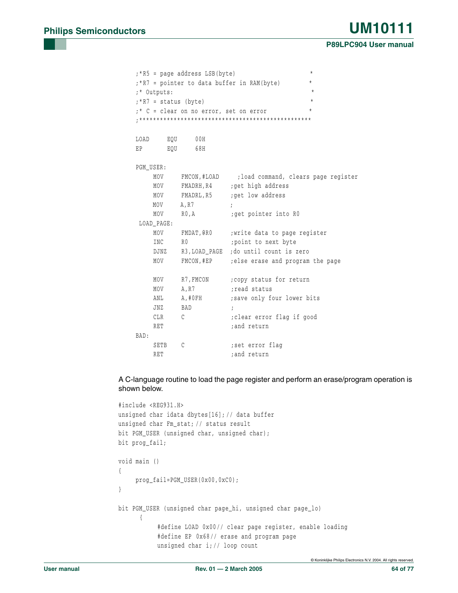|      | $\star$<br>;*R5 = page address LSB(byte)<br>$\star$<br>;*R7 = pointer to data buffer in RAM(byte) |                                        |                                                   |  |  |  |  |  |  |
|------|---------------------------------------------------------------------------------------------------|----------------------------------------|---------------------------------------------------|--|--|--|--|--|--|
|      |                                                                                                   |                                        | $\star$                                           |  |  |  |  |  |  |
|      | ;* Outputs:                                                                                       |                                        | $\star$                                           |  |  |  |  |  |  |
|      | $; *R7 = status (byte)$                                                                           |                                        | $\star$                                           |  |  |  |  |  |  |
|      |                                                                                                   | ;* C = clear on no error, set on error |                                                   |  |  |  |  |  |  |
|      |                                                                                                   |                                        |                                                   |  |  |  |  |  |  |
|      | LOAD EQU 00H                                                                                      |                                        |                                                   |  |  |  |  |  |  |
| EP   |                                                                                                   | EOU 68H                                |                                                   |  |  |  |  |  |  |
|      |                                                                                                   |                                        |                                                   |  |  |  |  |  |  |
|      | PGM USER:                                                                                         |                                        |                                                   |  |  |  |  |  |  |
|      | MOV                                                                                               |                                        | FMCON, #LOAD ; load command, clears page register |  |  |  |  |  |  |
|      | MOV                                                                                               |                                        | FMADRH, R4 ; get high address                     |  |  |  |  |  |  |
|      | MOV                                                                                               |                                        | FMADRL, R5 ; get low address                      |  |  |  |  |  |  |
|      | MOV A, R7                                                                                         |                                        | $\cdot$ :                                         |  |  |  |  |  |  |
|      | MOV                                                                                               | R0, A                                  | get pointer into RO;                              |  |  |  |  |  |  |
|      | LOAD_PAGE:                                                                                        |                                        |                                                   |  |  |  |  |  |  |
|      | MOV                                                                                               |                                        | FMDAT, GRO ; write data to page register          |  |  |  |  |  |  |
|      | INC                                                                                               | R <sub>0</sub>                         | point to next byte;                               |  |  |  |  |  |  |
|      | DJNZ                                                                                              |                                        | R3, LOAD_PAGE ; do until count is zero            |  |  |  |  |  |  |
|      | MOV                                                                                               |                                        | FMCON, #EP ; else erase and program the page      |  |  |  |  |  |  |
|      |                                                                                                   |                                        |                                                   |  |  |  |  |  |  |
|      | MOV                                                                                               | R7,FMCON                               | ; copy status for return                          |  |  |  |  |  |  |
|      | MOV                                                                                               | A, R7                                  | read status;                                      |  |  |  |  |  |  |
|      | ANL                                                                                               | A,#0FH                                 | ; save only four lower bits                       |  |  |  |  |  |  |
|      | JNZ                                                                                               | BAD                                    | $\ddot{i}$                                        |  |  |  |  |  |  |
|      | CLR                                                                                               | $\mathcal{C}$                          | clear error flag if good;                         |  |  |  |  |  |  |
|      | RET                                                                                               |                                        | ; and return                                      |  |  |  |  |  |  |
| BAD: |                                                                                                   |                                        |                                                   |  |  |  |  |  |  |
|      | SETB                                                                                              | C                                      | ; set error flag                                  |  |  |  |  |  |  |
|      | <b>RET</b>                                                                                        |                                        | ; and return                                      |  |  |  |  |  |  |

A C-language routine to load the page register and perform an erase/program operation is shown below.

```
#include <REG931.H>
unsigned char idata dbytes[16]; // data buffer
unsigned char Fm_stat; // status result
bit PGM_USER (unsigned char, unsigned char);
bit prog_fail;
void main ()
{
    prog_fail=PGM_USER(0x00,0xC0);
}
bit PGM_USER (unsigned char page_hi, unsigned char page_lo)
      {
           #define LOAD 0x00// clear page register, enable loading
           #define EP 0x68// erase and program page
           unsigned char i;// loop count
```
© Koninklijke Philips Electronics N.V. 2004. All rights reserved.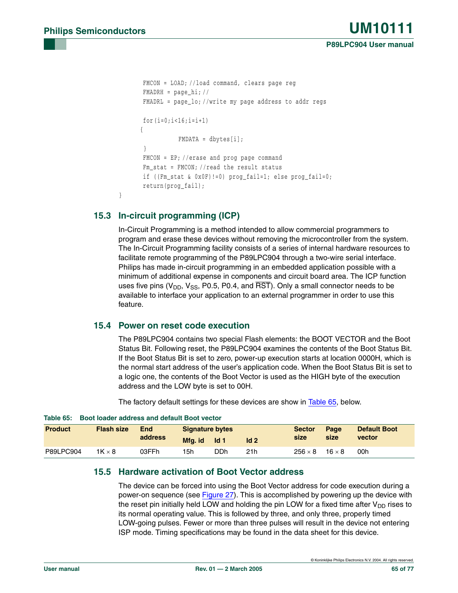```
FMCON = LOAD; //load command, clears page reg
FMADRH = page hi; //
FMADRL = page_lo; //write my page address to addr regs
for(i=0; i<16; i=i+1){
           FMDATA = dbytes[i];
}
FMCON = EP; //erase and prog page command
Fm_stat = FMCON; //read the result status
if ((Fm_stat & 0x0F)!=0) prog_fail=1; else prog_fail=0;
return(prog_fail);
```
### **15.3 In-circuit programming (ICP)**

}

In-Circuit Programming is a method intended to allow commercial programmers to program and erase these devices without removing the microcontroller from the system. The In-Circuit Programming facility consists of a series of internal hardware resources to facilitate remote programming of the P89LPC904 through a two-wire serial interface. Philips has made in-circuit programming in an embedded application possible with a minimum of additional expense in components and circuit board area. The ICP function uses five pins ( $V_{\text{DD}}$ ,  $V_{\text{SS}}$ , P0.5, P0.4, and  $\overline{\text{RST}}$ ). Only a small connector needs to be available to interface your application to an external programmer in order to use this feature.

### **15.4 Power on reset code execution**

The P89LPC904 contains two special Flash elements: the BOOT VECTOR and the Boot Status Bit. Following reset, the P89LPC904 examines the contents of the Boot Status Bit. If the Boot Status Bit is set to zero, power-up execution starts at location 0000H, which is the normal start address of the user's application code. When the Boot Status Bit is set to a logic one, the contents of the Boot Vector is used as the HIGH byte of the execution address and the LOW byte is set to 00H.

The factory default settings for these devices are show in [Table 65,](#page-64-0) below.

| TUMP VVI       | <u>DOOL IOUUCI QUULCOO QITU QCIQUIL DOOL VCOLOI</u> |            |                        |                  |                 |                |               |                     |
|----------------|-----------------------------------------------------|------------|------------------------|------------------|-----------------|----------------|---------------|---------------------|
| <b>Product</b> | <b>Flash size</b>                                   | <b>End</b> | <b>Signature bytes</b> |                  |                 | <b>Sector</b>  | Page          | <b>Default Boot</b> |
|                |                                                     | address    | Mfa. id                | $\overline{d}$ 1 | Id <sub>2</sub> | size           | size          | vector              |
| P89LPC904      | $1K \times 8$                                       | 03FFh      | 15h                    | DDh              | 21h             | $256 \times 8$ | $16 \times 8$ | 00h                 |

#### <span id="page-64-0"></span>**Table 65: Boot loader address and default Boot vector**

### **15.5 Hardware activation of Boot Vector address**

The device can be forced into using the Boot Vector address for code execution during a power-on sequence (see [Figure 27\)](#page-65-0). This is accomplished by powering up the device with the reset pin initially held LOW and holding the pin LOW for a fixed time after  $V_{DD}$  rises to its normal operating value. This is followed by three, and only three, properly timed LOW-going pulses. Fewer or more than three pulses will result in the device not entering ISP mode. Timing specifications may be found in the data sheet for this device.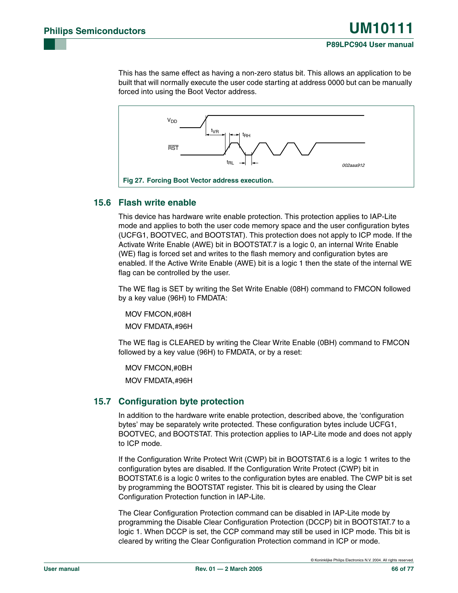This has the same effect as having a non-zero status bit. This allows an application to be built that will normally execute the user code starting at address 0000 but can be manually forced into using the Boot Vector address.



### <span id="page-65-0"></span>**15.6 Flash write enable**

This device has hardware write enable protection. This protection applies to IAP-Lite mode and applies to both the user code memory space and the user configuration bytes (UCFG1, BOOTVEC, and BOOTSTAT). This protection does not apply to ICP mode. If the Activate Write Enable (AWE) bit in BOOTSTAT.7 is a logic 0, an internal Write Enable (WE) flag is forced set and writes to the flash memory and configuration bytes are enabled. If the Active Write Enable (AWE) bit is a logic 1 then the state of the internal WE flag can be controlled by the user.

The WE flag is SET by writing the Set Write Enable (08H) command to FMCON followed by a key value (96H) to FMDATA:

MOV FMCON,#08H

MOV FMDATA,#96H

The WE flag is CLEARED by writing the Clear Write Enable (0BH) command to FMCON followed by a key value (96H) to FMDATA, or by a reset:

MOV FMCON,#0BH

MOV FMDATA,#96H

### **15.7 Configuration byte protection**

In addition to the hardware write enable protection, described above, the 'configuration bytes' may be separately write protected. These configuration bytes include UCFG1, BOOTVEC, and BOOTSTAT. This protection applies to IAP-Lite mode and does not apply to ICP mode.

If the Configuration Write Protect Writ (CWP) bit in BOOTSTAT.6 is a logic 1 writes to the configuration bytes are disabled. If the Configuration Write Protect (CWP) bit in BOOTSTAT.6 is a logic 0 writes to the configuration bytes are enabled. The CWP bit is set by programming the BOOTSTAT register. This bit is cleared by using the Clear Configuration Protection function in IAP-Lite.

The Clear Configuration Protection command can be disabled in IAP-Lite mode by programming the Disable Clear Configuration Protection (DCCP) bit in BOOTSTAT.7 to a logic 1. When DCCP is set, the CCP command may still be used in ICP mode. This bit is cleared by writing the Clear Configuration Protection command in ICP or mode.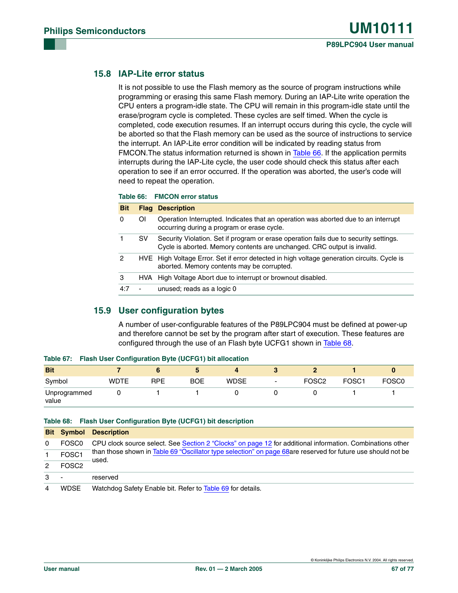### **15.8 IAP-Lite error status**

It is not possible to use the Flash memory as the source of program instructions while programming or erasing this same Flash memory. During an IAP-Lite write operation the CPU enters a program-idle state. The CPU will remain in this program-idle state until the erase/program cycle is completed. These cycles are self timed. When the cycle is completed, code execution resumes. If an interrupt occurs during this cycle, the cycle will be aborted so that the Flash memory can be used as the source of instructions to service the interrupt. An IAP-Lite error condition will be indicated by reading status from FMCON.The status information returned is shown in [Table 66](#page-66-0). If the application permits interrupts during the IAP-Lite cycle, the user code should check this status after each operation to see if an error occurred. If the operation was aborted, the user's code will need to repeat the operation.

#### <span id="page-66-0"></span>**Table 66: FMCON error status**

| <b>Bit</b> |                          | <b>Flag Description</b>                                                                                                                                          |
|------------|--------------------------|------------------------------------------------------------------------------------------------------------------------------------------------------------------|
| 0          | ΟI                       | Operation Interrupted. Indicates that an operation was aborted due to an interrupt<br>occurring during a program or erase cycle.                                 |
|            | SV.                      | Security Violation. Set if program or erase operation fails due to security settings.<br>Cycle is aborted. Memory contents are unchanged. CRC output is invalid. |
| 2          |                          | HVE High Voltage Error. Set if error detected in high voltage generation circuits. Cycle is<br>aborted. Memory contents may be corrupted.                        |
| 3          |                          | HVA High Voltage Abort due to interrupt or brownout disabled.                                                                                                    |
| 4:7        | $\overline{\phantom{a}}$ | unused; reads as a logic 0                                                                                                                                       |

### **15.9 User configuration bytes**

A number of user-configurable features of the P89LPC904 must be defined at power-up and therefore cannot be set by the program after start of execution. These features are configured through the use of an Flash byte UCFG1 shown in [Table 68](#page-66-1).

| ---------             |             |            |            |             |   |                   |                   |                   |
|-----------------------|-------------|------------|------------|-------------|---|-------------------|-------------------|-------------------|
| <b>Bit</b>            |             |            |            |             |   |                   |                   |                   |
| Symbol                | <b>WDTE</b> | <b>RPE</b> | <b>BOE</b> | <b>WDSE</b> | ٠ | FOSC <sub>2</sub> | FOSC <sub>1</sub> | FOSC <sub>0</sub> |
| Unprogrammed<br>value |             |            |            |             |   |                   |                   |                   |

#### **Table 67: Flash User Configuration Byte (UCFG1) bit allocation**

#### <span id="page-66-1"></span>**Table 68: Flash User Configuration Byte (UCFG1) bit description**

|                |                   | <b>Bit Symbol Description</b>                                                                                         |
|----------------|-------------------|-----------------------------------------------------------------------------------------------------------------------|
| $\Omega$       | FOSC <sub>0</sub> | CPU clock source select. See Section 2 "Clocks" on page 12 for additional information. Combinations other             |
|                | FOSC <sub>1</sub> | than those shown in Table 69 "Oscillator type selection" on page 68are reserved for future use should not be<br>used. |
| 2              | FOSC <sub>2</sub> |                                                                                                                       |
| 3              |                   | reserved                                                                                                              |
| $\overline{4}$ | <b>WDSE</b>       | Watchdog Safety Enable bit. Refer to Table 69 for details.                                                            |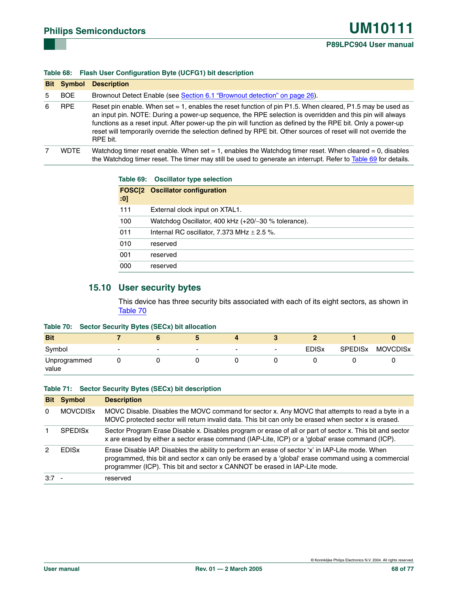#### **Table 68: Flash User Configuration Byte (UCFG1) bit description**

|   | <b>Bit Symbol</b> | <b>Description</b>                                                                                                                                                                                                                                                                                                                                                                                                                                                    |
|---|-------------------|-----------------------------------------------------------------------------------------------------------------------------------------------------------------------------------------------------------------------------------------------------------------------------------------------------------------------------------------------------------------------------------------------------------------------------------------------------------------------|
| 5 | <b>BOE</b>        | Brownout Detect Enable (see Section 6.1 "Brownout detection" on page 26).                                                                                                                                                                                                                                                                                                                                                                                             |
| 6 | <b>RPE</b>        | Reset pin enable. When set $= 1$ , enables the reset function of pin P1.5. When cleared, P1.5 may be used as<br>an input pin. NOTE: During a power-up sequence, the RPE selection is overridden and this pin will always<br>functions as a reset input. After power-up the pin will function as defined by the RPE bit. Only a power-up<br>reset will temporarily override the selection defined by RPE bit. Other sources of reset will not override the<br>RPE bit. |
|   | <b>WDTE</b>       | Watchdog timer reset enable. When set $= 1$ , enables the Watchdog timer reset. When cleared $= 0$ , disables<br>the Watchdog timer reset. The timer may still be used to generate an interrupt. Refer to Table 69 for details.                                                                                                                                                                                                                                       |

#### <span id="page-67-0"></span>**Table 69: Oscillator type selection**

| :0] | <b>FOSC[2 Oscillator configuration</b>              |
|-----|-----------------------------------------------------|
| 111 | External clock input on XTAL1.                      |
| 100 | Watchdog Oscillator, 400 kHz (+20/-30 % tolerance). |
| 011 | Internal RC oscillator, 7.373 MHz $\pm$ 2.5 %.      |
| 010 | reserved                                            |
| 001 | reserved                                            |
| 000 | reserved                                            |

### **15.10 User security bytes**

This device has three security bits associated with each of its eight sectors, as shown in [Table 70](#page-67-1)

#### <span id="page-67-1"></span>**Table 70: Sector Security Bytes (SECx) bit allocation**

| <b>Bit</b>            |                          |                          |                          |                          |                          |                         |                |                 |
|-----------------------|--------------------------|--------------------------|--------------------------|--------------------------|--------------------------|-------------------------|----------------|-----------------|
| Symbol                | $\overline{\phantom{0}}$ | $\overline{\phantom{a}}$ | $\overline{\phantom{0}}$ | $\overline{\phantom{0}}$ | $\overline{\phantom{0}}$ | <b>EDIS<sub>x</sub></b> | <b>SPEDISX</b> | <b>MOVCDISx</b> |
| Unprogrammed<br>value |                          |                          |                          |                          |                          |                         |                |                 |

#### **Table 71: Sector Security Bytes (SECx) bit description**

| <b>Bit</b>   | <b>Symbol</b>           | <b>Description</b>                                                                                                                                                                                                                                                                    |
|--------------|-------------------------|---------------------------------------------------------------------------------------------------------------------------------------------------------------------------------------------------------------------------------------------------------------------------------------|
| $\mathbf{0}$ | <b>MOVCDISX</b>         | MOVC Disable. Disables the MOVC command for sector x. Any MOVC that attempts to read a byte in a<br>MOVC protected sector will return invalid data. This bit can only be erased when sector x is erased.                                                                              |
|              | <b>SPEDISX</b>          | Sector Program Erase Disable x. Disables program or erase of all or part of sector x. This bit and sector<br>x are erased by either a sector erase command (IAP-Lite, ICP) or a 'global' erase command (ICP).                                                                         |
|              | <b>FDIS<sub>x</sub></b> | Erase Disable IAP. Disables the ability to perform an erase of sector 'x' in IAP-Lite mode. When<br>programmed, this bit and sector x can only be erased by a 'global' erase command using a commercial<br>programmer (ICP). This bit and sector x CANNOT be erased in IAP-Lite mode. |
| $3:7 -$      |                         | reserved                                                                                                                                                                                                                                                                              |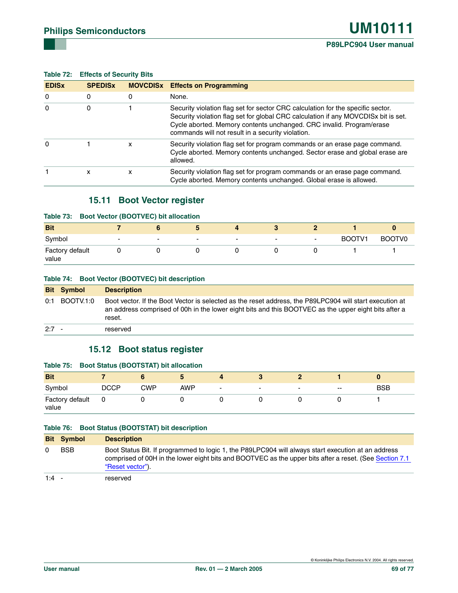### **Table 72: Effects of Security Bits**

| <b>EDIS<sub>x</sub></b> | <b>SPEDISX</b> |   | <b>MOVCDISX</b> Effects on Programming                                                                                                                                                                                                                                                             |
|-------------------------|----------------|---|----------------------------------------------------------------------------------------------------------------------------------------------------------------------------------------------------------------------------------------------------------------------------------------------------|
| $\Omega$                | 0              | 0 | None.                                                                                                                                                                                                                                                                                              |
| $\Omega$                | 0              |   | Security violation flag set for sector CRC calculation for the specific sector.<br>Security violation flag set for global CRC calculation if any MOVCDISx bit is set.<br>Cycle aborted. Memory contents unchanged. CRC invalid. Program/erase<br>commands will not result in a security violation. |
| $\Omega$                |                | x | Security violation flag set for program commands or an erase page command.<br>Cycle aborted. Memory contents unchanged. Sector erase and global erase are<br>allowed.                                                                                                                              |
|                         | x              | x | Security violation flag set for program commands or an erase page command.<br>Cycle aborted. Memory contents unchanged. Global erase is allowed.                                                                                                                                                   |

### **15.11 Boot Vector register**

#### **Table 73: Boot Vector (BOOTVEC) bit allocation**

| <b>Bit</b>               |                          |                          |                          |                          | œ      |                          |        |        |
|--------------------------|--------------------------|--------------------------|--------------------------|--------------------------|--------|--------------------------|--------|--------|
| Symbol                   | $\overline{\phantom{0}}$ | $\overline{\phantom{a}}$ | $\overline{\phantom{a}}$ | $\overline{\phantom{0}}$ | $\sim$ | $\overline{\phantom{a}}$ | BOOTV1 | BOOTV0 |
| Factory default<br>value |                          |                          |                          |                          |        |                          |        |        |

#### **Table 74: Boot Vector (BOOTVEC) bit description**

|         | <b>Bit Symbol</b> | <b>Description</b>                                                                                                                                                                                                        |
|---------|-------------------|---------------------------------------------------------------------------------------------------------------------------------------------------------------------------------------------------------------------------|
|         | $0:1$ BOOTV.1:0   | Boot vector. If the Boot Vector is selected as the reset address, the P89LPC904 will start execution at<br>an address comprised of 00h in the lower eight bits and this BOOTVEC as the upper eight bits after a<br>reset. |
| $2:7 -$ |                   | reserved                                                                                                                                                                                                                  |

### **15.12 Boot status register**

# **Table 75: Boot Status (BOOTSTAT) bit allocation**

| <b>Bit</b>               |      |     |            |                          |                          |                          |                          |            |
|--------------------------|------|-----|------------|--------------------------|--------------------------|--------------------------|--------------------------|------------|
| Symbol                   | DCCP | CWP | <b>AWP</b> | $\overline{\phantom{0}}$ | $\overline{\phantom{0}}$ | $\overline{\phantom{0}}$ | $\overline{\phantom{a}}$ | <b>BSB</b> |
| Factory default<br>value |      |     |            |                          |                          |                          |                          |            |

#### **Table 76: Boot Status (BOOTSTAT) bit description**

|         | <b>Bit Symbol</b> | <b>Description</b>                                                                                                                                                                                                                |
|---------|-------------------|-----------------------------------------------------------------------------------------------------------------------------------------------------------------------------------------------------------------------------------|
|         | <b>BSB</b>        | Boot Status Bit. If programmed to logic 1, the P89LPC904 will always start execution at an address<br>comprised of 00H in the lower eight bits and BOOTVEC as the upper bits after a reset. (See Section 7.1)<br>"Reset vector"). |
| $1:4 -$ |                   | reserved                                                                                                                                                                                                                          |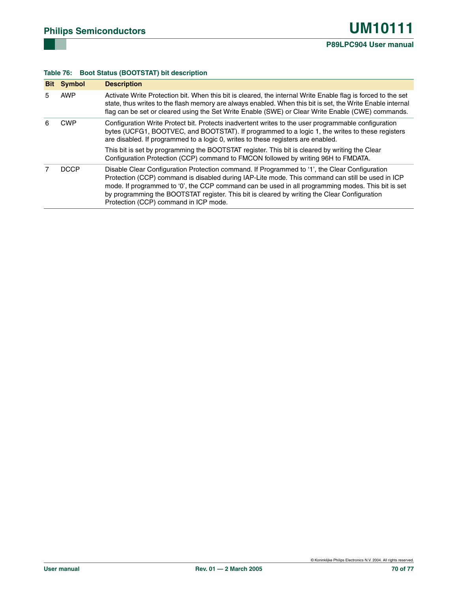### **Table 76: Boot Status (BOOTSTAT) bit description**

|   | <b>Bit Symbol</b> | <b>Description</b>                                                                                                                                                                                                                                                                                                                                                                                                                              |
|---|-------------------|-------------------------------------------------------------------------------------------------------------------------------------------------------------------------------------------------------------------------------------------------------------------------------------------------------------------------------------------------------------------------------------------------------------------------------------------------|
| 5 | <b>AWP</b>        | Activate Write Protection bit. When this bit is cleared, the internal Write Enable flag is forced to the set<br>state, thus writes to the flash memory are always enabled. When this bit is set, the Write Enable internal<br>flag can be set or cleared using the Set Write Enable (SWE) or Clear Write Enable (CWE) commands.                                                                                                                 |
| 6 | <b>CWP</b>        | Configuration Write Protect bit. Protects inadvertent writes to the user programmable configuration<br>bytes (UCFG1, BOOTVEC, and BOOTSTAT). If programmed to a logic 1, the writes to these registers<br>are disabled. If programmed to a logic 0, writes to these registers are enabled.                                                                                                                                                      |
|   |                   | This bit is set by programming the BOOTSTAT register. This bit is cleared by writing the Clear<br>Configuration Protection (CCP) command to FMCON followed by writing 96H to FMDATA.                                                                                                                                                                                                                                                            |
|   | <b>DCCP</b>       | Disable Clear Configuration Protection command. If Programmed to '1', the Clear Configuration<br>Protection (CCP) command is disabled during IAP-Lite mode. This command can still be used in ICP<br>mode. If programmed to '0', the CCP command can be used in all programming modes. This bit is set<br>by programming the BOOTSTAT register. This bit is cleared by writing the Clear Configuration<br>Protection (CCP) command in ICP mode. |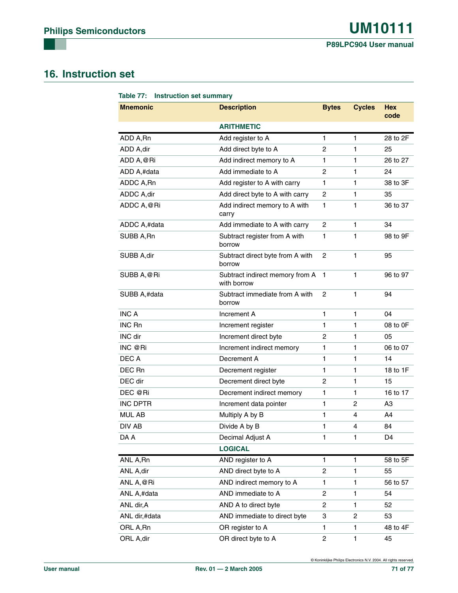# **16. Instruction set**

| Table 77: Instruction set summary |                                                |                |               |                    |  |  |  |
|-----------------------------------|------------------------------------------------|----------------|---------------|--------------------|--|--|--|
| <b>Mnemonic</b>                   | <b>Description</b>                             | <b>Bytes</b>   | <b>Cycles</b> | <b>Hex</b><br>code |  |  |  |
|                                   | <b>ARITHMETIC</b>                              |                |               |                    |  |  |  |
| ADD A,Rn                          | Add register to A                              | 1              | 1             | 28 to 2F           |  |  |  |
| ADD A, dir                        | Add direct byte to A                           | 2              | 1             | 25                 |  |  |  |
| ADD A, @Ri                        | Add indirect memory to A                       | 1              | 1             | 26 to 27           |  |  |  |
| ADD A,#data                       | Add immediate to A                             | 2              | 1             | 24                 |  |  |  |
| ADDC A, Rn                        | Add register to A with carry                   | 1              | 1             | 38 to 3F           |  |  |  |
| ADDC A,dir                        | Add direct byte to A with carry                | $\overline{c}$ | 1             | 35                 |  |  |  |
| ADDC A, @Ri                       | Add indirect memory to A with<br>carry         | 1              | 1             | 36 to 37           |  |  |  |
| ADDC A,#data                      | Add immediate to A with carry                  | $\overline{2}$ | 1             | 34                 |  |  |  |
| SUBB A, Rn                        | Subtract register from A with<br>borrow        | 1              | 1             | 98 to 9F           |  |  |  |
| SUBB A, dir                       | Subtract direct byte from A with<br>borrow     | 2              | $\mathbf{1}$  | 95                 |  |  |  |
| SUBB A, @Ri                       | Subtract indirect memory from A<br>with borrow | $\mathbf{1}$   | 1             | 96 to 97           |  |  |  |
| SUBB A,#data                      | Subtract immediate from A with<br>borrow       | 2              | 1             | 94                 |  |  |  |
| <b>INC A</b>                      | Increment A                                    | 1              | 1             | 04                 |  |  |  |
| <b>INC Rn</b>                     | Increment register                             | 1              | 1             | 08 to 0F           |  |  |  |
| INC dir                           | Increment direct byte                          | 2              | 1             | 05                 |  |  |  |
| INC @Ri                           | Increment indirect memory                      | 1              | 1             | 06 to 07           |  |  |  |
| DEC A                             | Decrement A                                    | 1              | 1             | 14                 |  |  |  |
| DEC Rn                            | Decrement register                             | 1              | 1             | 18 to 1F           |  |  |  |
| DEC dir                           | Decrement direct byte                          | 2              | 1             | 15                 |  |  |  |
| DEC @Ri                           | Decrement indirect memory                      | 1              | 1             | 16 to 17           |  |  |  |
| <b>INC DPTR</b>                   | Increment data pointer                         | 1              | 2             | A3                 |  |  |  |
| <b>MUL AB</b>                     | Multiply A by B                                | 1              | 4             | A4                 |  |  |  |
| DIV AB                            | Divide A by B                                  | 1              | 4             | 84                 |  |  |  |
| DA A                              | Decimal Adjust A                               | 1              | 1             | D4                 |  |  |  |
|                                   | <b>LOGICAL</b>                                 |                |               |                    |  |  |  |
| ANL A, Rn                         | AND register to A                              | 1              | 1             | 58 to 5F           |  |  |  |
| ANL A,dir                         | AND direct byte to A                           | 2              | 1             | 55                 |  |  |  |
| ANL A, @Ri                        | AND indirect memory to A                       | 1              | 1             | 56 to 57           |  |  |  |
| ANL A,#data                       | AND immediate to A                             | 2              | 1             | 54                 |  |  |  |
| ANL dir, A                        | AND A to direct byte                           | 2              | 1             | 52                 |  |  |  |
| ANL dir,#data                     | AND immediate to direct byte                   | 3              | 2             | 53                 |  |  |  |
| ORL A,Rn                          | OR register to A                               | 1              | 1             | 48 to 4F           |  |  |  |
| ORL A,dir                         | OR direct byte to A                            | 2              | 1             | 45                 |  |  |  |

© Koninklijke Philips Electronics N.V. 2004. All rights reserved.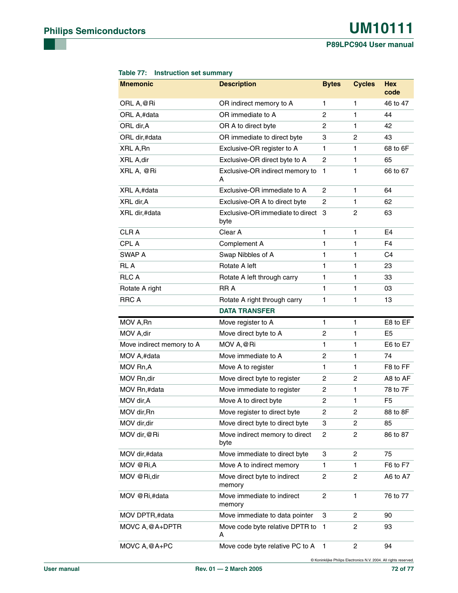**P89LPC904 User manual**

| <b>Mnemonic</b>           | <b>Description</b>                         | <b>Bytes</b>   | <b>Cycles</b>  | <b>Hex</b><br>code |
|---------------------------|--------------------------------------------|----------------|----------------|--------------------|
| ORL A, @Ri                | OR indirect memory to A                    | 1              | 1              | 46 to 47           |
| ORL A,#data               | OR immediate to A                          | 2              | 1              | 44                 |
| ORL dir, A                | OR A to direct byte                        | 2              | 1              | 42                 |
| ORL dir,#data             | OR immediate to direct byte                | 3              | 2              | 43                 |
| XRL A, Rn                 | Exclusive-OR register to A                 | 1              | 1              | 68 to 6F           |
| XRL A, dir                | Exclusive-OR direct byte to A              | 2              | 1              | 65                 |
| XRL A, @Ri                | Exclusive-OR indirect memory to<br>А       | 1              | 1              | 66 to 67           |
| XRL A,#data               | Exclusive-OR immediate to A                | 2              | 1              | 64                 |
| XRL dir, A                | Exclusive-OR A to direct byte              | $\overline{c}$ | 1              | 62                 |
| XRL dir,#data             | Exclusive-OR immediate to direct 3<br>byte |                | 2              | 63                 |
| <b>CLRA</b>               | Clear A                                    | 1              | 1              | E <sub>4</sub>     |
| <b>CPLA</b>               | Complement A                               | $\mathbf{1}$   | 1              | F4                 |
| SWAP A                    | Swap Nibbles of A                          | 1              | 1              | C <sub>4</sub>     |
| <b>RLA</b>                | Rotate A left                              | 1              | 1              | 23                 |
| <b>RLCA</b>               | Rotate A left through carry                | 1              | 1              | 33                 |
| Rotate A right            | <b>RRA</b>                                 | 1              | 1              | 03                 |
| <b>RRC A</b>              | Rotate A right through carry               | 1              | 1              | 13                 |
|                           | <b>DATA TRANSFER</b>                       |                |                |                    |
| MOV A, Rn                 | Move register to A                         | 1              | 1              | E8 to EF           |
| MOV A, dir                | Move direct byte to A                      | 2              | 1              | E <sub>5</sub>     |
| Move indirect memory to A | MOV A, @Ri                                 | 1              | 1              | E6 to E7           |
| MOV A,#data               | Move immediate to A                        | $\overline{c}$ | 1              | 74                 |
| MOV Rn, A                 | Move A to register                         | 1              | 1              | F8 to FF           |
| MOV Rn,dir                | Move direct byte to register               | 2              | 2              | A8 to AF           |
| MOV Rn,#data              | Move immediate to register                 | $\overline{c}$ | 1              | 78 to 7F           |
| MOV dir, A                | Move A to direct byte                      | 2              | 1              | F <sub>5</sub>     |
| MOV dir, Rn               | Move register to direct byte               | 2              | 2              | 88 to 8F           |
| MOV dir, dir              | Move direct byte to direct byte            | 3              | 2              | 85                 |
| MOV dir, @Ri              | Move indirect memory to direct<br>byte     | 2              | $\overline{c}$ | 86 to 87           |
| MOV dir,#data             | Move immediate to direct byte              | 3              | 2              | 75                 |
| MOV @Ri,A                 | Move A to indirect memory                  | 1              | 1              | F6 to F7           |
| MOV @Ri,dir               | Move direct byte to indirect<br>memory     | 2              | 2              | A6 to A7           |
| MOV @Ri,#data             | Move immediate to indirect<br>memory       | 2              | 1              | 76 to 77           |
| MOV DPTR,#data            | Move immediate to data pointer             | 3              | $\overline{2}$ | 90                 |
| MOVC A, @A+DPTR           | Move code byte relative DPTR to<br>А       | 1              | 2              | 93                 |
| MOVC A, @A+PC             | Move code byte relative PC to A            | 1              | 2              | 94                 |

#### **Table 77: Instruction set summary**

© Koninklijke Philips Electronics N.V. 2004. All rights reserved.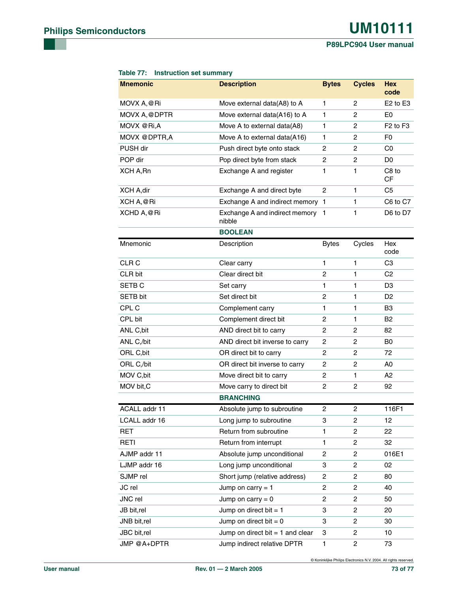## **P89LPC904 User manual**

| <b>Mnemonic</b>   | <b>Description</b>                         | <b>Bytes</b>   | <b>Cycles</b>  | <b>Hex</b><br>code               |
|-------------------|--------------------------------------------|----------------|----------------|----------------------------------|
| MOVX A, @Ri       | Move external data(A8) to A                | 1              | 2              | $E2$ to $E3$                     |
| MOVX A, @DPTR     | Move external data(A16) to A               | 1              | 2              | E <sub>0</sub>                   |
| MOVX @Ri,A        | Move A to external data(A8)                | 1              | 2              | F <sub>2</sub> to F <sub>3</sub> |
| MOVX @DPTR,A      | Move A to external data(A16)               | 1              | 2              | F0                               |
| PUSH dir          | Push direct byte onto stack                | 2              | 2              | C0                               |
| POP dir           | Pop direct byte from stack                 | 2              | 2              | D0                               |
| XCH A, Rn         | Exchange A and register                    | $\mathbf{1}$   | $\mathbf{1}$   | C8 to<br>СF                      |
| <b>XCH A,dir</b>  | Exchange A and direct byte                 | $\overline{c}$ | 1              | C5                               |
| XCH A, @Ri        | Exchange A and indirect memory 1           |                | 1              | C6 to C7                         |
| XCHD A, @Ri       | Exchange A and indirect memory 1<br>nibble |                | 1              | D6 to D7                         |
|                   | <b>BOOLEAN</b>                             |                |                |                                  |
| Mnemonic          | Description                                | <b>Bytes</b>   | Cycles         | Hex<br>code                      |
| CLR <sub>C</sub>  | Clear carry                                | 1              | 1              | C <sub>3</sub>                   |
| CLR bit           | Clear direct bit                           | 2              | $\mathbf{1}$   | C <sub>2</sub>                   |
| SETB <sub>C</sub> | Set carry                                  | 1              | $\mathbf{1}$   | D3                               |
| SETB bit          | Set direct bit                             | 2              | $\mathbf{1}$   | D <sub>2</sub>                   |
| CPL C             | Complement carry                           | 1              | 1              | B3                               |
| CPL bit           | Complement direct bit                      | 2              | 1              | <b>B2</b>                        |
| ANL C, bit        | AND direct bit to carry                    | 2              | 2              | 82                               |
| ANL C,/bit        | AND direct bit inverse to carry            | 2              | 2              | B <sub>0</sub>                   |
| ORL C, bit        | OR direct bit to carry                     | 2              | 2              | 72                               |
| ORL C,/bit        | OR direct bit inverse to carry             | 2              | 2              | A0                               |
| MOV C, bit        | Move direct bit to carry                   | 2              | 1              | А2                               |
| MOV bit, C        | Move carry to direct bit                   | 2              | 2              | 92                               |
|                   | <b>BRANCHING</b>                           |                |                |                                  |
| ACALL addr 11     | Absolute jump to subroutine                | 2              | 2              | 116F1                            |
| LCALL addr 16     | Long jump to subroutine                    | 3              | 2              | 12                               |
| RET               | Return from subroutine                     | 1              | 2              | 22                               |
| <b>RETI</b>       | Return from interrupt                      | 1              | 2              | 32                               |
| AJMP addr 11      | Absolute jump unconditional                | 2              | $\overline{2}$ | 016E1                            |
| LJMP addr 16      | Long jump unconditional                    | 3              | 2              | 02                               |
| SJMP rel          | Short jump (relative address)              | 2              | 2              | 80                               |
| JC rel            | Jump on carry $= 1$                        | 2              | 2              | 40                               |
| JNC rel           | Jump on carry $= 0$                        | 2              | $\overline{2}$ | 50                               |
| JB bit,rel        | Jump on direct bit $= 1$                   | 3              | 2              | 20                               |
| JNB bit,rel       | Jump on direct bit $= 0$                   | 3              | $\overline{2}$ | 30                               |
| JBC bit,rel       | Jump on direct bit $= 1$ and clear         | 3              | 2              | 10                               |
| JMP @A+DPTR       | Jump indirect relative DPTR                | 1              | 2              | 73                               |

## **Table 77: Instruction set summary**

© Koninklijke Philips Electronics N.V. 2004. All rights reserved.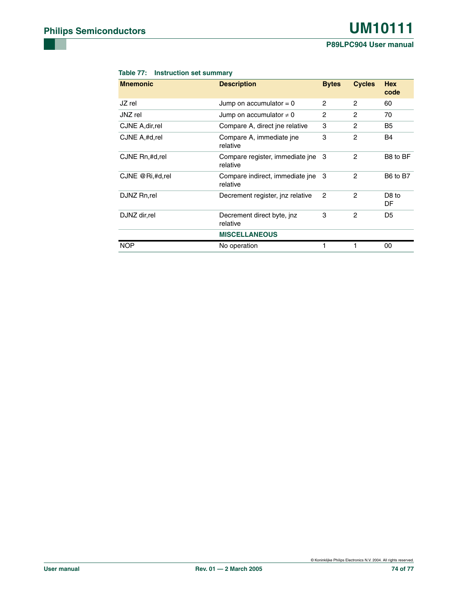### **P89LPC904 User manual**

## **Table 77: Instruction set summary**

| <b>Mnemonic</b>  | <b>Description</b>                          | <b>Bytes</b>   | <b>Cycles</b>  | <b>Hex</b><br>code      |
|------------------|---------------------------------------------|----------------|----------------|-------------------------|
| JZ rel           | Jump on accumulator $= 0$                   | 2              | 2              | 60                      |
| JNZ rel          | Jump on accumulator $\neq 0$                | 2              | 2              | 70                      |
| CJNE A, dir, rel | Compare A, direct ine relative              | 3              | $\overline{2}$ | B <sub>5</sub>          |
| CJNE A,#d,rel    | Compare A, immediate ine<br>relative        | 3              | $\overline{c}$ | <b>B4</b>               |
| CJNE Rn,#d,rel   | Compare register, immediate jne<br>relative | -3             | 2              | B8 to BF                |
| CJNE @Ri,#d,rel  | Compare indirect, immediate ine<br>relative | 3              | 2              | B6 to B7                |
| DJNZ Rn,rel      | Decrement register, inz relative            | $\overline{c}$ | 2              | D <sub>8</sub> to<br>DF |
| DJNZ dir, rel    | Decrement direct byte, jnz.<br>relative     | 3              | 2              | D5                      |
|                  | <b>MISCELLANEOUS</b>                        |                |                |                         |
| <b>NOP</b>       | No operation                                |                |                | 00                      |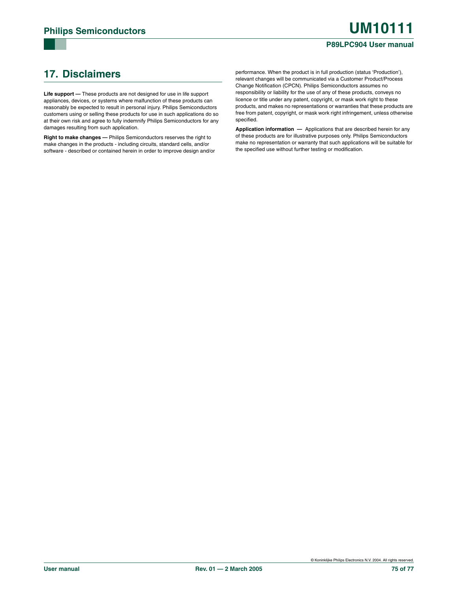## <span id="page-74-0"></span>**17. Disclaimers**

**Life support —** These products are not designed for use in life support appliances, devices, or systems where malfunction of these products can reasonably be expected to result in personal injury. Philips Semiconductors customers using or selling these products for use in such applications do so at their own risk and agree to fully indemnify Philips Semiconductors for any damages resulting from such application.

**Right to make changes —** Philips Semiconductors reserves the right to make changes in the products - including circuits, standard cells, and/or software - described or contained herein in order to improve design and/or performance. When the product is in full production (status 'Production'), relevant changes will be communicated via a Customer Product/Process Change Notification (CPCN). Philips Semiconductors assumes no responsibility or liability for the use of any of these products, conveys no licence or title under any patent, copyright, or mask work right to these products, and makes no representations or warranties that these products are free from patent, copyright, or mask work right infringement, unless otherwise specified.

**Application information —** Applications that are described herein for any of these products are for illustrative purposes only. Philips Semiconductors make no representation or warranty that such applications will be suitable for the specified use without further testing or modification.

© Koninklijke Philips Electronics N.V. 2004. All rights reserved.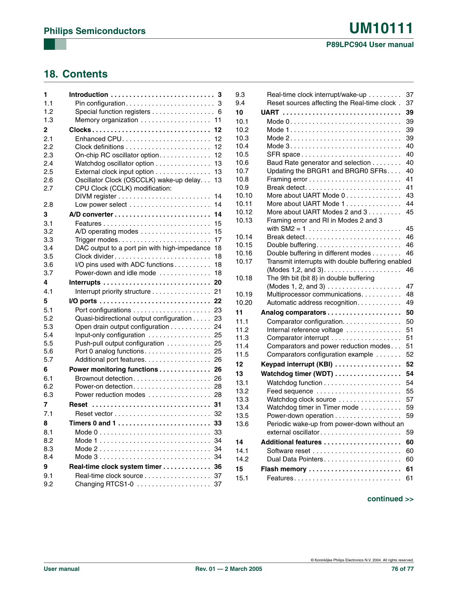## **18. Contents**

| 1          | 3                                                                         |
|------------|---------------------------------------------------------------------------|
| 1.1        | 3                                                                         |
| 1.2        | Special function registers<br>6                                           |
| 1.3        | 11                                                                        |
| 2          | Clocks<br>12                                                              |
| 2.1        | Enhanced CPU<br>12                                                        |
| 22         | 12                                                                        |
| 2.3        | On-chip RC oscillator option<br>12                                        |
| 2.4        | Watchdog oscillator option<br>13                                          |
| 2.5        | External clock input option<br>13                                         |
| 2.6        | Oscillator Clock (OSCCLK) wake-up delay.<br>13                            |
| 2.7        | CPU Clock (CCLK) modification:                                            |
|            | 14                                                                        |
| 2.8        | 14                                                                        |
| 3          | 14                                                                        |
| 3.1        | 15                                                                        |
| 3.2        | A/D operating modes $\ldots \ldots \ldots \ldots \ldots$<br>15            |
| 3.3        | 17                                                                        |
| 3.4<br>3.5 | DAC output to a port pin with high-impedance<br>18<br>Clock divider<br>18 |
| 3.6        | I/O pins used with ADC functions<br>18                                    |
| 3.7        | Power-down and idle mode<br>18                                            |
| 4          | 20                                                                        |
| 4.1        | 21<br>Interrupt priority structure                                        |
| 5          | 22                                                                        |
| 5.1        | 23                                                                        |
| 5.2        | Quasi-bidirectional output configuration<br>23                            |
| 5.3        | Open drain output configuration<br>24                                     |
| 5.4        | Input-only configuration<br>25                                            |
| 5.5        | Push-pull output configuration  25                                        |
| 5.6        | Port 0 analog functions 25                                                |
| 5.7        | Additional port features. 26                                              |
| 6          | Power monitoring functions 26                                             |
| 6.1        |                                                                           |
| 6.2        | Power-on detection<br>28                                                  |
| 6.3        | Power reduction modes 28                                                  |
| 7          | Reset<br>31                                                               |
| 7.1        |                                                                           |
| 8          | Timers 0 and 1<br>33                                                      |
| 8.1        | 33                                                                        |
| 8.2        | 34                                                                        |
| 8.3        | 34<br>Mode 2                                                              |
| 8.4        | 34                                                                        |
| 9          | Real-time clock system timer<br>36                                        |
| 9.1        | 37<br>Real-time clock source                                              |
| 9.2        | Changing RTCS1-0<br>37                                                    |
|            |                                                                           |

| 9.3   | Real-time clock interrupt/wake-up                 | 37 |
|-------|---------------------------------------------------|----|
| 9.4   | Reset sources affecting the Real-time clock.      | 37 |
| 10    |                                                   | 39 |
| 10.1  |                                                   | 39 |
| 10.2  |                                                   | 39 |
| 10.3  |                                                   | 39 |
| 10.4  | Mode $3$                                          | 40 |
| 10.5  |                                                   | 40 |
| 10.6  | Baud Rate generator and selection                 | 40 |
| 10.7  | Updating the BRGR1 and BRGR0 SFRs                 | 40 |
| 10.8  |                                                   | 41 |
| 10.9  | Break detect                                      | 41 |
| 10.10 | More about UART Mode 0                            | 43 |
| 10.11 | More about UART Mode 1                            | 44 |
| 10.12 | More about UART Modes 2 and 3                     | 45 |
| 10.13 | Framing error and RI in Modes 2 and 3             |    |
|       |                                                   | 45 |
| 10.14 | Break detect                                      | 46 |
| 10.15 |                                                   | 46 |
| 10.16 | Double buffering in different modes               | 46 |
| 10.17 | Transmit interrupts with double buffering enabled |    |
|       |                                                   | 46 |
| 10.18 | The 9th bit (bit 8) in double buffering           |    |
|       | $(Modes 1, 2, and 3)$                             | 47 |
| 10.19 | Multiprocessor communications.                    | 48 |
| 10.20 | Automatic address recognition.                    | 49 |
| 11    |                                                   | 50 |
| 11.1  | Comparator configuration.                         | 50 |
| 11.2  | Internal reference voltage                        | 51 |
| 11.3  | Comparator interrupt                              | 51 |
| 11.4  | Comparators and power reduction modes             | 51 |
| 11.5  | Comparators configuration example                 | 52 |
| 12    | Keypad interrupt (KBI)                            | 52 |
| 13    | Watchdog timer (WDT)                              | 54 |
| 13.1  |                                                   | 54 |
| 13.2  | Feed sequence                                     | 55 |
| 13.3  | Watchdog clock source                             | 57 |
| 13.4  | Watchdog timer in Timer mode                      | 59 |
| 13.5  | Power-down operation                              | 59 |
| 13.6  | Periodic wake-up from power-down without an       |    |
|       | external oscillator                               | 59 |
| 14    | Additional features                               | 60 |
| 14.1  |                                                   | 60 |
| 14.2  | Dual Data Pointers                                | 60 |
| 15    | Flash memory                                      | 61 |
| 15.1  | Features                                          | 61 |
|       |                                                   |    |

## **continued >>**